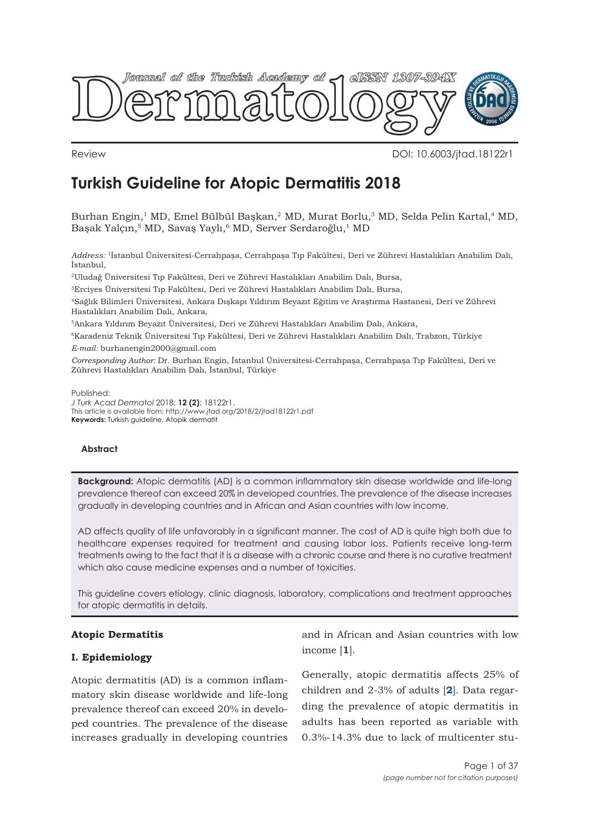

Review DOI: 10.6003/jtad.18122r1

# **Turkish Guideline for Atopic Dermatitis 2018**

Burhan Engin,<sup>1</sup> MD, Emel Bülbül Başkan,<sup>2</sup> MD, Murat Borlu,<sup>3</sup> MD, Selda Pelin Kartal,<sup>4</sup> MD, Başak Yalçın,<sup>5</sup> MD, Savaş Yaylı,<sup>6</sup> MD, Server Serdaroğlu,<sup>1</sup> MD

*Address:* 1İstanbul Üniversitesi-Cerrahpaşa, Cerrahpaşa Tıp Fakültesi, Deri ve Zührevi Hastalıkları Anabilim Dalı, İstanbul,

2Uludağ Üniversitesi Tıp Fakültesi, Deri ve Zührevi Hastalıkları Anabilim Dalı, Bursa,

3Erciyes Üniversitesi Tıp Fakültesi, Deri ve Zührevi Hastalıkları Anabilim Dalı, Bursa,

4Sağlık Bilimleri Üniversitesi, Ankara Dışkapı Yıldırım Beyazıt Eğitim ve Araştırma Hastanesi, Deri ve Zührevi Hastalıkları Anabilim Dalı, Ankara,

5Ankara Yıldırım Beyazıt Üniversitesi, Deri ve Zührevi Hastalıkları Anabilim Dalı, Ankara,

6Karadeniz Teknik Üniversitesi Tıp Fakültesi, Deri ve Zührevi Hastalıkları Anabilim Dalı, Trabzon, Türkiye *E-mail:* burhanengin2000@gmail.com

*Corresponding Author:* Dr. Burhan Engin, İstanbul Üniversitesi-Cerrahpaşa, Cerrahpaşa Tıp Fakültesi, Deri ve Zührevi Hastalıkları Anabilim Dalı, İstanbul, Türkiye

Published:

*J Turk Acad Dermatol* 2018; **12 (2)**: 18122r1. This article is available from: http://www.jtad.org/2018/2/jtad18122r1.pdf **Keywords:** Turkish guideline, Atopik dermatit

## **Abstract**

**Background:** Atopic dermatitis (AD) is a common inflammatory skin disease worldwide and life-long prevalence thereof can exceed 20% in developed countries. The prevalence of the disease increases gradually in developing countries and in Afri[ca](#page-29-0)n and Asian countries with low income.

AD affects quality of life unfavorably in a significant manner. The c[os](#page-29-0)t of AD is quite high both due to healthcare expenses required for treatment and causing labor loss. Patients receive long-term treatments owing to the fact that it is a disease with a chronic course and there is no curative treatment which also cause medicine expenses and a number of toxicities.

This guideline covers etiology, clinic diagnosis, laboratory, complications and treatment approaches for atopic dermatitis in details.

## **Atopic Dermatitis**

## **I. Epidemiology**

Atopic dermatitis (AD) is a common inflammatory skin disease worldwide and life-long prevalence thereof can exceed 20% in developed countries. The prevalence of the disease increases gradually in developing countries and in African and Asian countries with low income [**[1](#page-29-0)**].

Generally, atopic dermatitis affects 25% of children and 2-3% of adults [**[2](#page-29-0)**]. Data regarding the prevalence of atopic dermatitis in adults has been reported as variable with 0.3%-14.3% due to lack of multicenter stu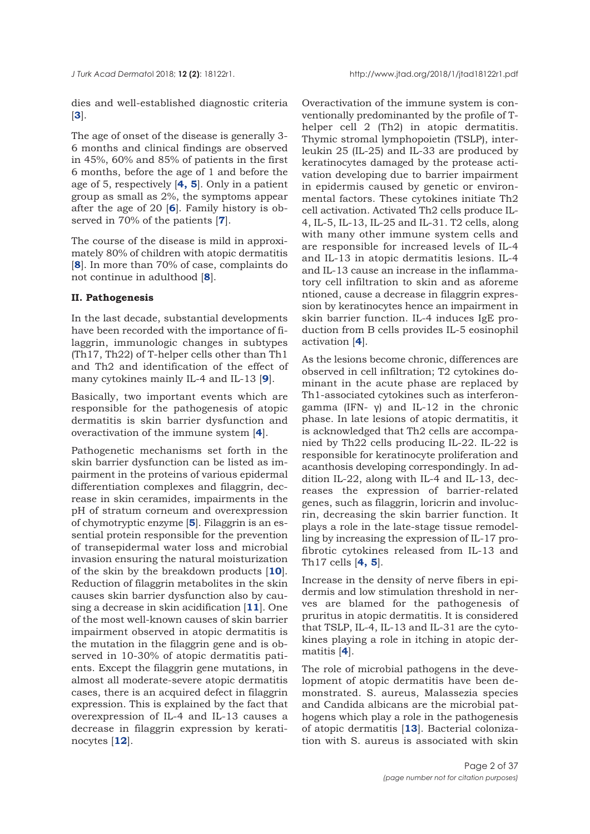dies and well-established diagnostic criteria [**[3](#page-29-0)**].

The age of onset of the disease is generally 3- 6 months and clinical findings are observed in 45%, 60% and 85% of patients in the first 6 months, before the age of 1 and before the age of 5, respectively [**[4, 5](#page-29-0)**]. Only in a patient group as small as 2%, the symptoms appear after the age of 20 [**[6](#page-30-0)**]. Family history is observed in 70% of the patients [**[7](#page-30-0)**].

The course of the disease is mild in approximately 80% of children with atopic dermatitis [**[8](#page-30-0)**]. In more than 70% of case, complaints do not continue in adulthood [**[8](#page-30-0)**].

## **II. Pathogenesis**

In the last decade, substantial developments have been recorded with the importance of filaggrin, immunologic changes in subtypes (Th17, Th22) of T-helper cells other than Th1 and Th2 and identification of the effect of many cytokines mainly IL-4 and IL-13 [**[9](#page-30-0)**].

Basically, two important events which are responsible for the pathogenesis of atopic dermatitis is skin barrier dysfunction and overactivation of the immune system [**[4](#page-30-0)**].

Pathogenetic mechanisms set forth in the skin barrier dysfunction can be listed as impairment in the proteins of various epidermal differentiation complexes and filaggrin, decrease in skin ceramides, impairments in the pH of stratum corneum and overexpression of chymotryptic enzyme [**[5](#page-30-0)**]. Filaggrin is an essential protein responsible for the prevention of transepidermal water loss and microbial invasion ensuring the natural moisturization of the skin by the breakdown products [**[10](#page-30-0)**]. Reduction of filaggrin metabolites in the skin causes skin barrier dysfunction also by causing a decrease in skin acidification [**[11](#page-30-0)**]. One of the most well-known causes of skin barrier impairment observed in atopic dermatitis is the mutation in the filaggrin gene and is observed in 10-30% of atopic dermatitis patients. Except the filaggrin gene mutations, in almost all moderate-severe atopic dermatitis cases, there is an acquired defect in filaggrin expression. This is explained by the fact that overexpression of IL-4 and IL-13 causes a decrease in filaggrin expression by keratinocytes [**[12](#page-30-0)**].

Overactivation of the immune system is conventionally predominanted by the profile of Thelper cell 2 (Th2) in atopic dermatitis. Thymic stromal lymphopoietin (TSLP), interleukin 25 (IL-25) and IL-33 are produced by keratinocytes damaged by the protease activation developing due to barrier impairment in epidermis caused by genetic or environmental factors. These cytokines initiate Th2 cell activation. Activated Th2 cells produce IL-4, IL-5, IL-13, IL-25 and IL-31. T2 cells, along with many other immune system cells and are responsible for increased levels of IL-4 and IL-13 in atopic dermatitis lesions. IL-4 and IL-13 cause an increase in the inflammatory cell infiltration to skin and as aforeme ntioned, cause a decrease in filaggrin expression by keratinocytes hence an impairment in skin barrier function. IL-4 induces IgE production from B cells provides IL-5 eosinophil activation [**[4](#page-29-0)**].

As the lesions become chronic, differences are observed in cell infiltration; T2 cytokines dominant in the acute phase are replaced by Th1-associated cytokines such as interferongamma (IFN- γ) and IL-12 in the chronic phase. In late lesions of atopic dermatitis, it is acknowledged that Th2 cells are accompanied by Th22 cells producing IL-22. IL-22 is responsible for keratinocyte proliferation and acanthosis developing correspondingly. In addition IL-22, along with IL-4 and IL-13, decreases the expression of barrier-related genes, such as filaggrin, loricrin and involucrin, decreasing the skin barrier function. It plays a role in the late-stage tissue remodelling by increasing the expression of IL-17 profibrotic cytokines released from IL-13 and Th17 cells [**[4,](#page-29-0) 5**].

Increase in the density of nerve fibers in epidermis and low stimulation threshold in nerves are blamed for the pathogenesis of pruritus in atopic dermatitis. It is considered that TSLP, IL-4, IL-13 and IL-31 are the cytokines playing a role in itching in atopic dermatitis [**[4](#page-30-0)**].

The role of microbial pathogens in the development of atopic dermatitis have been demonstrated. S. aureus, Malassezia species and Candida albicans are the microbial pathogens which play a role in the pathogenesis of atopic dermatitis [**[13](#page-30-0)**]. Bacterial colonization with S. aureus is associated with skin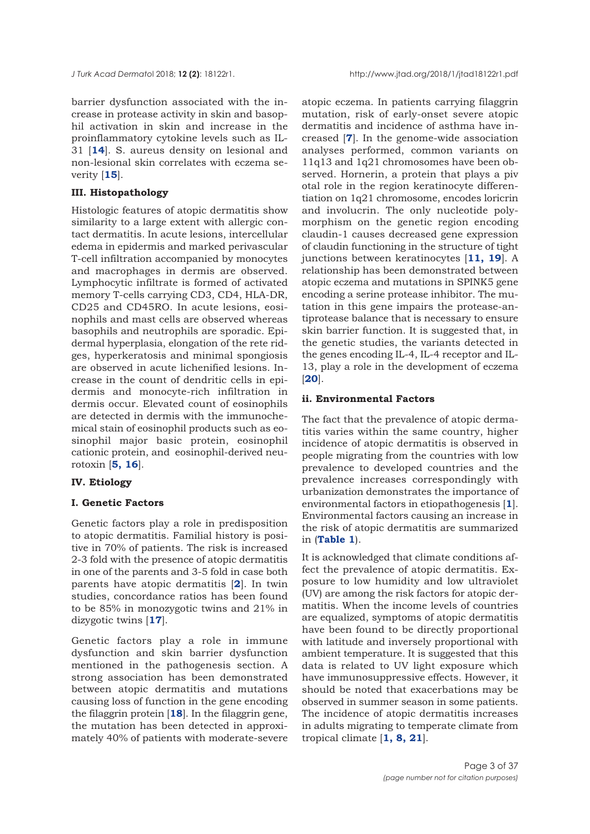barrier dysfunction associated with the increase in protease activity in skin and basophil activation in skin and increase in the proinflammatory cytokine levels such as IL-31 [**[14](#page-30-0)**]. S. aureus density on lesional and non-lesional skin correlates with eczema severity [**[15](#page-30-0)**].

## **III. Histopathology**

Histologic features of atopic dermatitis show similarity to a large extent with allergic contact dermatitis. In acute lesions, intercellular edema in epidermis and marked perivascular T-cell infiltration accompanied by monocytes and macrophages in dermis are observed. Lymphocytic infiltrate is formed of activated memory T-cells carrying CD3, CD4, HLA-DR, CD25 and CD45RO. In acute lesions, eosinophils and mast cells are observed whereas basophils and neutrophils are sporadic. Epidermal hyperplasia, elongation of the rete ridges, hyperkeratosis and minimal spongiosis are observed in acute lichenified lesions. Increase in the count of dendritic cells in epidermis and monocyte-rich infiltration in dermis occur. Elevated count of eosinophils are detected in dermis with the immunochemical stain of eosinophil products such as eosinophil major basic protein, eosinophil cationic protein, and eosinophil-derived neurotoxin [**[5](#page-30-0), [16](#page-30-0)**].

## **IV. Etiology**

## **I. Genetic Factors**

Genetic factors play a role in predisposition to atopic dermatitis. Familial history is positive in 70% of patients. The risk is increased 2-3 fold with the presence of atopic dermatitis in one of the parents and 3-5 fold in case both parents have atopic dermatitis [**[2](#page-29-0)**]. In twin studies, concordance ratios has been found to be 85% in monozygotic twins and 21% in dizygotic twins [**[17](#page-30-0)**].

Genetic factors play a role in immune dysfunction and skin barrier dysfunction mentioned in the pathogenesis section. A strong association has been demonstrated between atopic dermatitis and mutations causing loss of function in the gene encoding the filaggrin protein [**[18](#page-30-0)**]. In the filaggrin gene, the mutation has been detected in approximately 40% of patients with moderate-severe

atopic eczema. In patients carrying filaggrin mutation, risk of early-onset severe atopic dermatitis and incidence of asthma have increased [**[7](#page-29-0)**]. In the genome-wide association analyses performed, common variants on 11q13 and 1q21 chromosomes have been observed. Hornerin, a protein that plays a piv otal role in the region keratinocyte differentiation on 1q21 chromosome, encodes loricrin and involucrin. The only nucleotide polymorphism on the genetic region encoding claudin-1 causes decreased gene expression of claudin functioning in the structure of tight junctions between keratinocytes [**[11](#page-30-0), [19](#page-30-0)**]. A relationship has been demonstrated between atopic eczema and mutations in SPINK5 gene encoding a serine protease inhibitor. The mutation in this gene impairs the protease-antiprotease balance that is necessary to ensure skin barrier function. It is suggested that, in the genetic studies, the variants detected in the genes encoding IL-4, IL-4 receptor and IL-13, play a role in the development of eczema [**[20](#page-30-0)**].

#### **ii. Environmental Factors**

The fact that the prevalence of atopic dermatitis varies within the same country, higher incidence of atopic dermatitis is observed in people migrating from the countries with low prevalence to developed countries and the prevalence increases correspondingly with urbanization demonstrates the importance of environmental factors in etiopathogenesis [**[1](#page-29-0)**]. Environmental factors causing an increase in the risk of atopic dermatitis are summarized in (**[Table 1](#page-4-0)**).

It is acknowledged that climate conditions affect the prevalence of atopic dermatitis. Exposure to low humidity and low ultraviolet (UV) are among the risk factors for atopic dermatitis. When the income levels of countries are equalized, symptoms of atopic dermatitis have been found to be directly proportional with latitude and inversely proportional with ambient temperature. It is suggested that this data is related to UV light exposure which have immunosuppressive effects. However, it should be noted that exacerbations may be observed in summer season in some patients. The incidence of atopic dermatitis increases in adults migrating to temperate climate from tropical climate [**[1](#page-29-0), [8, 21](#page-30-0)**].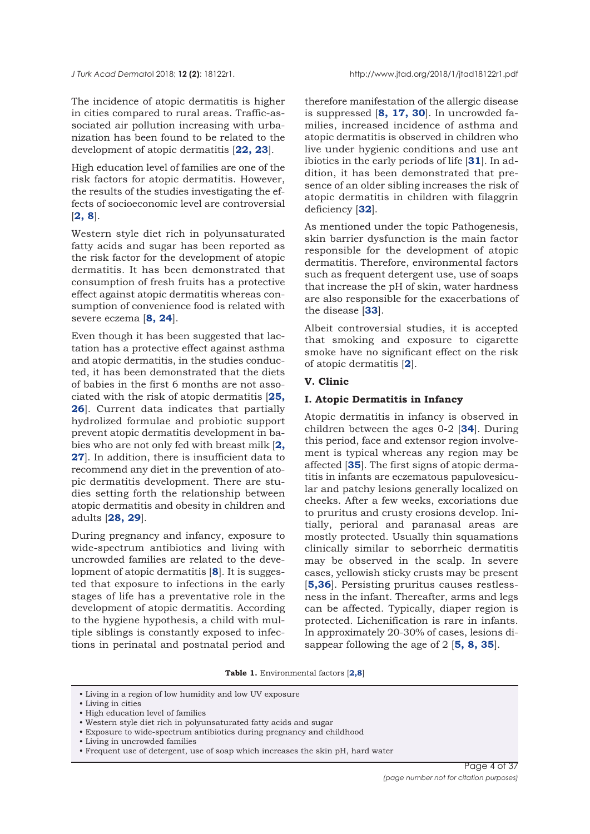The incidence of atopic dermatitis is higher in cities compared to rural areas. Traffic-associated air pollution increasing with urbanization has been found to be related to the development of atopic dermatitis [**[22,](#page-30-0) [23](#page-30-0)**].

High education level of families are one of the risk factors for atopic dermatitis. However, the results of the studies investigating the effects of socioeconomic level are controversial [**[2,](#page-29-0) [8](#page-30-0)**].

Western style diet rich in polyunsaturated fatty acids and sugar has been reported as the risk factor for the development of atopic dermatitis. It has been demonstrated that consumption of fresh fruits has a protective effect against atopic dermatitis whereas consumption of convenience food is related with severe eczema [**[8,](#page-30-0) [24](#page-30-0)**].

Even though it has been suggested that lactation has a protective effect against asthma and atopic dermatitis, in the studies conducted, it has been demonstrated that the diets of babies in the first 6 months are not associated with the risk of atopic dermatitis [**[25](#page-30-0), [26](#page-30-0)**]. Current data indicates that partially hydrolized formulae and probiotic support prevent atopic dermatitis development in babies who are not only fed with breast milk [**[2](#page-29-0),** [27](#page-30-0)]. In addition, there is insufficient data to recommend any diet in the prevention of atopic dermatitis development. There are studies setting forth the relationship between atopic dermatitis and obesity in children and adults [**[28](#page-30-0), [29](#page-30-0)**].

During pregnancy and infancy, exposure to wide-spectrum antibiotics and living with uncrowded families are related to the development of atopic dermatitis [**[8](#page-30-0)**]. It is suggested that exposure to infections in the early stages of life has a preventative role in the development of atopic dermatitis. According to the hygiene hypothesis, a child with multiple siblings is constantly exposed to infections in perinatal and postnatal period and

therefore manifestation of the allergic disease is suppressed [**[8](#page-30-0), [17,](#page-30-0) [30](#page-30-0)**]. In uncrowded families, increased incidence of asthma and atopic dermatitis is observed in children who live under hygienic conditions and use ant ibiotics in the early periods of life [**[31](#page-30-0)**]. In addition, it has been demonstrated that presence of an older sibling increases the risk of atopic dermatitis in children with filaggrin deficiency [**[32](#page-30-0)**].

As mentioned under the topic Pathogenesis, skin barrier dysfunction is the main factor responsible for the development of atopic dermatitis. Therefore, environmental factors such as frequent detergent use, use of soaps that increase the pH of skin, water hardness are also responsible for the exacerbations of the disease [**[33](#page-30-0)**].

Albeit controversial studies, it is accepted that smoking and exposure to cigarette smoke have no significant effect on the risk of atopic dermatitis [**[2](#page-29-0)**].

#### **V. Clinic**

#### **I. Atopic Dermatitis in Infancy**

Atopic dermatitis in infancy is observed in children between the ages 0-2 [**[34](#page-30-0)**]. During this period, face and extensor region involvement is typical whereas any region may be affected [**[35](#page-30-0)**]. The first signs of atopic dermatitis in infants are eczematous papulovesicular and patchy lesions generally localized on cheeks. After a few weeks, excoriations due to pruritus and crusty erosions develop. Initially, perioral and paranasal areas are mostly protected. Usually thin squamations clinically similar to seborrheic dermatitis may be observed in the scalp. In severe cases, yellowish sticky crusts may be present [**[5](#page-30-0),[36](#page-31-0)**]. Persisting pruritus causes restlessness in the infant. Thereafter, arms and legs can be affected. Typically, diaper region is protected. Lichenification is rare in infants. In approximately 20-30% of cases, lesions disappear following the age of 2 [**[5,](#page-29-0) [8,](#page-30-0) [35](#page-30-0)**].

**Table 1.** Environmental factors [**2,8**]

<sup>•</sup> Living in a region of low humidity and low UV exposure

<sup>•</sup> Living in cities

<sup>•</sup> High education level of families

<sup>•</sup> Western style diet rich in polyunsaturated fatty acids and sugar

<sup>•</sup> Exposure to wide-spectrum antibiotics during pregnancy and childhood

<sup>•</sup> Living in uncrowded families

<sup>•</sup> Frequent use of detergent, use of soap which increases the skin pH, hard water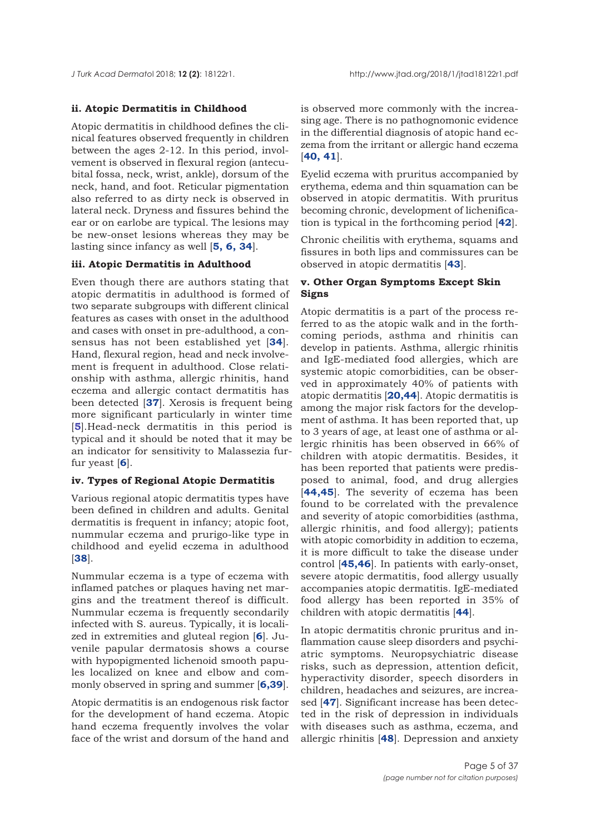## <span id="page-4-0"></span>**ii. Atopic Dermatitis in Childhood**

Atopic dermatitis in childhood defines the clinical features observed frequently in children between the ages 2-12. In this period, involvement is observed in flexural region (antecubital fossa, neck, wrist, ankle), dorsum of the neck, hand, and foot. Reticular pigmentation also referred to as dirty neck is observed in lateral neck. Dryness and fissures behind the ear or on earlobe are typical. The lesions may be new-onset lesions whereas they may be lasting since infancy as well [**[5](#page-30-0), [6,](#page-30-0) [34](#page-30-0)**].

## **iii. Atopic Dermatitis in Adulthood**

Even though there are authors stating that atopic dermatitis in adulthood is formed of two separate subgroups with different clinical features as cases with onset in the adulthood and cases with onset in pre-adulthood, a consensus has not been established yet [**[34](#page-30-0)**]. Hand, flexural region, head and neck involvement is frequent in adulthood. Close relationship with asthma, allergic rhinitis, hand eczema and allergic contact dermatitis has been detected [**[37](#page-30-0)**]. Xerosis is frequent being more significant particularly in winter time [**[5](#page-29-0)**].Head-neck dermatitis in this period is typical and it should be noted that it may be an indicator for sensitivity to Malassezia furfur yeast [**[6](#page-30-0)**].

## **iv. Types of Regional Atopic Dermatitis**

Various regional atopic dermatitis types have been defined in children and adults. Genital dermatitis is frequent in infancy; atopic foot, nummular eczema and prurigo-like type in childhood and eyelid eczema in adulthood [**[38](#page-30-0)**].

Nummular eczema is a type of eczema with inflamed patches or plaques having net margins and the treatment thereof is difficult. Nummular eczema is frequently secondarily infected with S. aureus. Typically, it is localized in extremities and gluteal region [**[6](#page-30-0)**]. Juvenile papular dermatosis shows a course with hypopigmented lichenoid smooth papules localized on knee and elbow and commonly observed in spring and summer [**[6](#page-30-0)[,39](#page-31-0)**].

Atopic dermatitis is an endogenous risk factor for the development of hand eczema. Atopic hand eczema frequently involves the volar face of the wrist and dorsum of the hand and is observed more commonly with the increasing age. There is no pathognomonic evidence in the differential diagnosis of atopic hand eczema from the irritant or allergic hand eczema  $[40, 41]$  $[40, 41]$  $[40, 41]$  $[40, 41]$  $[40, 41]$ .

Eyelid eczema with pruritus accompanied by erythema, edema and thin squamation can be observed in atopic dermatitis. With pruritus becoming chronic, development of lichenification is typical in the forthcoming period [**[42](#page-31-0)**].

Chronic cheilitis with erythema, squams and fissures in both lips and commissures can be observed in atopic dermatitis [**[43](#page-31-0)**].

## **v. Other Organ Symptoms Except Skin Signs**

Atopic dermatitis is a part of the process referred to as the atopic walk and in the forthcoming periods, asthma and rhinitis can develop in patients. Asthma, allergic rhinitis and IgE-mediated food allergies, which are systemic atopic comorbidities, can be observed in approximately 40% of patients with atopic dermatitis [**[20](#page-30-0),[44](#page-31-0)**]. Atopic dermatitis is among the major risk factors for the development of asthma. It has been reported that, up to 3 years of age, at least one of asthma or allergic rhinitis has been observed in 66% of children with atopic dermatitis. Besides, it has been reported that patients were predisposed to animal, food, and drug allergies [**44,[45](#page-31-0)**]. The severity of eczema has been found to be correlated with the prevalence and severity of atopic comorbidities (asthma, allergic rhinitis, and food allergy); patients with atopic comorbidity in addition to eczema, it is more difficult to take the disease under control [**[45,46](#page-31-0)**]. In patients with early-onset, severe atopic dermatitis, food allergy usually accompanies atopic dermatitis. IgE-mediated food allergy has been reported in 35% of children with atopic dermatitis [**[44](#page-31-0)**].

In atopic dermatitis chronic pruritus and inflammation cause sleep disorders and psychiatric symptoms. Neuropsychiatric disease risks, such as depression, attention deficit, hyperactivity disorder, speech disorders in children, headaches and seizures, are increased [**[47](#page-31-0)**]. Significant increase has been detected in the risk of depression in individuals with diseases such as asthma, eczema, and allergic rhinitis [**[48](#page-31-0)**]. Depression and anxiety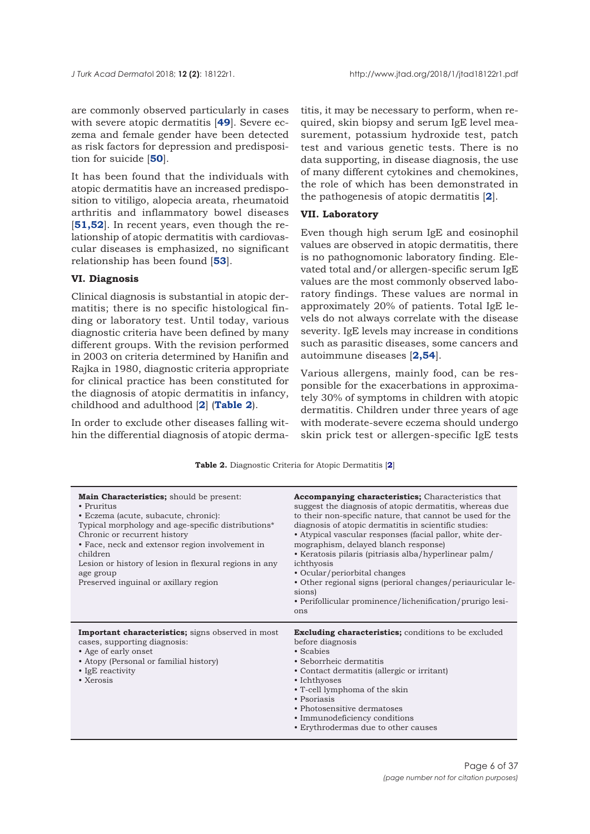are commonly observed particularly in cases with severe atopic dermatitis [**[49](#page-31-0)**]. Severe eczema and female gender have been detected as risk factors for depression and predisposition for suicide [**[50](#page-31-0)**].

It has been found that the individuals with atopic dermatitis have an increased predisposition to vitiligo, alopecia areata, rheumatoid arthritis and inflammatory bowel diseases [**[51](#page-31-0),[52](#page-31-0)**]. In recent years, even though the relationship of atopic dermatitis with cardiovascular diseases is emphasized, no significant relationship has been found [**[53](#page-31-0)**].

## **VI. Diagnosis**

Clinical diagnosis is substantial in atopic dermatitis; there is no specific histological finding or laboratory test. Until today, various diagnostic criteria have been defined by many different groups. With the revision performed in 2003 on criteria determined by Hanifin and Rajka in 1980, diagnostic criteria appropriate for clinical practice has been constituted for the diagnosis of atopic dermatitis in infancy, childhood and adulthood [**[2](#page-29-0)**] (**Table 2**).

In order to exclude other diseases falling within the differential diagnosis of atopic dermatitis, it may be necessary to perform, when required, skin biopsy and serum IgE level measurement, potassium hydroxide test, patch test and various genetic tests. There is no data supporting, in disease diagnosis, the use of many different cytokines and chemokines, the role of which has been demonstrated in the pathogenesis of atopic dermatitis [**[2](#page-29-0)**].

## **VII. Laboratory**

Even though high serum IgE and eosinophil values are observed in atopic dermatitis, there is no pathognomonic laboratory finding. Elevated total and/or allergen-specific serum IgE values are the most commonly observed laboratory findings. These values are normal in approximately 20% of patients. Total IgE levels do not always correlate with the disease severity. IgE levels may increase in conditions such as parasitic diseases, some cancers and autoimmune diseases [**[2](#page-29-0)[,54](#page-31-0)**].

Various allergens, mainly food, can be responsible for the exacerbations in approximately 30% of symptoms in children with atopic dermatitis. Children under three years of age with moderate-severe eczema should undergo skin prick test or allergen-specific IgE tests

**Table 2.** Diagnostic Criteria for Atopic Dermatitis [**[2](#page-29-0)**]

| <b>Main Characteristics;</b> should be present:<br>• Pruritus<br>• Eczema (acute, subacute, chronic):<br>Typical morphology and age-specific distributions*<br>Chronic or recurrent history<br>• Face, neck and extensor region involvement in<br>children<br>Lesion or history of lesion in flexural regions in any<br>age group<br>Preserved inguinal or axillary region | <b>Accompanying characteristics;</b> Characteristics that<br>suggest the diagnosis of atopic dermatitis, whereas due<br>to their non-specific nature, that cannot be used for the<br>diagnosis of atopic dermatitis in scientific studies:<br>• Atypical vascular responses (facial pallor, white der-<br>mographism, delayed blanch response)<br>• Keratosis pilaris (pitriasis alba/hyperlinear palm/<br>ichthyosis<br>• Ocular/periorbital changes<br>• Other regional signs (perioral changes/periauricular le-<br>sions)<br>• Perifollicular prominence/lichenification/prurigo lesi-<br>ons |
|----------------------------------------------------------------------------------------------------------------------------------------------------------------------------------------------------------------------------------------------------------------------------------------------------------------------------------------------------------------------------|---------------------------------------------------------------------------------------------------------------------------------------------------------------------------------------------------------------------------------------------------------------------------------------------------------------------------------------------------------------------------------------------------------------------------------------------------------------------------------------------------------------------------------------------------------------------------------------------------|
| <b>Important characteristics;</b> signs observed in most<br>cases, supporting diagnosis:<br>• Age of early onset<br>• Atopy (Personal or familial history)<br>• IgE reactivity<br>• Xerosis                                                                                                                                                                                | <b>Excluding characteristics;</b> conditions to be excluded<br>before diagnosis<br>• Scabies<br>• Seborrheic dermatitis<br>• Contact dermatitis (allergic or irritant)<br>• Ichthyoses<br>• T-cell lymphoma of the skin<br>• Psoriasis<br>• Photosensitive dermatoses<br>• Immunodeficiency conditions<br>• Erythrodermas due to other causes                                                                                                                                                                                                                                                     |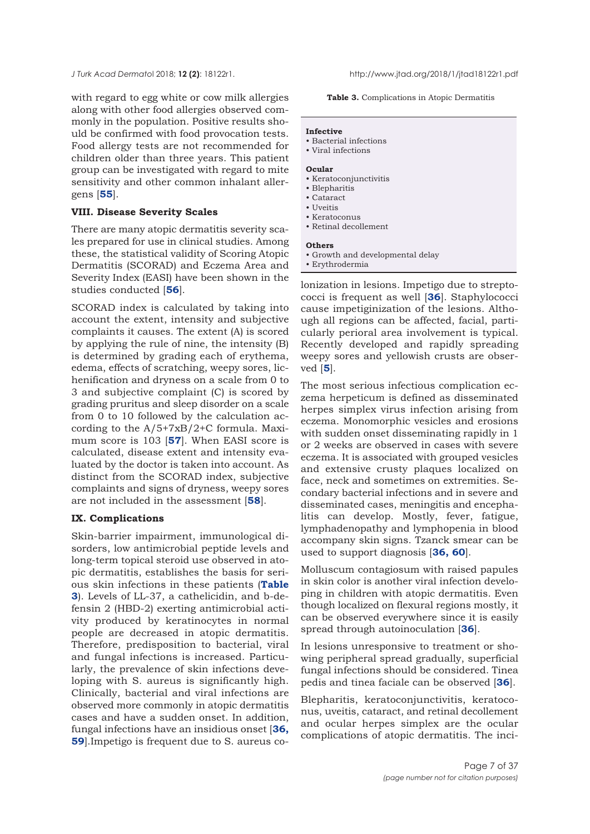with regard to egg white or cow milk allergies along with other food allergies observed commonly in the population. Positive results should be confirmed with food provocation tests. Food allergy tests are not recommended for children older than three years. This patient group can be investigated with regard to mite sensitivity and other common inhalant allergens [**[55](#page-31-0)**].

#### **VIII. Disease Severity Scales**

There are many atopic dermatitis severity scales prepared for use in clinical studies. Among these, the statistical validity of Scoring Atopic Dermatitis (SCORAD) and Eczema Area and Severity Index (EASI) have been shown in the studies conducted [**[56](#page-31-0)**].

SCORAD index is calculated by taking into account the extent, intensity and subjective complaints it causes. The extent (A) is scored by applying the rule of nine, the intensity (B) is determined by grading each of erythema, edema, effects of scratching, weepy sores, lichenification and dryness on a scale from 0 to 3 and subjective complaint (C) is scored by grading pruritus and sleep disorder on a scale from 0 to 10 followed by the calculation according to the A/5+7xB/2+C formula. Maximum score is 103 [**[57](#page-31-0)**]. When EASI score is calculated, disease extent and intensity evaluated by the doctor is taken into account. As distinct from the SCORAD index, subjective complaints and signs of dryness, weepy sores are not included in the assessment [**[58](#page-31-0)**].

#### **IX. Complications**

Skin-barrier impairment, immunological disorders, low antimicrobial peptide levels and long-term topical steroid use observed in atopic dermatitis, establishes the basis for serious skin infections in these patients (**Table 3**). Levels of LL-37, a cathelicidin, and b-defensin 2 (HBD-2) exerting antimicrobial activity produced by keratinocytes in normal people are decreased in atopic dermatitis. Therefore, predisposition to bacterial, viral and fungal infections is increased. Particularly, the prevalence of skin infections developing with S. aureus is significantly high. Clinically, bacterial and viral infections are observed more commonly in atopic dermatitis cases and have a sudden onset. In addition, fungal infections have an insidious onset [**[36](#page-30-0), [59](#page-31-0)**].Impetigo is frequent due to S. aureus co**Table 3.** Complications in Atopic Dermatitis

#### **Infective**

- Bacterial infections • Viral infections
- 

## **Ocular**

- Keratoconjunctivitis
- Blepharitis
- Cataract • Uveitis
- Keratoconus
- Retinal decollement

#### **Others**

- Growth and developmental delay
- Erythrodermia

lonization in lesions. Impetigo due to streptococci is frequent as well [**[36](#page-30-0)**]. Staphylococci cause impetiginization of the lesions. Although all regions can be affected, facial, particularly perioral area involvement is typical. Recently developed and rapidly spreading weepy sores and yellowish crusts are observed [**[5](#page-30-0)**].

The most serious infectious complication eczema herpeticum is defined as disseminated herpes simplex virus infection arising from eczema. Monomorphic vesicles and erosions with sudden onset disseminating rapidly in 1 or 2 weeks are observed in cases with severe eczema. It is associated with grouped vesicles and extensive crusty plaques localized on face, neck and sometimes on extremities. Secondary bacterial infections and in severe and disseminated cases, meningitis and encephalitis can develop. Mostly, fever, fatigue, lymphadenopathy and lymphopenia in blood accompany skin signs. Tzanck smear can be used to support diagnosis [**[36,](#page-30-0) [60](#page-31-0)**].

Molluscum contagiosum with raised papules in skin color is another viral infection developing in children with atopic dermatitis. Even though localized on flexural regions mostly, it can be observed everywhere since it is easily spread through autoinoculation [**[36](#page-30-0)**].

In lesions unresponsive to treatment or showing peripheral spread gradually, superficial fungal infections should be considered. Tinea pedis and tinea faciale can be observed [**[36](#page-30-0)**].

Blepharitis, keratoconjunctivitis, keratoconus, uveitis, cataract, and retinal decollement and ocular herpes simplex are the ocular complications of atopic dermatitis. The inci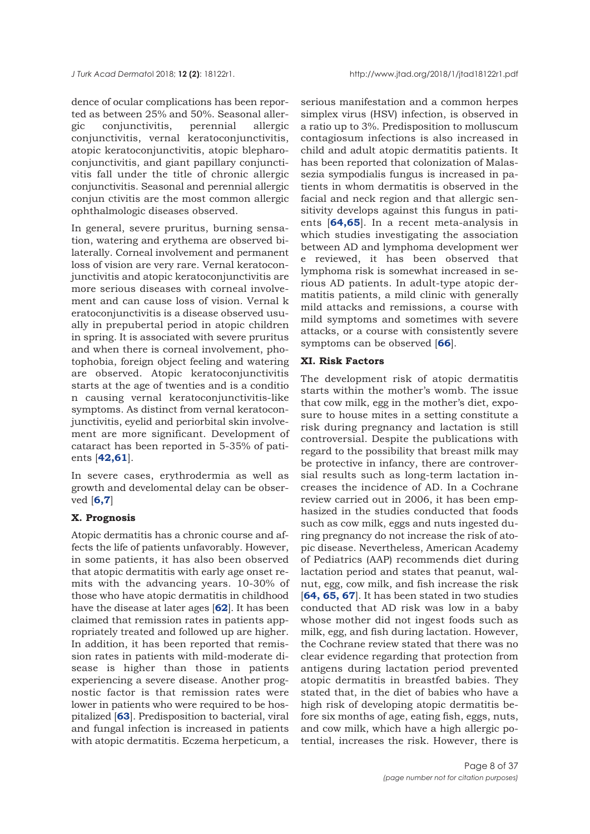dence of ocular complications has been reported as between 25% and 50%. Seasonal allergic conjunctivitis, perennial allergic conjunctivitis, vernal keratoconjunctivitis, atopic keratoconjunctivitis, atopic blepharoconjunctivitis, and giant papillary conjunctivitis fall under the title of chronic allergic conjunctivitis. Seasonal and perennial allergic conjun ctivitis are the most common allergic ophthalmologic diseases observed.

In general, severe pruritus, burning sensation, watering and erythema are observed bilaterally. Corneal involvement and permanent loss of vision are very rare. Vernal keratoconjunctivitis and atopic keratoconjunctivitis are more serious diseases with corneal involvement and can cause loss of vision. Vernal k eratoconjunctivitis is a disease observed usually in prepubertal period in atopic children in spring. It is associated with severe pruritus and when there is corneal involvement, photophobia, foreign object feeling and watering are observed. Atopic keratoconjunctivitis starts at the age of twenties and is a conditio n causing vernal keratoconjunctivitis-like symptoms. As distinct from vernal keratoconjunctivitis, eyelid and periorbital skin involvement are more significant. Development of cataract has been reported in 5-35% of patients [**[42](#page-31-0),[61](#page-31-0)**].

In severe cases, erythrodermia as well as growth and develomental delay can be observed [**[6,](#page-29-0)[7](#page-30-0)**]

#### **X. Prognosis**

Atopic dermatitis has a chronic course and affects the life of patients unfavorably. However, in some patients, it has also been observed that atopic dermatitis with early age onset remits with the advancing years. 10-30% of those who have atopic dermatitis in childhood have the disease at later ages [**[62](#page-31-0)**]. It has been claimed that remission rates in patients appropriately treated and followed up are higher. In addition, it has been reported that remission rates in patients with mild-moderate disease is higher than those in patients experiencing a severe disease. Another prognostic factor is that remission rates were lower in patients who were required to be hospitalized [**[63](#page-31-0)**]. Predisposition to bacterial, viral and fungal infection is increased in patients with atopic dermatitis. Eczema herpeticum, a

serious manifestation and a common herpes simplex virus (HSV) infection, is observed in a ratio up to 3%. Predisposition to molluscum contagiosum infections is also increased in child and adult atopic dermatitis patients. It has been reported that colonization of Malassezia sympodialis fungus is increased in patients in whom dermatitis is observed in the facial and neck region and that allergic sensitivity develops against this fungus in patients [**[64,](#page-31-0)[65](#page-32-0)**]. In a recent meta-analysis in which studies investigating the association between AD and lymphoma development wer e reviewed, it has been observed that lymphoma risk is somewhat increased in serious AD patients. In adult-type atopic dermatitis patients, a mild clinic with generally mild attacks and remissions, a course with mild symptoms and sometimes with severe attacks, or a course with consistently severe symptoms can be observed [**[66](#page-32-0)**].

#### **XI. Risk Factors**

The development risk of atopic dermatitis starts within the mother's womb. The issue that cow milk, egg in the mother's diet, exposure to house mites in a setting constitute a risk during pregnancy and lactation is still controversial. Despite the publications with regard to the possibility that breast milk may be protective in infancy, there are controversial results such as long-term lactation increases the incidence of AD. In a Cochrane review carried out in 2006, it has been emphasized in the studies conducted that foods such as cow milk, eggs and nuts ingested during pregnancy do not increase the risk of atopic disease. Nevertheless, American Academy of Pediatrics (AAP) recommends diet during lactation period and states that peanut, walnut, egg, cow milk, and fish increase the risk [**[64, 65,](#page-31-0) [67](#page-32-0)**]. It has been stated in two studies conducted that AD risk was low in a baby whose mother did not ingest foods such as milk, egg, and fish during lactation. However, the Cochrane review stated that there was no clear evidence regarding that protection from antigens during lactation period prevented atopic dermatitis in breastfed babies. They stated that, in the diet of babies who have a high risk of developing atopic dermatitis before six months of age, eating fish, eggs, nuts, and cow milk, which have a high allergic potential, increases the risk. However, there is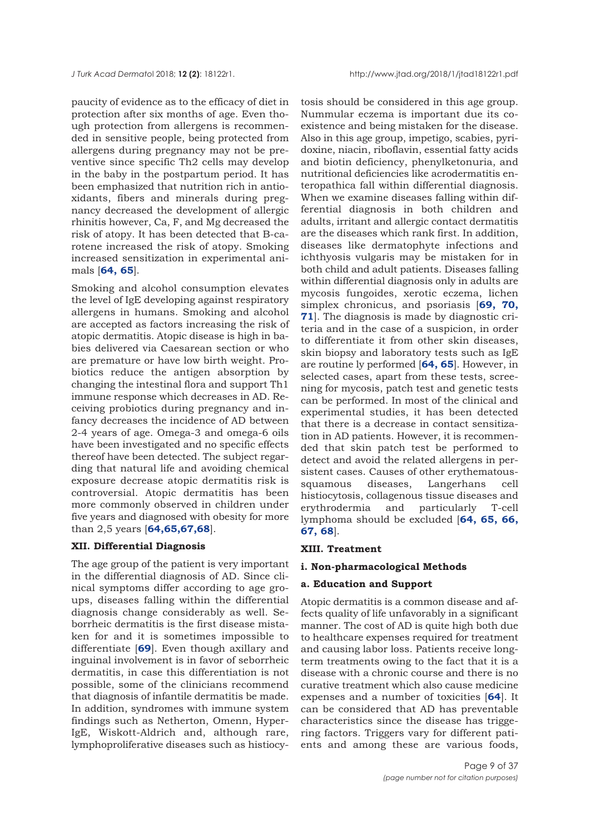paucity of evidence as to the efficacy of diet in protection after six months of age. Even though protection from allergens is recommended in sensitive people, being protected from allergens during pregnancy may not be preventive since specific Th2 cells may develop in the baby in the postpartum period. It has been emphasized that nutrition rich in antioxidants, fibers and minerals during pregnancy decreased the development of allergic rhinitis however, Ca, F, and Mg decreased the risk of atopy. It has been detected that B-carotene increased the risk of atopy. Smoking increased sensitization in experimental animals [**[64,](#page-31-0) [65](#page-31-0)**].

Smoking and alcohol consumption elevates the level of IgE developing against respiratory allergens in humans. Smoking and alcohol are accepted as factors increasing the risk of atopic dermatitis. Atopic disease is high in babies delivered via Caesarean section or who are premature or have low birth weight. Probiotics reduce the antigen absorption by changing the intestinal flora and support Th1 immune response which decreases in AD. Receiving probiotics during pregnancy and infancy decreases the incidence of AD between 2-4 years of age. Omega-3 and omega-6 oils have been investigated and no specific effects thereof have been detected. The subject regarding that natural life and avoiding chemical exposure decrease atopic dermatitis risk is controversial. Atopic dermatitis has been more commonly observed in children under five years and diagnosed with obesity for more than 2,5 years [**[64](#page-31-0),[65,67](#page-31-0),[68](#page-32-0)**].

#### **XII. Differential Diagnosis**

The age group of the patient is very important in the differential diagnosis of AD. Since clinical symptoms differ according to age groups, diseases falling within the differential diagnosis change considerably as well. Seborrheic dermatitis is the first disease mistaken for and it is sometimes impossible to differentiate [**[69](#page-32-0)**]. Even though axillary and inguinal involvement is in favor of seborrheic dermatitis, in case this differentiation is not possible, some of the clinicians recommend that diagnosis of infantile dermatitis be made. In addition, syndromes with immune system findings such as Netherton, Omenn, Hyper-IgE, Wiskott-Aldrich and, although rare, lymphoproliferative diseases such as histiocytosis should be considered in this age group. Nummular eczema is important due its coexistence and being mistaken for the disease. Also in this age group, impetigo, scabies, pyridoxine, niacin, riboflavin, essential fatty acids and biotin deficiency, phenylketonuria, and nutritional deficiencies like acrodermatitis enteropathica fall within differential diagnosis. When we examine diseases falling within differential diagnosis in both children and adults, irritant and allergic contact dermatitis are the diseases which rank first. In addition, diseases like dermatophyte infections and ichthyosis vulgaris may be mistaken for in both child and adult patients. Diseases falling within differential diagnosis only in adults are mycosis fungoides, xerotic eczema, lichen simplex chronicus, and psoriasis [**[69](#page-32-0), [70,](#page-32-0) [71](#page-32-0)**]. The diagnosis is made by diagnostic criteria and in the case of a suspicion, in order to differentiate it from other skin diseases, skin biopsy and laboratory tests such as IgE are routine ly performed [**[64, 65](#page-31-0)**]. However, in selected cases, apart from these tests, screening for mycosis, patch test and genetic tests can be performed. In most of the clinical and experimental studies, it has been detected that there is a decrease in contact sensitization in AD patients. However, it is recommended that skin patch test be performed to detect and avoid the related allergens in persistent cases. Causes of other erythematoussquamous diseases, Langerhans cell histiocytosis, collagenous tissue diseases and erythrodermia and particularly T-cell lymphoma should be excluded [**[64,](#page-31-0) [65,](#page-31-0) [66,](#page-31-0) [67,](#page-32-0) [68](#page-32-0)**].

#### **XIII. Treatment**

#### **i. Non-pharmacological Methods**

#### **a. Education and Support**

Atopic dermatitis is a common disease and affects quality of life unfavorably in a significant manner. The cost of AD is quite high both due to healthcare expenses required for treatment and causing labor loss. Patients receive longterm treatments owing to the fact that it is a disease with a chronic course and there is no curative treatment which also cause medicine expenses and a number of toxicities [**[64](#page-32-0)**]. It can be considered that AD has preventable characteristics since the disease has triggering factors. Triggers vary for different patients and among these are various foods,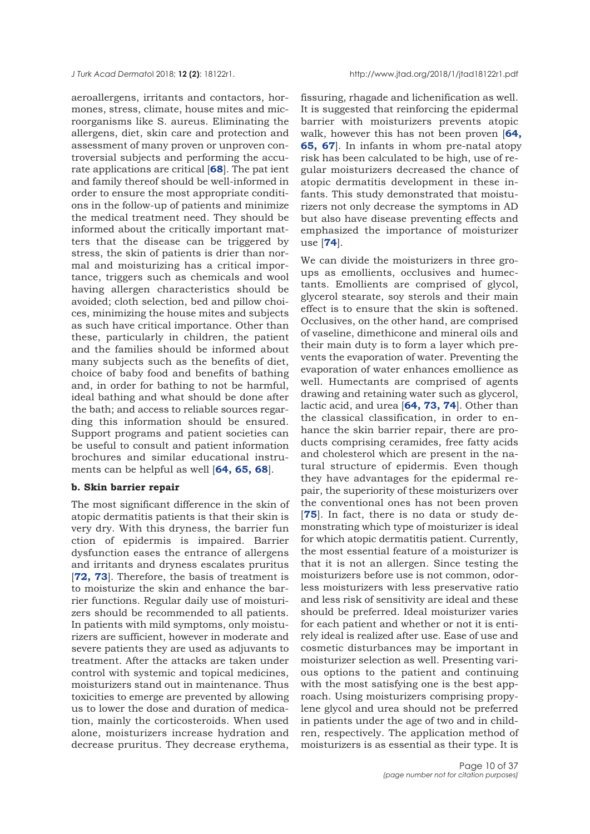aeroallergens, irritants and contactors, hormones, stress, climate, house mites and microorganisms like S. aureus. Eliminating the allergens, diet, skin care and protection and assessment of many proven or unproven controversial subjects and performing the accurate applications are critical [**[68](#page-32-0)**]. The pat ient and family thereof should be well-informed in order to ensure the most appropriate conditions in the follow-up of patients and minimize the medical treatment need. They should be informed about the critically important matters that the disease can be triggered by stress, the skin of patients is drier than normal and moisturizing has a critical importance, triggers such as chemicals and wool having allergen characteristics should be avoided; cloth selection, bed and pillow choices, minimizing the house mites and subjects as such have critical importance. Other than these, particularly in children, the patient and the families should be informed about many subjects such as the benefits of diet, choice of baby food and benefits of bathing and, in order for bathing to not be harmful, ideal bathing and what should be done after the bath; and access to reliable sources regarding this information should be ensured. Support programs and patient societies can be useful to consult and patient information brochures and similar educational instruments can be helpful as well [**[64, 65,](#page-31-0) [68](#page-32-0)**].

#### **b. Skin barrier repair**

The most significant difference in the skin of atopic dermatitis patients is that their skin is very dry. With this dryness, the barrier fun ction of epidermis is impaired. Barrier dysfunction eases the entrance of allergens and irritants and dryness escalates pruritus [[72, 73](#page-32-0)]. Therefore, the basis of treatment is to moisturize the skin and enhance the barrier functions. Regular daily use of moisturizers should be recommended to all patients. In patients with mild symptoms, only moisturizers are sufficient, however in moderate and severe patients they are used as adjuvants to treatment. After the attacks are taken under control with systemic and topical medicines, moisturizers stand out in maintenance. Thus toxicities to emerge are prevented by allowing us to lower the dose and duration of medication, mainly the corticosteroids. When used alone, moisturizers increase hydration and decrease pruritus. They decrease erythema,

fissuring, rhagade and lichenification as well. It is suggested that reinforcing the epidermal barrier with moisturizers prevents atopic walk, however this has not been proven [**[64](#page-31-0), 6[5](#page-31-0), [67](#page-32-0)**]. In infants in whom pre-natal atopy risk has been calculated to be high, use of regular moisturizers decreased the chance of atopic dermatitis development in these infants. This study demonstrated that moisturizers not only decrease the symptoms in AD but also have disease preventing effects and emphasized the importance of moisturizer use [**[74](#page-32-0)**].

We can divide the moisturizers in three groups as emollients, occlusives and humectants. Emollients are comprised of glycol, glycerol stearate, soy sterols and their main effect is to ensure that the skin is softened. Occlusives, on the other hand, are comprised of vaseline, dimethicone and mineral oils and their main duty is to form a layer which prevents the evaporation of water. Preventing the evaporation of water enhances emollience as well. Humectants are comprised of agents drawing and retaining water such as glycerol, lactic acid, and urea [**[64](#page-31-0), [73, 74](#page-32-0)**]. Other than the classical classification, in order to enhance the skin barrier repair, there are products comprising ceramides, free fatty acids and cholesterol which are present in the natural structure of epidermis. Even though they have advantages for the epidermal repair, the superiority of these moisturizers over the conventional ones has not been proven [**[75](#page-32-0)**]. In fact, there is no data or study demonstrating which type of moisturizer is ideal for which atopic dermatitis patient. Currently, the most essential feature of a moisturizer is that it is not an allergen. Since testing the moisturizers before use is not common, odorless moisturizers with less preservative ratio and less risk of sensitivity are ideal and these should be preferred. Ideal moisturizer varies for each patient and whether or not it is entirely ideal is realized after use. Ease of use and cosmetic disturbances may be important in moisturizer selection as well. Presenting various options to the patient and continuing with the most satisfying one is the best approach. Using moisturizers comprising propylene glycol and urea should not be preferred in patients under the age of two and in children, respectively. The application method of moisturizers is as essential as their type. It is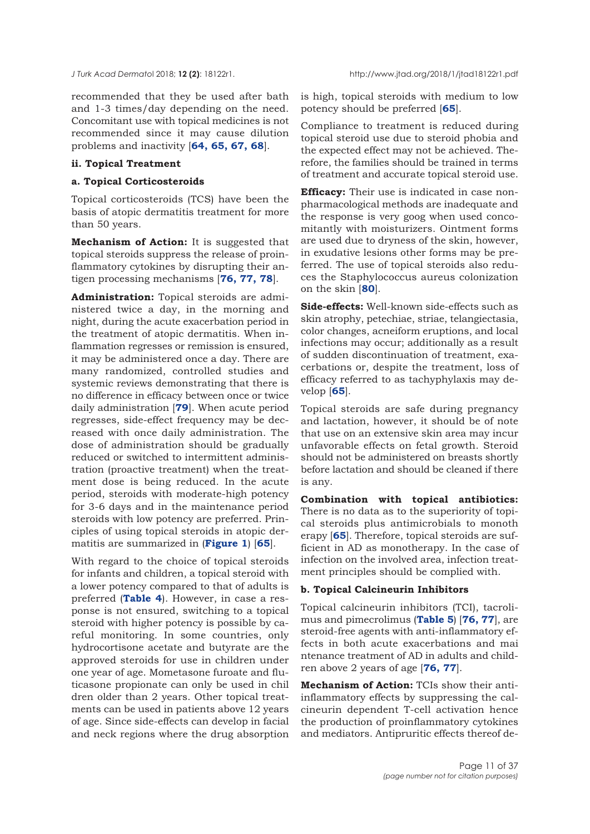recommended that they be used after bath and 1-3 times/day depending on the need. Concomitant use with topical medicines is not recommended since it may cause dilution problems and inactivity [**[64](#page-31-0), [65](#page-31-0), [67](#page-31-0), [68](#page-32-0)**].

#### **ii. Topical Treatment**

#### **a. Topical Corticosteroids**

Topical corticosteroids (TCS) have been the basis of atopic dermatitis treatment for more than 50 years.

**Mechanism of Action:** It is suggested that topical steroids suppress the release of proinflammatory cytokines by disrupting their antigen processing mechanisms [**[76](#page-32-0), [77](#page-32-0), [78](#page-32-0)**].

**Administration:** Topical steroids are administered twice a day, in the morning and night, during the acute exacerbation period in the treatment of atopic dermatitis. When inflammation regresses or remission is ensured, it may be administered once a day. There are many randomized, controlled studies and systemic reviews demonstrating that there is no difference in efficacy between once or twice daily administration [**[79](#page-32-0)**]. When acute period regresses, side-effect frequency may be decreased with once daily administration. The dose of administration should be gradually reduced or switched to intermittent administration (proactive treatment) when the treatment dose is being reduced. In the acute period, steroids with moderate-high potency for 3-6 days and in the maintenance period steroids with low potency are preferred. Principles of using topical steroids in atopic dermatitis are summarized in (**[Figure 1](#page-11-0)**) [**[65](#page-31-0)**].

With regard to the choice of topical steroids for infants and children, a topical steroid with a lower potency compared to that of adults is preferred (**[Table 4](#page-11-0)**). However, in case a response is not ensured, switching to a topical steroid with higher potency is possible by careful monitoring. In some countries, only hydrocortisone acetate and butyrate are the approved steroids for use in children under one year of age. Mometasone furoate and fluticasone propionate can only be used in chil dren older than 2 years. Other topical treatments can be used in patients above 12 years of age. Since side-effects can develop in facial and neck regions where the drug absorption is high, topical steroids with medium to low potency should be preferred [**[65](#page-31-0)**].

Compliance to treatment is reduced during topical steroid use due to steroid phobia and the expected effect may not be achieved. Therefore, the families should be trained in terms of treatment and accurate topical steroid use.

**Efficacy:** Their use is indicated in case nonpharmacological methods are inadequate and the response is very goog when used concomitantly with moisturizers. Ointment forms are used due to dryness of the skin, however, in exudative lesions other forms may be preferred. The use of topical steroids also reduces the Staphylococcus aureus colonization on the skin [**[80](#page-32-0)**].

**Side-effects:** Well-known side-effects such as skin atrophy, petechiae, striae, telangiectasia, color changes, acneiform eruptions, and local infections may occur; additionally as a result of sudden discontinuation of treatment, exacerbations or, despite the treatment, loss of efficacy referred to as tachyphylaxis may develop [**[65](#page-31-0)**].

Topical steroids are safe during pregnancy and lactation, however, it should be of note that use on an extensive skin area may incur unfavorable effects on fetal growth. Steroid should not be administered on breasts shortly before lactation and should be cleaned if there is any.

**Combination with topical antibiotics:** There is no data as to the superiority of topical steroids plus antimicrobials to monoth erapy [**[65](#page-32-0)**]. Therefore, topical steroids are sufficient in AD as monotherapy. In the case of infection on the involved area, infection treatment principles should be complied with.

#### **b. Topical Calcineurin Inhibitors**

Topical calcineurin inhibitors (TCI), tacrolimus and pimecrolimus (**[Table 5](#page-12-0)**) [**[76, 77](#page-32-0)**], are steroid-free agents with anti-inflammatory effects in both acute exacerbations and mai ntenance treatment of AD in adults and children above 2 years of age [**[76, 77](#page-32-0)**].

**Mechanism of Action:** TCIs show their antiinflammatory effects by suppressing the calcineurin dependent T-cell activation hence the production of proinflammatory cytokines and mediators. Antipruritic effects thereof de-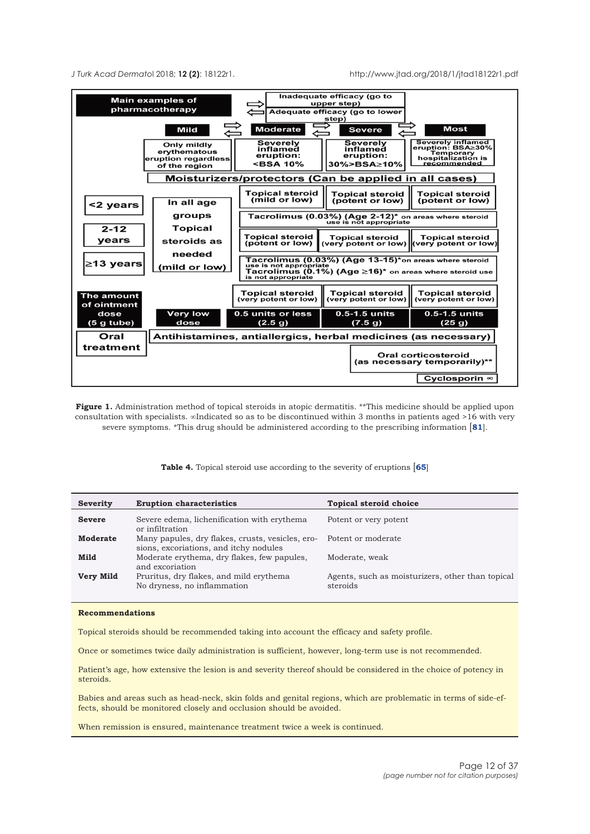<span id="page-11-0"></span>

**Figure 1.** Administration method of topical steroids in atopic dermatitis. \*\*This medicine should be applied upon consultation with specialists. ∞Indicated so as to be discontinued within 3 months in patients aged >16 with very severe symptoms. \*This drug should be administered according to the prescribing information [**[81](#page-32-0)**].

**Table 4.** Topical steroid use according to the severity of eruptions [**[65](#page-31-0)**]

| Severity        | <b>Eruption characteristics</b>                                                            | <b>Topical steroid choice</b>                                |
|-----------------|--------------------------------------------------------------------------------------------|--------------------------------------------------------------|
| <b>Severe</b>   | Severe edema, lichenification with erythema<br>or infiltration                             | Potent or very potent                                        |
| <b>Moderate</b> | Many papules, dry flakes, crusts, vesicles, ero-<br>sions, excoriations, and itchy nodules | Potent or moderate                                           |
| Mild            | Moderate erythema, dry flakes, few papules,<br>and excoriation                             | Moderate, weak                                               |
| Very Mild       | Pruritus, dry flakes, and mild erythema<br>No dryness, no inflammation                     | Agents, such as moisturizers, other than topical<br>steroids |

#### **Recommendations**

Topical steroids should be recommended taking into account the efficacy and safety profile.

Once or sometimes twice daily administration is sufficient, however, long-term use is not recommended.

Patient's age, how extensive the lesion is and severity thereof should be considered in the choice of potency in steroids.

Babies and areas such as head-neck, skin folds and genital regions, which are problematic in terms of side-effects, should be monitored closely and occlusion should be avoided.

When remission is ensured, maintenance treatment twice a week is continued.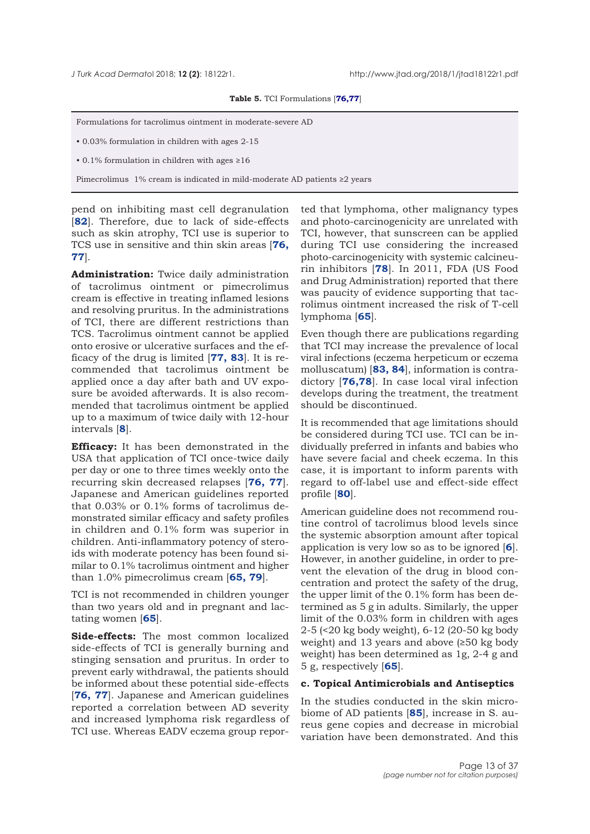#### **Table 5.** TCI Formulations [**[76,77](#page-32-0)**]

<span id="page-12-0"></span>Formulations for tacrolimus ointment in moderate-severe AD

• 0.03% formulation in children with ages 2-15

• 0.1% formulation in children with ages ≥16

Pimecrolimus 1% cream is indicated in mild-moderate AD patients ≥2 years

pend on inhibiting mast cell degranulation [**[82](#page-32-0)**]. Therefore, due to lack of side-effects such as skin atrophy, TCI use is superior to TCS use in sensitive and thin skin areas [**[76](#page-32-0), [77](#page-32-0)**].

**Administration:** Twice daily administration of tacrolimus ointment or pimecrolimus cream is effective in treating inflamed lesions and resolving pruritus. In the administrations of TCI, there are different restrictions than TCS. Tacrolimus ointment cannot be applied onto erosive or ulcerative surfaces and the efficacy of the drug is limited [**[77,](#page-32-0) [83](#page-32-0)**]. It is recommended that tacrolimus ointment be applied once a day after bath and UV exposure be avoided afterwards. It is also recommended that tacrolimus ointment be applied up to a maximum of twice daily with 12-hour intervals [**[8](#page-30-0)**].

**Efficacy:** It has been demonstrated in the USA that application of TCI once-twice daily per day or one to three times weekly onto the recurring skin decreased relapses [**[76,](#page-32-0) [77](#page-32-0)**]. Japanese and American guidelines reported that 0.03% or 0.1% forms of tacrolimus demonstrated similar efficacy and safety profiles in children and 0.1% form was superior in children. Anti-inflammatory potency of steroids with moderate potency has been found similar to 0.1% tacrolimus ointment and higher than 1.0% pimecrolimus cream [**[65,](#page-31-0) [79](#page-32-0)**].

TCI is not recommended in children younger than two years old and in pregnant and lactating women [**[65](#page-32-0)**].

**Side-effects:** The most common localized side-effects of TCI is generally burning and stinging sensation and pruritus. In order to prevent early withdrawal, the patients should be informed about these potential side-effects [**[76](#page-32-0), [77](#page-32-0)**]. Japanese and American guidelines reported a correlation between AD severity and increased lymphoma risk regardless of TCI use. Whereas EADV eczema group repor-

ted that lymphoma, other malignancy types and photo-carcinogenicity are unrelated with TCI, however, that sunscreen can be applied during TCI use considering the increased photo-carcinogenicity with systemic calcineurin inhibitors [**[78](#page-32-0)**]. In 2011, FDA (US Food and Drug Administration) reported that there was paucity of evidence supporting that tacrolimus ointment increased the risk of T-cell lymphoma [**[65](#page-31-0)**].

Even though there are publications regarding that TCI may increase the prevalence of local viral infections (eczema herpeticum or eczema molluscatum) [**[83](#page-32-0), [84](#page-32-0)**], information is contradictory [**[76,78](#page-32-0)**]. In case local viral infection develops during the treatment, the treatment should be discontinued.

It is recommended that age limitations should be considered during TCI use. TCI can be individually preferred in infants and babies who have severe facial and cheek eczema. In this case, it is important to inform parents with regard to off-label use and effect-side effect profile [**[80](#page-32-0)**].

American guideline does not recommend routine control of tacrolimus blood levels since the systemic absorption amount after topical application is very low so as to be ignored [**6**]. However, in another guideline, in order to prevent the elevation of the drug in blood concentration and protect the safety of the drug, the upper limit of the 0.1% form has been determined as 5 g in adults. Similarly, the upper limit of the 0.03% form in children with ages 2-5 (<20 kg body weight), 6-12 (20-50 kg body weight) and 13 years and above (≥50 kg body weight) has been determined as 1g, 2-4 g and 5 g, respectively [**[65](#page-31-0)**].

#### **c. Topical Antimicrobials and Antiseptics**

In the studies conducted in the skin microbiome of AD patients [**[85](#page-32-0)**], increase in S. aureus gene copies and decrease in microbial variation have been demonstrated. And this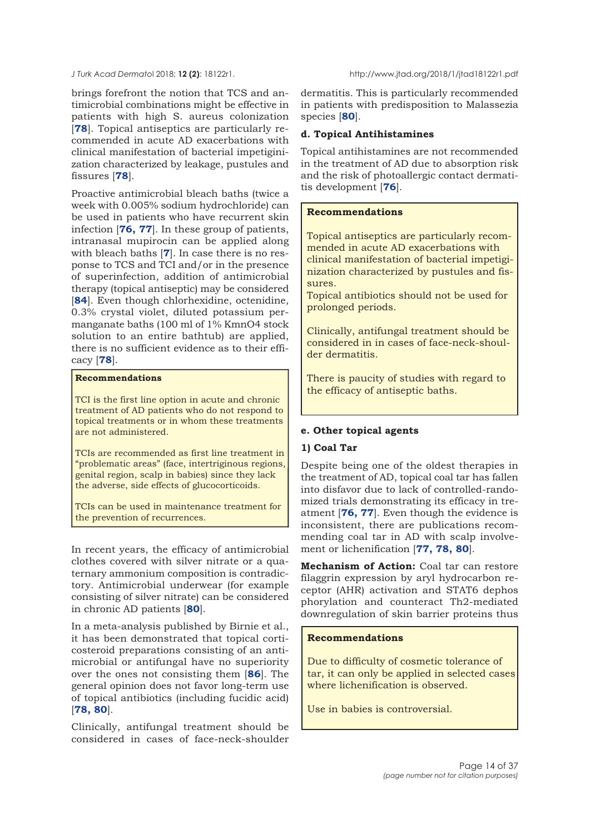brings forefront the notion that TCS and antimicrobial combinations might be effective in patients with high S. aureus colonization [**[78](#page-32-0)**]. Topical antiseptics are particularly recommended in acute AD exacerbations with clinical manifestation of bacterial impetiginization characterized by leakage, pustules and fissures [**[78](#page-32-0)**].

Proactive antimicrobial bleach baths (twice a week with 0.005% sodium hydrochloride) can be used in patients who have recurrent skin infection [**[76, 77](#page-32-0)**]. In these group of patients, intranasal mupirocin can be applied along with bleach baths [**[7](#page-30-0)**]. In case there is no response to TCS and TCI and/or in the presence of superinfection, addition of antimicrobial therapy (topical antiseptic) may be considered [**[84](#page-32-0)**]. Even though chlorhexidine, octenidine, 0.3% crystal violet, diluted potassium permanganate baths (100 ml of 1% KmnO4 stock solution to an entire bathtub) are applied, there is no sufficient evidence as to their efficacy [**[78](#page-32-0)**].

## **Recommendations**

TCI is the first line option in acute and chronic treatment of AD patients who do not respond to topical treatments or in whom these treatments are not administered.

TCIs are recommended as first line treatment in "problematic areas" (face, intertriginous regions, genital region, scalp in babies) since they lack the adverse, side effects of glucocorticoids.

TCIs can be used in maintenance treatment for the prevention of recurrences.

In recent years, the efficacy of antimicrobial clothes covered with silver nitrate or a quaternary ammonium composition is contradictory. Antimicrobial underwear (for example consisting of silver nitrate) can be considered in chronic AD patients [**[80](#page-32-0)**].

In a meta-analysis published by Birnie et al., it has been demonstrated that topical corticosteroid preparations consisting of an antimicrobial or antifungal have no superiority over the ones not consisting them [**[86](#page-32-0)**]. The general opinion does not favor long-term use of topical antibiotics (including fucidic acid) [**[78, 80](#page-32-0)**].

Clinically, antifungal treatment should be considered in cases of face-neck-shoulder

dermatitis. This is particularly recommended in patients with predisposition to Malassezia species [**[80](#page-32-0)**].

## **d. Topical Antihistamines**

Topical antihistamines are not recommended in the treatment of AD due to absorption risk and the risk of photoallergic contact dermatitis development [**[76](#page-32-0)**].

## **Recommendations**

Topical antiseptics are particularly recommended in acute AD exacerbations with clinical manifestation of bacterial impetiginization characterized by pustules and fissures.

Topical antibiotics should not be used for prolonged periods.

Clinically, antifungal treatment should be considered in in cases of face-neck-shoulder dermatitis.

There is paucity of studies with regard to the efficacy of antiseptic baths.

## **e. Other topical agents**

## **1) Coal Tar**

Despite being one of the oldest therapies in the treatment of AD, topical coal tar has fallen into disfavor due to lack of controlled-randomized trials demonstrating its efficacy in treatment [**[76, 77](#page-32-0)**]. Even though the evidence is inconsistent, there are publications recommending coal tar in AD with scalp involvement or lichenification [**[77, 78, 80](#page-32-0)**].

**Mechanism of Action:** Coal tar can restore filaggrin expression by aryl hydrocarbon receptor (AHR) activation and STAT6 dephos phorylation and counteract Th2-mediated downregulation of skin barrier proteins thus

#### **Recommendations**

Due to difficulty of cosmetic tolerance of tar, it can only be applied in selected cases where lichenification is observed.

Use in babies is controversial.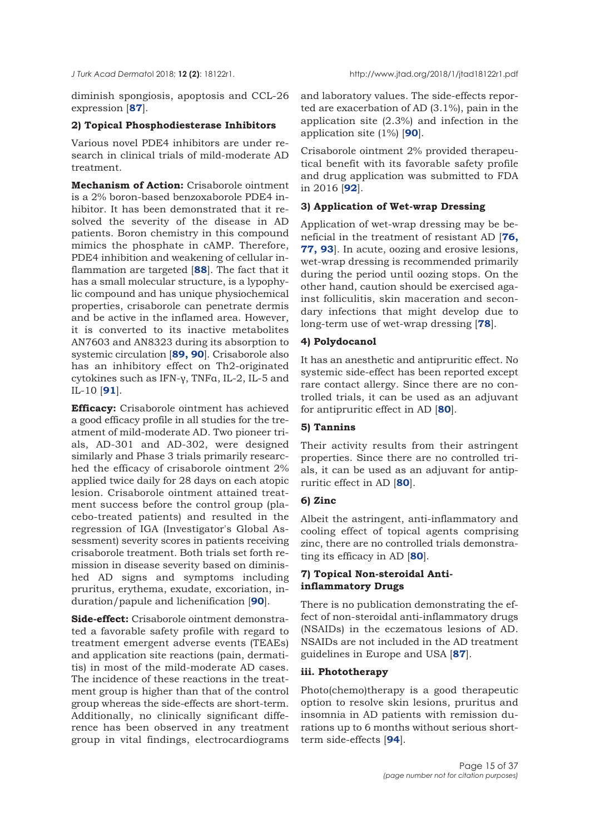diminish spongiosis, apoptosis and CCL-26 expression [**[87](#page-32-0)**].

## **2) Topical Phosphodiesterase Inhibitors**

Various novel PDE4 inhibitors are under research in clinical trials of mild-moderate AD treatment.

**Mechanism of Action:** Crisaborole ointment is a 2% boron-based benzoxaborole PDE4 inhibitor. It has been demonstrated that it resolved the severity of the disease in AD patients. Boron chemistry in this compound mimics the phosphate in cAMP. Therefore, PDE4 inhibition and weakening of cellular inflammation are targeted [**[88](#page-32-0)**]. The fact that it has a small molecular structure, is a lypophylic compound and has unique physiochemical properties, crisaborole can penetrate dermis and be active in the inflamed area. However, it is converted to its inactive metabolites AN7603 and AN8323 during its absorption to systemic circulation [**[89, 90](#page-32-0)**]. Crisaborole also has an inhibitory effect on Th2-originated cytokines such as IFN-γ, TNFα, IL-2, IL-5 and IL-10 [**[91](#page-32-0)**].

**Efficacy:** Crisaborole ointment has achieved a good efficacy profile in all studies for the treatment of mild-moderate AD. Two pioneer trials, AD-301 and AD-302, were designed similarly and Phase 3 trials primarily researched the efficacy of crisaborole ointment 2% applied twice daily for 28 days on each atopic lesion. Crisaborole ointment attained treatment success before the control group (placebo-treated patients) and resulted in the regression of IGA (Investigator's Global Assessment) severity scores in patients receiving crisaborole treatment. Both trials set forth remission in disease severity based on diminished AD signs and symptoms including pruritus, erythema, exudate, excoriation, induration/papule and lichenification [**[90](#page-32-0)**].

**Side-effect:** Crisaborole ointment demonstrated a favorable safety profile with regard to treatment emergent adverse events (TEAEs) and application site reactions (pain, dermatitis) in most of the mild-moderate AD cases. The incidence of these reactions in the treatment group is higher than that of the control group whereas the side-effects are short-term. Additionally, no clinically significant difference has been observed in any treatment group in vital findings, electrocardiograms and laboratory values. The side-effects reported are exacerbation of AD (3.1%), pain in the application site (2.3%) and infection in the application site (1%) [**[90](#page-32-0)**].

Crisaborole ointment 2% provided therapeutical benefit with its favorable safety profile and drug application was submitted to FDA in 2016 [**[92](#page-32-0)**].

#### **3) Application of Wet-wrap Dressing**

Application of wet-wrap dressing may be beneficial in the treatment of resistant AD [**[76,](#page-32-0) [77,](#page-32-0) [93](#page-32-0)**]. In acute, oozing and erosive lesions, wet-wrap dressing is recommended primarily during the period until oozing stops. On the other hand, caution should be exercised against folliculitis, skin maceration and secondary infections that might develop due to long-term use of wet-wrap dressing [**[78](#page-32-0)**].

## **4) Polydocanol**

It has an anesthetic and antipruritic effect. No systemic side-effect has been reported except rare contact allergy. Since there are no controlled trials, it can be used as an adjuvant for antipruritic effect in AD [**[80](#page-32-0)**].

#### **5) Tannins**

Their activity results from their astringent properties. Since there are no controlled trials, it can be used as an adjuvant for antipruritic effect in AD [**[80](#page-32-0)**].

#### **6) Zinc**

Albeit the astringent, anti-inflammatory and cooling effect of topical agents comprising zinc, there are no controlled trials demonstrating its efficacy in AD [**[80](#page-32-0)**].

## **7) Topical Non-steroidal Antiinflammatory Drugs**

There is no publication demonstrating the effect of non-steroidal anti-inflammatory drugs (NSAIDs) in the eczematous lesions of AD. NSAIDs are not included in the AD treatment guidelines in Europe and USA [**[87](#page-32-0)**].

#### **iii. Phototherapy**

Photo(chemo)therapy is a good therapeutic option to resolve skin lesions, pruritus and insomnia in AD patients with remission durations up to 6 months without serious shortterm side-effects [**[94](#page-33-0)**].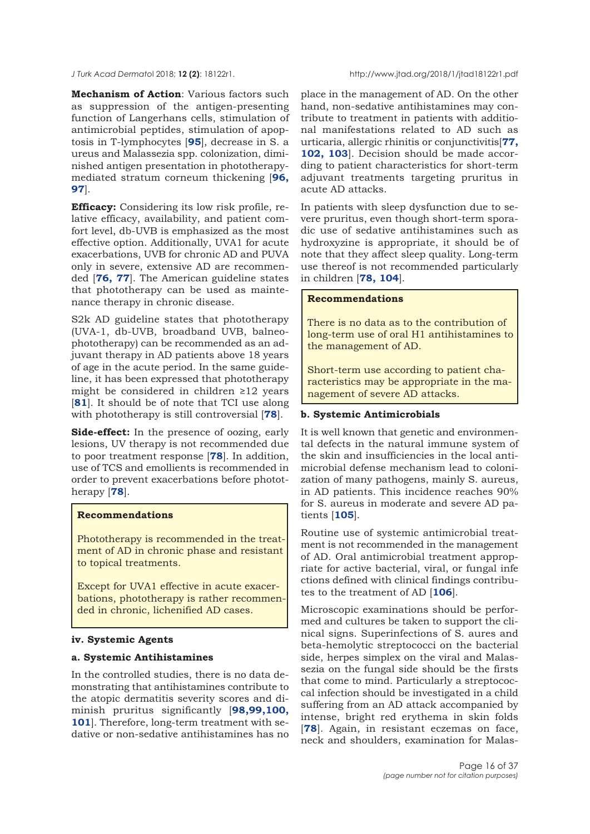**Mechanism of Action**: Various factors such as suppression of the antigen-presenting function of Langerhans cells, stimulation of antimicrobial peptides, stimulation of apoptosis in T-lymphocytes [**[95](#page-33-0)**], decrease in S. a ureus and Malassezia spp. colonization, diminished antigen presentation in phototherapy[mediated stratum corneum thickening \[](#page-33-0)**96, 97**].

**Efficacy:** Considering its low risk profile, relative efficacy, availability, and patient comfort level, db-UVB is emphasized as the most effective option. Additionally, UVA1 for acute exacerbations, UVB for chronic AD and PUVA only in severe, extensive AD are recommended [**[76, 77](#page-32-0)**]. The American guideline states that phototherapy can be used as maintenance therapy in chronic disease.

S2k AD guideline states that phototherapy (UVA-1, db-UVB, broadband UVB, balneophototherapy) can be recommended as an adjuvant therapy in AD patients above 18 years of age in the acute period. In the same guideline, it has been expressed that phototherapy might be considered in children ≥12 years [**[81](#page-32-0)**]. It should be of note that TCI use along with phototherapy is still controversial [**[78](#page-32-0)**].

**Side-effect:** In the presence of oozing, early lesions, UV therapy is not recommended due to poor treatment response [**[78](#page-32-0)**]. In addition, use of TCS and emollients is recommended in order to prevent exacerbations before phototherapy [**[78](#page-32-0)**].

## **Recommendations**

Phototherapy is recommended in the treatment of AD in chronic phase and resistant to topical treatments.

Except for UVA1 effective in acute exacerbations, phototherapy is rather recommended in chronic, lichenified AD cases.

#### **iv. Systemic Agents**

#### **a. Systemic Antihistamines**

In the controlled studies, there is no data demonstrating that antihistamines contribute to the atopic dermatitis severity scores and diminish pruritus significantly [**98,99,100, 101**[\]. Therefore, long-term treatment with se](#page-33-0)dative or non-sedative antihistamines has no place in the management of AD. On the other hand, non-sedative antihistamines may contribute to treatment in patients with additional manifestations related to AD such as urticaria, allergic rhinitis or conjunctivitis[**[77,](#page-32-0) [102, 103](#page-33-0)**]. Decision should be made according to patient characteristics for short-term adjuvant treatments targeting pruritus in acute AD attacks.

In patients with sleep dysfunction due to severe pruritus, even though short-term sporadic use of sedative antihistamines such as hydroxyzine is appropriate, it should be of note that they affect sleep quality. Long-term use thereof is not recommended particularly in children [**[78](#page-32-0), [104](#page-33-0)**].

## **Recommendations**

There is no data as to the contribution of long-term use of oral H1 antihistamines to the management of AD.

Short-term use according to patient characteristics may be appropriate in the management of severe AD attacks.

#### **b. Systemic Antimicrobials**

It is well known that genetic and environmental defects in the natural immune system of the skin and insufficiencies in the local antimicrobial defense mechanism lead to colonization of many pathogens, mainly S. aureus, in AD patients. This incidence reaches 90% for S. aureus in moderate and severe AD patients [**[105](#page-33-0)**].

Routine use of systemic antimicrobial treatment is not recommended in the management of AD. Oral antimicrobial treatment appropriate for active bacterial, viral, or fungal infe ctions defined with clinical findings contributes to the treatment of AD [**[106](#page-33-0)**].

Microscopic examinations should be performed and cultures be taken to support the clinical signs. Superinfections of S. aures and beta-hemolytic streptococci on the bacterial side, herpes simplex on the viral and Malassezia on the fungal side should be the firsts that come to mind. Particularly a streptococcal infection should be investigated in a child suffering from an AD attack accompanied by intense, bright red erythema in skin folds [**[78](#page-32-0)**]. Again, in resistant eczemas on face, neck and shoulders, examination for Malas-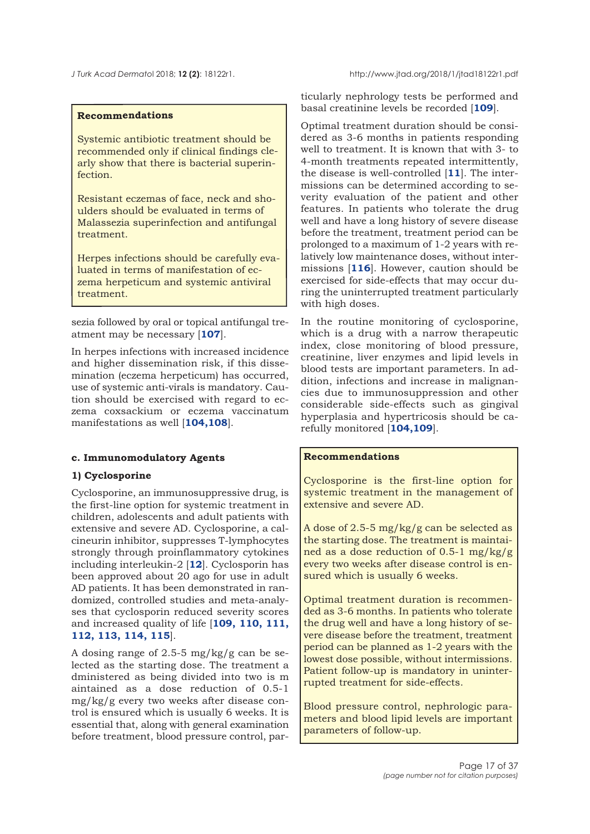## **Recommendations**

Systemic antibiotic treatment should be recommended only if clinical findings clearly show that there is bacterial superinfection.

Resistant eczemas of face, neck and shoulders should be evaluated in terms of Malassezia superinfection and antifungal treatment.

Herpes infections should be carefully evaluated in terms of manifestation of eczema herpeticum and systemic antiviral treatment.

sezia followed by oral or topical antifungal treatment may be necessary [**[107](#page-33-0)**].

In herpes infections with increased incidence and higher dissemination risk, if this dissemination (eczema herpeticum) has occurred, use of systemic anti-virals is mandatory. Caution should be exercised with regard to eczema coxsackium or eczema vaccinatum manifestations as well [**[104,108](#page-33-0)**].

#### **c. Immunomodulatory Agents**

## **1) Cyclosporine**

Cyclosporine, an immunosuppressive drug, is the first-line option for systemic treatment in children, adolescents and adult patients with extensive and severe AD. Cyclosporine, a calcineurin inhibitor, suppresses T-lymphocytes strongly through proinflammatory cytokines including interleukin-2 [**[12](#page-30-0)**]. Cyclosporin has been approved about 20 ago for use in adult AD patients. It has been demonstrated in randomized, controlled studies and meta-analyses that cyclosporin reduced severity scores [and increased quality of life \[](#page-33-0)**109, 110, 111, 112, 113, 114, 115**].

A dosing range of 2.5-5 mg/kg/g can be selected as the starting dose. The treatment a dministered as being divided into two is m aintained as a dose reduction of 0.5-1 mg/kg/g every two weeks after disease control is ensured which is usually 6 weeks. It is essential that, along with general examination before treatment, blood pressure control, particularly nephrology tests be performed and basal creatinine levels be recorded [**[109](#page-33-0)**].

Optimal treatment duration should be considered as 3-6 months in patients responding well to treatment. It is known that with 3- to 4-month treatments repeated intermittently, the disease is well-controlled [**[11](#page-30-0)**]. The intermissions can be determined according to severity evaluation of the patient and other features. In patients who tolerate the drug well and have a long history of severe disease before the treatment, treatment period can be prolonged to a maximum of 1-2 years with relatively low maintenance doses, without intermissions [**[116](#page-33-0)**]. However, caution should be exercised for side-effects that may occur during the uninterrupted treatment particularly with high doses.

In the routine monitoring of cyclosporine, which is a drug with a narrow therapeutic index, close monitoring of blood pressure, creatinine, liver enzymes and lipid levels in blood tests are important parameters. In addition, infections and increase in malignancies due to immunosuppression and other considerable side-effects such as gingival hyperplasia and hypertricosis should be carefully monitored [**[104,109](#page-33-0)**].

#### **Recommendations**

Cyclosporine is the first-line option for systemic treatment in the management of extensive and severe AD.

A dose of 2.5-5 mg/kg/g can be selected as the starting dose. The treatment is maintained as a dose reduction of 0.5-1 mg/kg/g every two weeks after disease control is ensured which is usually 6 weeks.

Optimal treatment duration is recommended as 3-6 months. In patients who tolerate the drug well and have a long history of severe disease before the treatment, treatment period can be planned as 1-2 years with the lowest dose possible, without intermissions. Patient follow-up is mandatory in uninterrupted treatment for side-effects.

Blood pressure control, nephrologic parameters and blood lipid levels are important parameters of follow-up.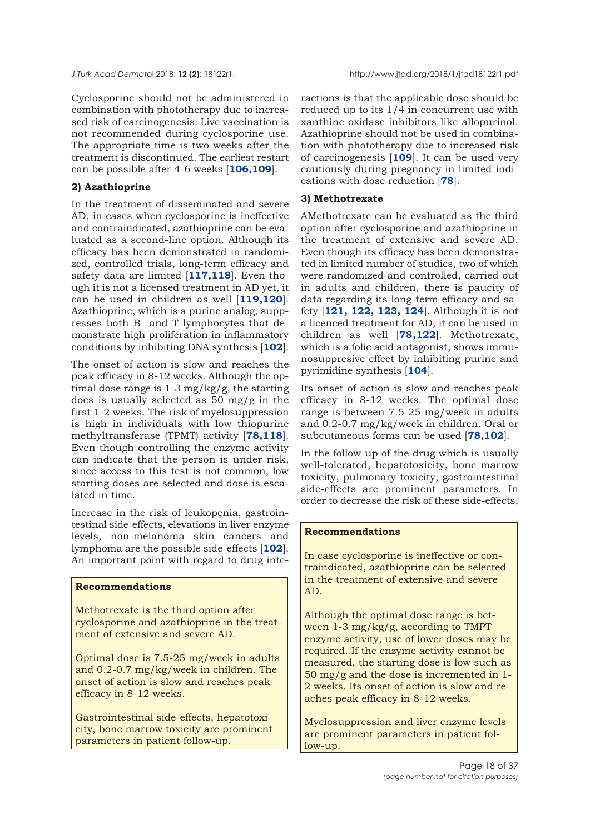Cyclosporine should not be administered in combination with phototherapy due to increased risk of carcinogenesis. Live vaccination is not recommended during cyclosporine use. The appropriate time is two weeks after the treatment is discontinued. The earliest restart can be possible after 4-6 weeks [**[106,109](#page-33-0)**].

#### **2) Azathioprine**

In the treatment of disseminated and severe AD, in cases when cyclosporine is ineffective and contraindicated, azathioprine can be evaluated as a second-line option. Although its efficacy has been demonstrated in randomized, controlled trials, long-term efficacy and safety data are limited [**[117,118](#page-33-0)**]. Even though it is not a licensed treatment in AD yet, it can be used in children as well [**[119,120](#page-33-0)**]. Azathioprine, which is a purine analog, suppresses both B- and T-lymphocytes that demonstrate high proliferation in inflammatory conditions by inhibiting DNA synthesis [**[102](#page-33-0)**].

The onset of action is slow and reaches the peak efficacy in 8-12 weeks. Although the optimal dose range is 1-3 mg/kg/g, the starting does is usually selected as 50 mg/g in the first 1-2 weeks. The risk of myelosuppression is high in individuals with low thiopurine methyltransferase (TPMT) activity [**[78,](#page-32-0)[118](#page-33-0)**]. Even though controlling the enzyme activity can indicate that the person is under risk, since access to this test is not common, low starting doses are selected and dose is escalated in time.

Increase in the risk of leukopenia, gastrointestinal side-effects, elevations in liver enzyme levels, non-melanoma skin cancers and lymphoma are the possible side-effects [**[102](#page-33-0)**]. An important point with regard to drug inte-

#### **Recommendations**

Methotrexate is the third option after cyclosporine and azathioprine in the treatment of extensive and severe AD.

Optimal dose is 7.5-25 mg/week in adults and 0.2-0.7 mg/kg/week in children. The onset of action is slow and reaches peak efficacy in 8-12 weeks.

Gastrointestinal side-effects, hepatotoxicity, bone marrow toxicity are prominent parameters in patient follow-up.

ractions is that the applicable dose should be reduced up to its 1/4 in concurrent use with xanthine oxidase inhibitors like allopurinol. Azathioprine should not be used in combination with phototherapy due to increased risk of carcinogenesis [**[109](#page-33-0)**]. It can be used very cautiously during pregnancy in limited indications with dose reduction [**[78](#page-32-0)**].

#### **3) Methotrexate**

AMethotrexate can be evaluated as the third option after cyclosporine and azathioprine in the treatment of extensive and severe AD. Even though its efficacy has been demonstrated in limited number of studies, two of which were randomized and controlled, carried out in adults and children, there is paucity of data regarding its long-term efficacy and safety [**[121, 122, 123, 124](#page-34-0)**]. Although it is not a licenced treatment for AD, it can be used in children as well [**[78](#page-32-0),[122](#page-34-0)**]. Methotrexate, which is a folic acid antagonist, shows immunosuppresive effect by inhibiting purine and pyrimidine synthesis [**[104](#page-33-0)**].

Its onset of action is slow and reaches peak efficacy in 8-12 weeks. The optimal dose range is between 7.5-25 mg/week in adults and 0.2-0.7 mg/kg/week in children. Oral or subcutaneous forms can be used [**[78](#page-32-0),[102](#page-33-0)**].

In the follow-up of the drug which is usually well-tolerated, hepatotoxicity, bone marrow toxicity, pulmonary toxicity, gastrointestinal side-effects are prominent parameters. In order to decrease the risk of these side-effects,

## **Recommendations**

In case cyclosporine is ineffective or contraindicated, azathioprine can be selected in the treatment of extensive and severe AD.

Although the optimal dose range is between 1-3 mg/kg/g, according to TMPT enzyme activity, use of lower doses may be required. If the enzyme activity cannot be measured, the starting dose is low such as 50 mg/g and the dose is incremented in 1- 2 weeks. Its onset of action is slow and reaches peak efficacy in 8-12 weeks.

Myelosuppression and liver enzyme levels are prominent parameters in patient follow-up.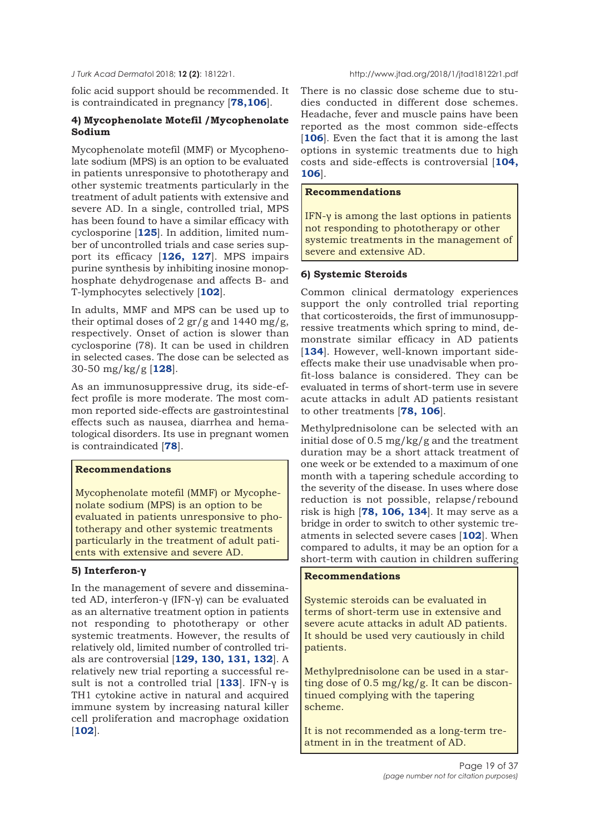folic acid support should be recommended. It is contraindicated in pregnancy [**[78](#page-32-0)[,106](#page-33-0)**].

## **4) Mycophenolate Motefil /Mycophenolate Sodium**

Mycophenolate motefil (MMF) or Mycophenolate sodium (MPS) is an option to be evaluated in patients unresponsive to phototherapy and other systemic treatments particularly in the treatment of adult patients with extensive and severe AD. In a single, controlled trial, MPS has been found to have a similar efficacy with cyclosporine [**[125](#page-34-0)**]. In addition, limited number of uncontrolled trials and case series support its efficacy [**[126](#page-34-0), [127](#page-34-0)**]. MPS impairs purine synthesis by inhibiting inosine monophosphate dehydrogenase and affects B- and T-lymphocytes selectively [**[102](#page-33-0)**].

In adults, MMF and MPS can be used up to their optimal doses of 2 gr/g and 1440 mg/g, respectively. Onset of action is slower than cyclosporine (78). It can be used in children in selected cases. The dose can be selected as 30-50 mg/kg/g [**[128](#page-34-0)**].

As an immunosuppressive drug, its side-effect profile is more moderate. The most common reported side-effects are gastrointestinal effects such as nausea, diarrhea and hematological disorders. Its use in pregnant women is contraindicated [**[78](#page-32-0)**].

## **Recommendations**

Mycophenolate motefil (MMF) or Mycophenolate sodium (MPS) is an option to be evaluated in patients unresponsive to phototherapy and other systemic treatments particularly in the treatment of adult patients with extensive and severe AD.

## **5) Interferon-γ**

In the management of severe and disseminated AD, interferon-γ (IFN-γ) can be evaluated as an alternative treatment option in patients not responding to phototherapy or other systemic treatments. However, the results of relatively old, limited number of controlled trials are controversial [**[129, 130, 131, 132](#page-34-0)**]. A relatively new trial reporting a successful result is not a controlled trial [**[133](#page-34-0)**]. IFN-γ is TH1 cytokine active in natural and acquired immune system by increasing natural killer cell proliferation and macrophage oxidation [**[102](#page-33-0)**].

There is no classic dose scheme due to studies conducted in different dose schemes. Headache, fever and muscle pains have been reported as the most common side-effects [[106](#page-33-0)]. Even the fact that it is among the last options in systemic treatments due to high costs and side-effects is controversial [**[104,](#page-33-0) [106](#page-33-0)**].

## **Recommendations**

IFN-γ is among the last options in patients not responding to phototherapy or other systemic treatments in the management of severe and extensive AD.

## **6) Systemic Steroids**

Common clinical dermatology experiences support the only controlled trial reporting that corticosteroids, the first of immunosuppressive treatments which spring to mind, demonstrate similar efficacy in AD patients [[134](#page-34-0)]. However, well-known important sideeffects make their use unadvisable when profit-loss balance is considered. They can be evaluated in terms of short-term use in severe acute attacks in adult AD patients resistant to other treatments [**[78,](#page-32-0) [106](#page-33-0)**].

Methylprednisolone can be selected with an initial dose of 0.5 mg/kg/g and the treatment duration may be a short attack treatment of one week or be extended to a maximum of one month with a tapering schedule according to the severity of the disease. In uses where dose reduction is not possible, relapse/rebound risk is high [**[78,](#page-32-0) [106,](#page-33-0) [134](#page-34-0)**]. It may serve as a bridge in order to switch to other systemic treatments in selected severe cases [**[102](#page-33-0)**]. When compared to adults, it may be an option for a short-term with caution in children suffering

## **Recommendations**

Systemic steroids can be evaluated in terms of short-term use in extensive and severe acute attacks in adult AD patients. It should be used very cautiously in child patients.

Methylprednisolone can be used in a starting dose of 0.5 mg/kg/g. It can be discontinued complying with the tapering scheme.

It is not recommended as a long-term treatment in in the treatment of AD.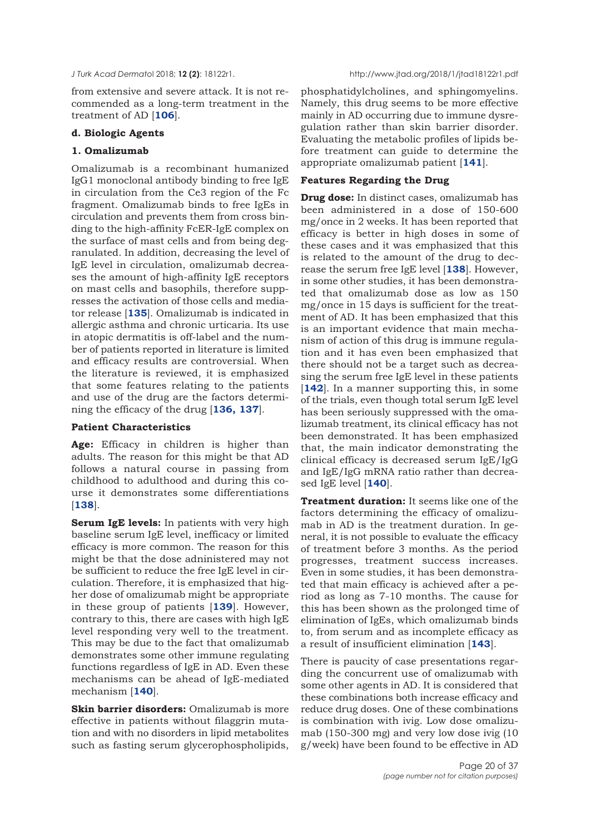from extensive and severe attack. It is not recommended as a long-term treatment in the treatment of AD [**[106](#page-32-0)**].

#### **d. Biologic Agents**

#### **1. Omalizumab**

Omalizumab is a recombinant humanized IgG1 monoclonal antibody binding to free IgE in circulation from the Ce3 region of the Fc fragment. Omalizumab binds to free IgEs in circulation and prevents them from cross binding to the high-affinity FcER-IgE complex on the surface of mast cells and from being degranulated. In addition, decreasing the level of IgE level in circulation, omalizumab decreases the amount of high-affinity IgE receptors on mast cells and basophils, therefore suppresses the activation of those cells and mediator release [**[135](#page-34-0)**]. Omalizumab is indicated in allergic asthma and chronic urticaria. Its use in atopic dermatitis is off-label and the number of patients reported in literature is limited and efficacy results are controversial. When the literature is reviewed, it is emphasized that some features relating to the patients and use of the drug are the factors determining the efficacy of the drug [**[136, 137](#page-34-0)**].

#### **Patient Characteristics**

**Age:** Efficacy in children is higher than adults. The reason for this might be that AD follows a natural course in passing from childhood to adulthood and during this course it demonstrates some differentiations [**[138](#page-34-0)**].

**Serum IgE levels:** In patients with very high baseline serum IgE level, inefficacy or limited efficacy is more common. The reason for this might be that the dose adninistered may not be sufficient to reduce the free IgE level in circulation. Therefore, it is emphasized that higher dose of omalizumab might be appropriate in these group of patients [**[139](#page-34-0)**]. However, contrary to this, there are cases with high IgE level responding very well to the treatment. This may be due to the fact that omalizumab demonstrates some other immune regulating functions regardless of IgE in AD. Even these mechanisms can be ahead of IgE-mediated mechanism [**[140](#page-34-0)**].

**Skin barrier disorders:** Omalizumab is more effective in patients without filaggrin mutation and with no disorders in lipid metabolites such as fasting serum glycerophospholipids,

phosphatidylcholines, and sphingomyelins. Namely, this drug seems to be more effective mainly in AD occurring due to immune dysregulation rather than skin barrier disorder. Evaluating the metabolic profiles of lipids before treatment can guide to determine the appropriate omalizumab patient [**[141](#page-34-0)**].

#### **Features Regarding the Drug**

**Drug dose:** In distinct cases, omalizumab has been administered in a dose of 150-600 mg/once in 2 weeks. It has been reported that efficacy is better in high doses in some of these cases and it was emphasized that this is related to the amount of the drug to decrease the serum free IgE level [**[138](#page-34-0)**]. However, in some other studies, it has been demonstrated that omalizumab dose as low as 150 mg/once in 15 days is sufficient for the treatment of AD. It has been emphasized that this is an important evidence that main mechanism of action of this drug is immune regulation and it has even been emphasized that there should not be a target such as decreasing the serum free IgE level in these patients [**[142](#page-34-0)**]. In a manner supporting this, in some of the trials, even though total serum IgE level has been seriously suppressed with the omalizumab treatment, its clinical efficacy has not been demonstrated. It has been emphasized that, the main indicator demonstrating the clinical efficacy is decreased serum IgE/IgG and IgE/IgG mRNA ratio rather than decreased IgE level [**[140](#page-34-0)**].

**Treatment duration:** It seems like one of the factors determining the efficacy of omalizumab in AD is the treatment duration. In general, it is not possible to evaluate the efficacy of treatment before 3 months. As the period progresses, treatment success increases. Even in some studies, it has been demonstrated that main efficacy is achieved after a period as long as 7-10 months. The cause for this has been shown as the prolonged time of elimination of IgEs, which omalizumab binds to, from serum and as incomplete efficacy as a result of insufficient elimination [**[143](#page-34-0)**].

There is paucity of case presentations regarding the concurrent use of omalizumab with some other agents in AD. It is considered that these combinations both increase efficacy and reduce drug doses. One of these combinations is combination with ivig. Low dose omalizumab (150-300 mg) and very low dose ivig (10 g/week) have been found to be effective in AD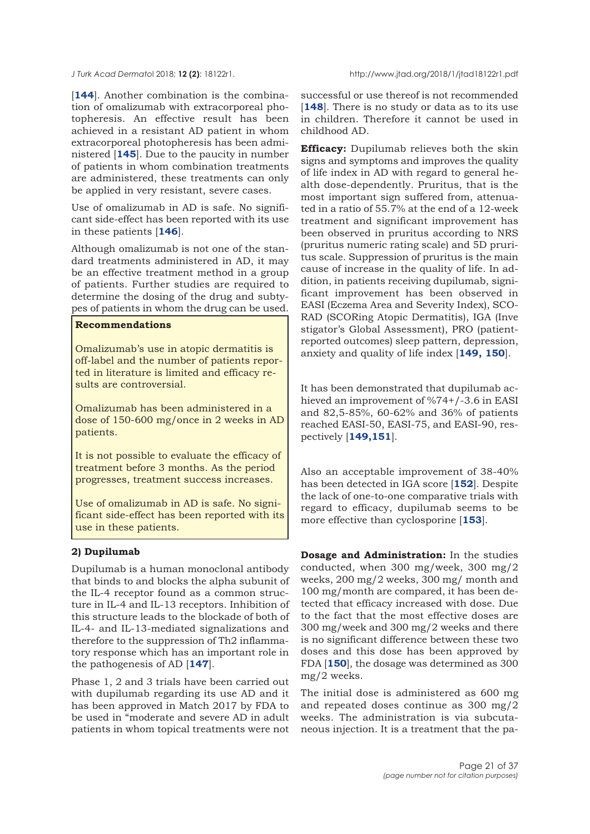[**[144](#page-34-0)**]. Another combination is the combination of omalizumab with extracorporeal photopheresis. An effective result has been achieved in a resistant AD patient in whom extracorporeal photopheresis has been administered [**[145](#page-34-0)**]. Due to the paucity in number of patients in whom combination treatments are administered, these treatments can only be applied in very resistant, severe cases.

Use of omalizumab in AD is safe. No significant side-effect has been reported with its use in these patients [**[146](#page-34-0)**].

Although omalizumab is not one of the standard treatments administered in AD, it may be an effective treatment method in a group of patients. Further studies are required to determine the dosing of the drug and subtypes of patients in whom the drug can be used.

## **Recommendations**

Omalizumab's use in atopic dermatitis is off-label and the number of patients reported in literature is limited and efficacy results are controversial.

Omalizumab has been administered in a dose of 150-600 mg/once in 2 weeks in AD patients.

It is not possible to evaluate the efficacy of treatment before 3 months. As the period progresses, treatment success increases.

Use of omalizumab in AD is safe. No significant side-effect has been reported with its use in these patients.

## **2) Dupilumab**

Dupilumab is a human monoclonal antibody that binds to and blocks the alpha subunit of the IL-4 receptor found as a common structure in IL-4 and IL-13 receptors. Inhibition of this structure leads to the blockade of both of IL-4- and IL-13-mediated signalizations and therefore to the suppression of Th2 inflammatory response which has an important role in the pathogenesis of AD [**[147](#page-35-0)**].

Phase 1, 2 and 3 trials have been carried out with dupilumab regarding its use AD and it has been approved in Match 2017 by FDA to be used in "moderate and severe AD in adult patients in whom topical treatments were not

successful or use thereof is not recommended [[148](#page-35-0)]. There is no study or data as to its use in children. Therefore it cannot be used in childhood AD.

**Efficacy:** Dupilumab relieves both the skin signs and symptoms and improves the quality of life index in AD with regard to general health dose-dependently. Pruritus, that is the most important sign suffered from, attenuated in a ratio of 55.7% at the end of a 12-week treatment and significant improvement has been observed in pruritus according to NRS (pruritus numeric rating scale) and 5D pruritus scale. Suppression of pruritus is the main cause of increase in the quality of life. In addition, in patients receiving dupilumab, significant improvement has been observed in EASI (Eczema Area and Severity Index), SCO-RAD (SCORing Atopic Dermatitis), IGA (Inve stigator's Global Assessment), PRO (patientreported outcomes) sleep pattern, depression, anxiety and quality of life index [**[149, 150](#page-35-0)**].

It has been demonstrated that dupilumab achieved an improvement of %74+/-3.6 in EASI and 82,5-85%, 60-62% and 36% of patients reached EASI-50, EASI-75, and EASI-90, respectively [**[149,151](#page-35-0)**].

Also an acceptable improvement of 38-40% has been detected in IGA score [**[152](#page-35-0)**]. Despite the lack of one-to-one comparative trials with regard to efficacy, dupilumab seems to be more effective than cyclosporine [**[153](#page-35-0)**].

**Dosage and Administration:** In the studies conducted, when 300 mg/week, 300 mg/2 weeks, 200 mg/2 weeks, 300 mg/ month and 100 mg/month are compared, it has been detected that efficacy increased with dose. Due to the fact that the most effective doses are 300 mg/week and 300 mg/2 weeks and there is no significant difference between these two doses and this dose has been approved by FDA [**[150](#page-35-0)**], the dosage was determined as 300 mg/2 weeks.

The initial dose is administered as 600 mg and repeated doses continue as 300 mg/2 weeks. The administration is via subcutaneous injection. It is a treatment that the pa-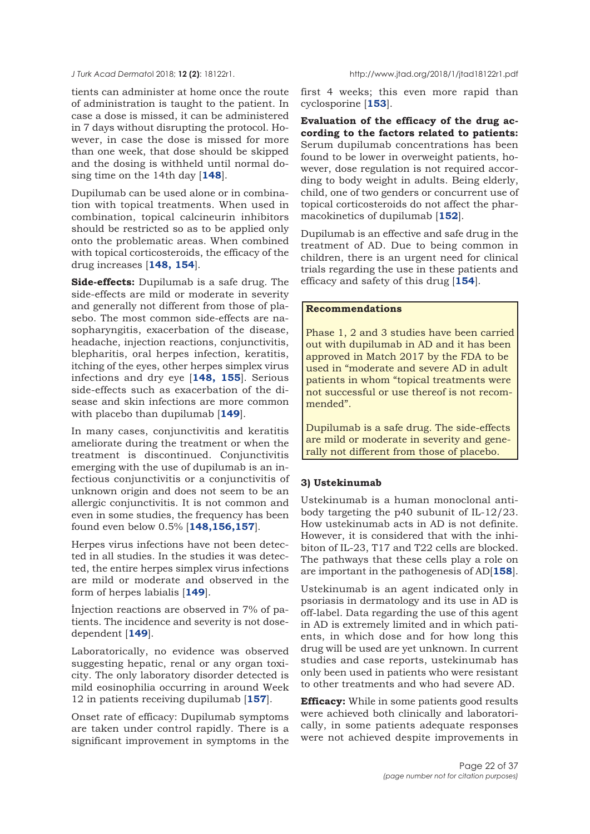tients can administer at home once the route of administration is taught to the patient. In case a dose is missed, it can be administered in 7 days without disrupting the protocol. However, in case the dose is missed for more than one week, that dose should be skipped and the dosing is withheld until normal dosing time on the 14th day [**[148](#page-35-0)**].

Dupilumab can be used alone or in combination with topical treatments. When used in combination, topical calcineurin inhibitors should be restricted so as to be applied only onto the problematic areas. When combined with topical corticosteroids, the efficacy of the drug increases [**[148,](#page-35-0) [154](#page-35-0)**].

**Side-effects:** Dupilumab is a safe drug. The side-effects are mild or moderate in severity and generally not different from those of plasebo. The most common side-effects are nasopharyngitis, exacerbation of the disease, headache, injection reactions, conjunctivitis, blepharitis, oral herpes infection, keratitis, itching of the eyes, other herpes simplex virus infections and dry eye [**[148, 155](#page-35-0)**]. Serious side-effects such as exacerbation of the disease and skin infections are more common with placebo than dupilumab [**[149](#page-35-0)**].

In many cases, conjunctivitis and keratitis ameliorate during the treatment or when the treatment is discontinued. Conjunctivitis emerging with the use of dupilumab is an infectious conjunctivitis or a conjunctivitis of unknown origin and does not seem to be an allergic conjunctivitis. It is not common and even in some studies, the frequency has been found even below 0.5% [**[148,156,157](#page-35-0)**].

Herpes virus infections have not been detected in all studies. In the studies it was detected, the entire herpes simplex virus infections are mild or moderate and observed in the form of herpes labialis [**[149](#page-35-0)**].

İnjection reactions are observed in 7% of patients. The incidence and severity is not dosedependent [**[149](#page-35-0)**].

Laboratorically, no evidence was observed suggesting hepatic, renal or any organ toxicity. The only laboratory disorder detected is mild eosinophilia occurring in around Week 12 in patients receiving dupilumab [**[157](#page-35-0)**].

Onset rate of efficacy: Dupilumab symptoms are taken under control rapidly. There is a significant improvement in symptoms in the first 4 weeks; this even more rapid than cyclosporine [**[153](#page-35-0)**].

**Evaluation of the efficacy of the drug according to the factors related to patients:** Serum dupilumab concentrations has been found to be lower in overweight patients, however, dose regulation is not required according to body weight in adults. Being elderly, child, one of two genders or concurrent use of topical corticosteroids do not affect the pharmacokinetics of dupilumab [**[152](#page-35-0)**].

Dupilumab is an effective and safe drug in the treatment of AD. Due to being common in children, there is an urgent need for clinical trials regarding the use in these patients and efficacy and safety of this drug [**[154](#page-35-0)**].

#### **Recommendations**

Phase 1, 2 and 3 studies have been carried out with dupilumab in AD and it has been approved in Match 2017 by the FDA to be used in "moderate and severe AD in adult patients in whom "topical treatments were not successful or use thereof is not recommended".

Dupilumab is a safe drug. The side-effects are mild or moderate in severity and generally not different from those of placebo.

#### **3) Ustekinumab**

Ustekinumab is a human monoclonal antibody targeting the p40 subunit of IL-12/23. How ustekinumab acts in AD is not definite. However, it is considered that with the inhibiton of IL-23, T17 and T22 cells are blocked. The pathways that these cells play a role on are important in the pathogenesis of AD[**[158](#page-35-0)**].

Ustekinumab is an agent indicated only in psoriasis in dermatology and its use in AD is off-label. Data regarding the use of this agent in AD is extremely limited and in which patients, in which dose and for how long this drug will be used are yet unknown. In current studies and case reports, ustekinumab has only been used in patients who were resistant to other treatments and who had severe AD.

**Efficacy:** While in some patients good results were achieved both clinically and laboratorically, in some patients adequate responses were not achieved despite improvements in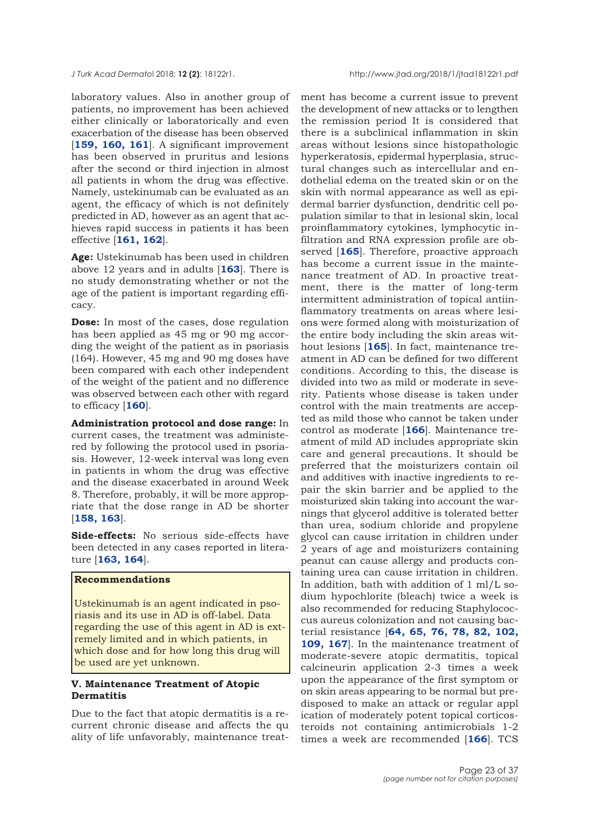laboratory values. Also in another group of patients, no improvement has been achieved either clinically or laboratorically and even exacerbation of the disease has been observed [**[159, 160, 161](#page-35-0)**]. A significant improvement has been observed in pruritus and lesions after the second or third injection in almost all patients in whom the drug was effective. Namely, ustekinumab can be evaluated as an agent, the efficacy of which is not definitely predicted in AD, however as an agent that achieves rapid success in patients it has been effective [**[161, 162](#page-35-0)**].

**Age:** Ustekinumab has been used in children above 12 years and in adults [**[163](#page-35-0)**]. There is no study demonstrating whether or not the age of the patient is important regarding efficacy.

**Dose:** In most of the cases, dose regulation has been applied as 45 mg or 90 mg according the weight of the patient as in psoriasis (164). However, 45 mg and 90 mg doses have been compared with each other independent of the weight of the patient and no difference was observed between each other with regard to efficacy [**[160](#page-35-0)**].

**Administration protocol and dose range:** In current cases, the treatment was administered by following the protocol used in psoriasis. However, 12-week interval was long even in patients in whom the drug was effective and the disease exacerbated in around Week 8. Therefore, probably, it will be more appropriate that the dose range in AD be shorter [**[158, 163](#page-35-0)**].

**Side-effects:** No serious side-effects have been detected in any cases reported in literature [**[163](#page-35-0), [164](#page-35-0)**].

## **Recommendations**

Ustekinumab is an agent indicated in psoriasis and its use in AD is off-label. Data regarding the use of this agent in AD is extremely limited and in which patients, in which dose and for how long this drug will be used are yet unknown.

#### **V. Maintenance Treatment of Atopic Dermatitis**

Due to the fact that atopic dermatitis is a recurrent chronic disease and affects the qu ality of life unfavorably, maintenance treat-

ment has become a current issue to prevent the development of new attacks or to lengthen the remission period It is considered that there is a subclinical inflammation in skin areas without lesions since histopathologic hyperkeratosis, epidermal hyperplasia, structural changes such as intercellular and endothelial edema on the treated skin or on the skin with normal appearance as well as epidermal barrier dysfunction, dendritic cell population similar to that in lesional skin, local proinflammatory cytokines, lymphocytic infiltration and RNA expression profile are observed [**[165](#page-35-0)**]. Therefore, proactive approach has become a current issue in the maintenance treatment of AD. In proactive treatment, there is the matter of long-term intermittent administration of topical antiinflammatory treatments on areas where lesions were formed along with moisturization of the entire body including the skin areas without lesions [**[165](#page-35-0)**]. In fact, maintenance treatment in AD can be defined for two different conditions. According to this, the disease is divided into two as mild or moderate in severity. Patients whose disease is taken under control with the main treatments are accepted as mild those who cannot be taken under control as moderate [**[166](#page-35-0)**]. Maintenance treatment of mild AD includes appropriate skin care and general precautions. It should be preferred that the moisturizers contain oil and additives with inactive ingredients to repair the skin barrier and be applied to the moisturized skin taking into account the warnings that glycerol additive is tolerated better than urea, sodium chloride and propylene glycol can cause irritation in children under 2 years of age and moisturizers containing peanut can cause allergy and products containing urea can cause irritation in children. In addition, bath with addition of 1 ml/L sodium hypochlorite (bleach) twice a week is also recommended for reducing Staphylococcus aureus colonization and not causing bacterial resistance [**[64, 65,](#page-31-0) [76](#page-32-0), [78](#page-32-0), [82,](#page-32-0) [102,](#page-33-0) [109](#page-33-0), [167](#page-35-0)**]. In the maintenance treatment of moderate-severe atopic dermatitis, topical calcineurin application 2-3 times a week upon the appearance of the first symptom or on skin areas appearing to be normal but predisposed to make an attack or regular appl ication of moderately potent topical corticosteroids not containing antimicrobials 1-2 times a week are recommended [**[166](#page-35-0)**]. TCS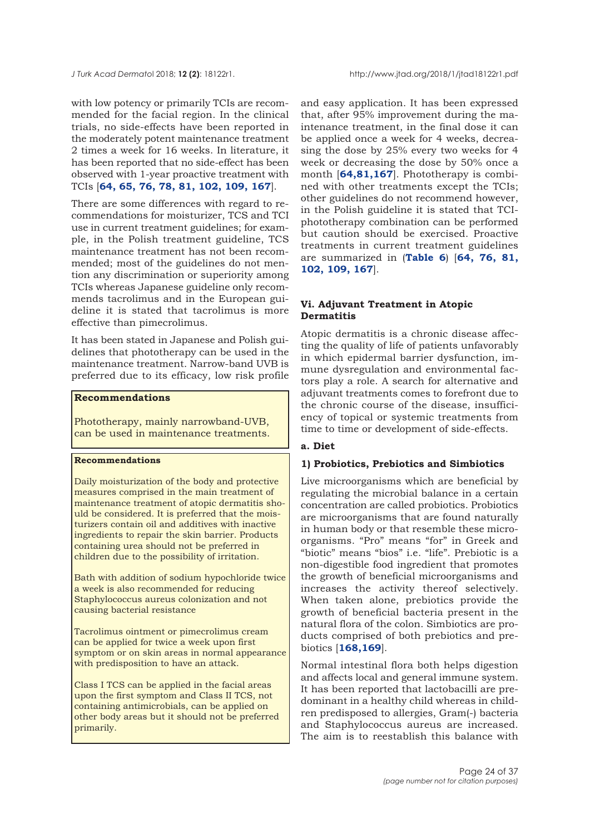with low potency or primarily TCIs are recommended for the facial region. In the clinical trials, no side-effects have been reported in the moderately potent maintenance treatment 2 times a week for 16 weeks. In literature, it has been reported that no side-effect has been observed with 1-year proactive treatment with TCIs [**[64, 65,](#page-31-0) [76, 78, 81,](#page-32-0) [102](#page-33-0), [109,](#page-33-0) [167](#page-35-0)**].

There are some differences with regard to recommendations for moisturizer, TCS and TCI use in current treatment guidelines; for example, in the Polish treatment guideline, TCS maintenance treatment has not been recommended; most of the guidelines do not mention any discrimination or superiority among TCIs whereas Japanese guideline only recommends tacrolimus and in the European guideline it is stated that tacrolimus is more effective than pimecrolimus.

It has been stated in Japanese and Polish guidelines that phototherapy can be used in the maintenance treatment. Narrow-band UVB is preferred due to its efficacy, low risk profile

## **Recommendations**

Phototherapy, mainly narrowband-UVB, can be used in maintenance treatments.

## **Recommendations**

Daily moisturization of the body and protective measures comprised in the main treatment of maintenance treatment of atopic dermatitis should be considered. It is preferred that the moisturizers contain oil and additives with inactive ingredients to repair the skin barrier. Products containing urea should not be preferred in children due to the possibility of irritation.

Bath with addition of sodium hypochloride twice a week is also recommended for reducing Staphylococcus aureus colonization and not causing bacterial resistance

Tacrolimus ointment or pimecrolimus cream can be applied for twice a week upon first symptom or on skin areas in normal appearance with predisposition to have an attack.

Class I TCS can be applied in the facial areas upon the first symptom and Class II TCS, not containing antimicrobials, can be applied on other body areas but it should not be preferred primarily.

and easy application. It has been expressed that, after 95% improvement during the maintenance treatment, in the final dose it can be applied once a week for 4 weeks, decreasing the dose by 25% every two weeks for 4 week or decreasing the dose by 50% once a month [**[64](#page-31-0),[81](#page-32-0),[167](#page-35-0)**]. Phototherapy is combined with other treatments except the TCIs; other guidelines do not recommend however, in the Polish guideline it is stated that TCIphototherapy combination can be performed but caution should be exercised. Proactive treatments in current treatment guidelines are summarized in (**[Table 6](#page-24-0)**) [**[64,](#page-31-0) [76](#page-32-0), [81,](#page-32-0) [102, 109](#page-33-0), [167](#page-35-0)**].

## **Vi. Adjuvant Treatment in Atopic Dermatitis**

Atopic dermatitis is a chronic disease affecting the quality of life of patients unfavorably in which epidermal barrier dysfunction, immune dysregulation and environmental factors play a role. A search for alternative and adjuvant treatments comes to forefront due to the chronic course of the disease, insufficiency of topical or systemic treatments from time to time or development of side-effects.

#### **a. Diet**

#### **1) Probiotics, Prebiotics and Simbiotics**

Live microorganisms which are beneficial by regulating the microbial balance in a certain concentration are called probiotics. Probiotics are microorganisms that are found naturally in human body or that resemble these microorganisms. "Pro" means "for" in Greek and "biotic" means "bios" i.e. "life". Prebiotic is a non-digestible food ingredient that promotes the growth of beneficial microorganisms and increases the activity thereof selectively. When taken alone, prebiotics provide the growth of beneficial bacteria present in the natural flora of the colon. Simbiotics are products comprised of both prebiotics and prebiotics [**[168,169](#page-35-0)**].

Normal intestinal flora both helps digestion and affects local and general immune system. It has been reported that lactobacilli are predominant in a healthy child whereas in children predisposed to allergies, Gram(-) bacteria and Staphylococcus aureus are increased. The aim is to reestablish this balance with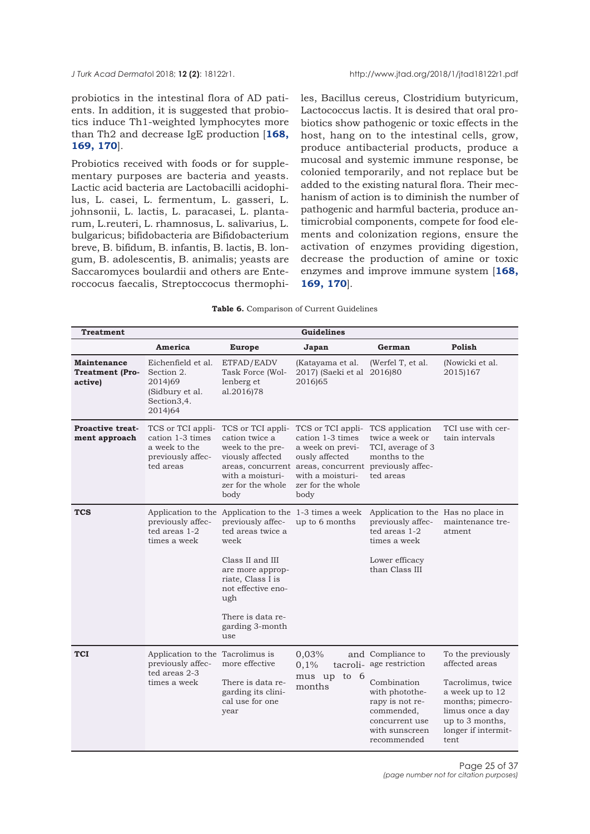<span id="page-24-0"></span>probiotics in the intestinal flora of AD patients. In addition, it is suggested that probiotics induce Th1-weighted lymphocytes more [than Th2 and decrease IgE production \[](#page-35-0)**168, 169, 170**].

Probiotics received with foods or for supplementary purposes are bacteria and yeasts. Lactic acid bacteria are Lactobacilli acidophilus, L. casei, L. fermentum, L. gasseri, L. johnsonii, L. lactis, L. paracasei, L. plantarum, L.reuteri, L. rhamnosus, L. salivarius, L. bulgaricus; bifidobacteria are Bifidobacterium breve, B. bifidum, B. infantis, B. lactis, B. longum, B. adolescentis, B. animalis; yeasts are Saccaromyces boulardii and others are Enteroccocus faecalis, Streptoccocus thermophiles, Bacillus cereus, Clostridium butyricum, Lactococcus lactis. It is desired that oral probiotics show pathogenic or toxic effects in the host, hang on to the intestinal cells, grow, produce antibacterial products, produce a mucosal and systemic immune response, be colonied temporarily, and not replace but be added to the existing natural flora. Their mechanism of action is to diminish the number of pathogenic and harmful bacteria, produce antimicrobial components, compete for food elements and colonization regions, ensure the activation of enzymes providing digestion, decrease the production of amine or toxic [enzymes and improve immune system \[](#page-35-0)**168, 169, 170**].

| Table 6. Comparison of Current Guidelines |  |
|-------------------------------------------|--|
|-------------------------------------------|--|

| <b>Treatment</b>                                        | <b>Guidelines</b>                                                                        |                                                                                                                                                                                                                                                   |                                                                                                                                                                                       |                                                                                                                                                           |                                                                                                                                                                       |
|---------------------------------------------------------|------------------------------------------------------------------------------------------|---------------------------------------------------------------------------------------------------------------------------------------------------------------------------------------------------------------------------------------------------|---------------------------------------------------------------------------------------------------------------------------------------------------------------------------------------|-----------------------------------------------------------------------------------------------------------------------------------------------------------|-----------------------------------------------------------------------------------------------------------------------------------------------------------------------|
|                                                         | America                                                                                  | <b>Europe</b>                                                                                                                                                                                                                                     | Japan                                                                                                                                                                                 | German                                                                                                                                                    | Polish                                                                                                                                                                |
| <b>Maintenance</b><br><b>Treatment (Pro-</b><br>active) | Eichenfield et al.<br>Section 2.<br>2014)69<br>(Sidbury et al.<br>Section3,4.<br>2014)64 | ETFAD/EADV<br>Task Force (Wol-<br>lenberg et<br>al.2016)78                                                                                                                                                                                        | (Katayama et al.<br>2017) (Saeki et al<br>2016)65                                                                                                                                     | (Werfel T, et al.<br>2016)80                                                                                                                              | (Nowicki et al.<br>2015)167                                                                                                                                           |
| <b>Proactive treat-</b><br>ment approach                | TCS or TCI appli-<br>cation 1-3 times<br>a week to the<br>previously affec-<br>ted areas | TCS or TCI appli-<br>cation twice a<br>week to the pre-<br>viously affected<br>with a moisturi-<br>zer for the whole<br>body                                                                                                                      | TCS or TCI appli-<br>cation 1-3 times<br>a week on previ-<br>ously affected<br>areas, concurrent areas, concurrent previously affec-<br>with a moisturi-<br>zer for the whole<br>body | TCS application<br>twice a week or<br>TCI, average of 3<br>months to the<br>ted areas                                                                     | TCI use with cer-<br>tain intervals                                                                                                                                   |
| <b>TCS</b>                                              | previously affec-<br>ted areas 1-2<br>times a week                                       | Application to the Application to the 1-3 times a week<br>previously affec-<br>ted areas twice a<br>week<br>Class II and III<br>are more approp-<br>riate, Class I is<br>not effective eno-<br>ugh<br>There is data re-<br>garding 3-month<br>use | up to 6 months                                                                                                                                                                        | Application to the Has no place in<br>previously affec-<br>ted areas 1-2<br>times a week<br>Lower efficacy<br>than Class III                              | maintenance tre-<br>atment                                                                                                                                            |
| <b>TCI</b>                                              | Application to the Tacrolimus is<br>previously affec-<br>ted areas 2-3<br>times a week   | more effective<br>There is data re-<br>garding its clini-<br>cal use for one<br>year                                                                                                                                                              | 0,03%<br>0,1%<br>tacroli-<br>mus up to 6<br>months                                                                                                                                    | and Compliance to<br>age restriction<br>Combination<br>with photothe-<br>rapy is not re-<br>commended,<br>concurrent use<br>with sunscreen<br>recommended | To the previously<br>affected areas<br>Tacrolimus, twice<br>a week up to 12<br>months; pimecro-<br>limus once a day<br>up to 3 months,<br>longer if intermit-<br>tent |

Page 25 of 37 *(page number not for citation purposes)*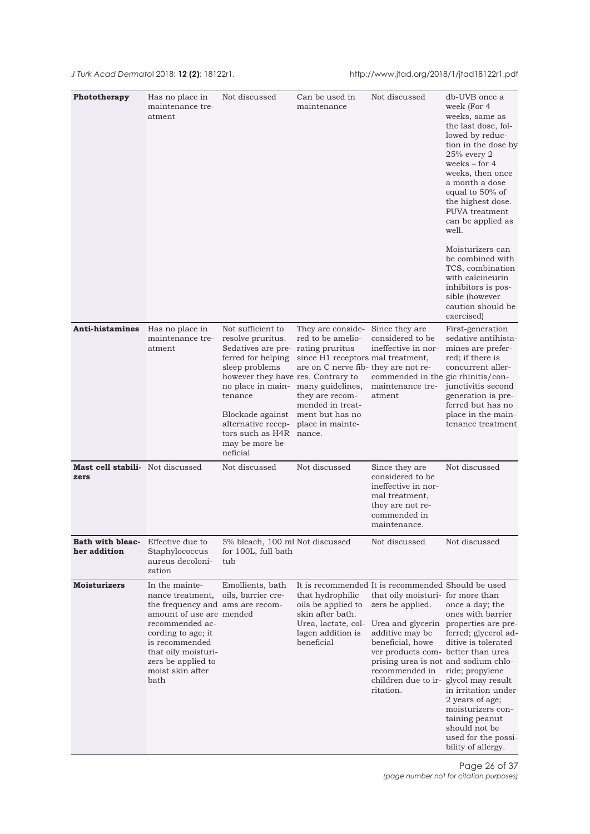| Phototherapy                                    | Has no place in<br>maintenance tre-<br>atment                                                                                                                                                                                          | Not discussed                                                                                                                                                                                                                                                                                                  | Can be used in<br>maintenance                                                                                                                                                                    | Not discussed                                                                                                                                                                                                                                                                                             | db-UVB once a<br>week (For 4<br>weeks, same as<br>the last dose, fol-<br>lowed by reduc-<br>tion in the dose by<br>$25%$ every $2$<br>weeks $-$ for 4<br>weeks, then once<br>a month a dose<br>equal to 50% of<br>the highest dose.<br>PUVA treatment<br>can be applied as<br>well.<br>Moisturizers can |
|-------------------------------------------------|----------------------------------------------------------------------------------------------------------------------------------------------------------------------------------------------------------------------------------------|----------------------------------------------------------------------------------------------------------------------------------------------------------------------------------------------------------------------------------------------------------------------------------------------------------------|--------------------------------------------------------------------------------------------------------------------------------------------------------------------------------------------------|-----------------------------------------------------------------------------------------------------------------------------------------------------------------------------------------------------------------------------------------------------------------------------------------------------------|---------------------------------------------------------------------------------------------------------------------------------------------------------------------------------------------------------------------------------------------------------------------------------------------------------|
|                                                 |                                                                                                                                                                                                                                        |                                                                                                                                                                                                                                                                                                                |                                                                                                                                                                                                  |                                                                                                                                                                                                                                                                                                           | be combined with<br>TCS, combination<br>with calcineurin<br>inhibitors is pos-<br>sible (however<br>caution should be<br>exercised)                                                                                                                                                                     |
| Anti-histamines                                 | Has no place in<br>maintenance tre-<br>atment                                                                                                                                                                                          | Not sufficient to<br>resolve pruritus.<br>Sedatives are pre-rating pruritus<br>ferred for helping<br>sleep problems<br>however they have res. Contrary to<br>no place in main-<br>tenance<br>Blockade against<br>alternative recep- place in mainte-<br>tors such as H4R nance.<br>may be more be-<br>neficial | They are conside-<br>red to be amelio-<br>since H1 receptors mal treatment,<br>are on C nerve fib-they are not re-<br>many guidelines,<br>they are recom-<br>mended in treat-<br>ment but has no | Since they are<br>considered to be<br>ineffective in nor-<br>commended in the gic rhinitis/con-<br>maintenance tre-<br>atment                                                                                                                                                                             | First-generation<br>sedative antihista-<br>mines are prefer-<br>red; if there is<br>concurrent aller-<br>junctivitis second<br>generation is pre-<br>ferred but has no<br>place in the main-<br>tenance treatment                                                                                       |
| <b>Mast cell stabili-</b> Not discussed<br>zers |                                                                                                                                                                                                                                        | Not discussed                                                                                                                                                                                                                                                                                                  | Not discussed                                                                                                                                                                                    | Since they are<br>considered to be<br>ineffective in nor-<br>mal treatment,<br>they are not re-<br>commended in<br>maintenance.                                                                                                                                                                           | Not discussed                                                                                                                                                                                                                                                                                           |
| Bath with bleac-<br>her addition                | Effective due to<br>Staphylococcus<br>aureus decoloni-<br>zation                                                                                                                                                                       | 5% bleach, 100 ml Not discussed<br>for 100L, full bath<br>tub                                                                                                                                                                                                                                                  |                                                                                                                                                                                                  | Not discussed                                                                                                                                                                                                                                                                                             | Not discussed                                                                                                                                                                                                                                                                                           |
| <b>Moisturizers</b>                             | In the mainte-<br>nance treatment,<br>the frequency and ams are recom-<br>amount of use are mended<br>recommended ac-<br>cording to age; it<br>is recommended<br>that oily moisturi-<br>zers be applied to<br>moist skin after<br>bath | Emollients, bath<br>oils, barrier cre-                                                                                                                                                                                                                                                                         | that hydrophilic<br>oils be applied to<br>skin after bath.<br>Urea, lactate, col-<br>lagen addition is<br>beneficial                                                                             | It is recommended It is recommended Should be used<br>that oily moisturi- for more than<br>zers be applied.<br>additive may be<br>beneficial, howe-<br>ver products com- better than urea<br>prising urea is not and sodium chlo-<br>recommended in<br>children due to ir- glycol may result<br>ritation. | once a day; the<br>ones with barrier<br>Urea and glycerin properties are pre-<br>ferred; glycerol ad-<br>ditive is tolerated<br>ride; propylene<br>in irritation under<br>2 years of age;<br>moisturizers con-<br>taining peanut<br>should not be<br>used for the possi-<br>bility of allergy.          |

Page 26 of 37 *(page number not for citation purposes)*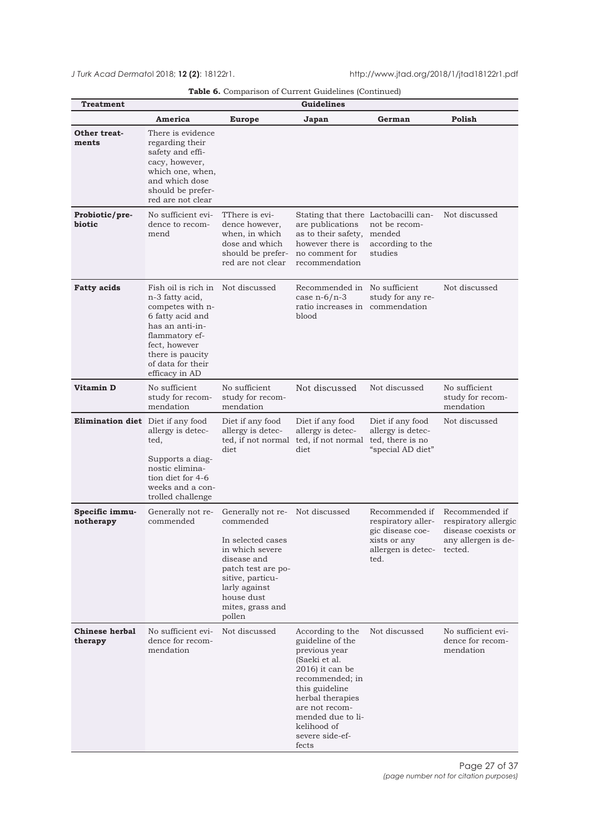|  |  |  |  | Table 6. Comparison of Current Guidelines (Continued) |
|--|--|--|--|-------------------------------------------------------|
|--|--|--|--|-------------------------------------------------------|

<span id="page-26-0"></span>

| <b>Treatment</b>                  | <b>Guidelines</b>                                                                                                                                                                               |                                                                                                                                                                                                            |                                                                                                                                                                                                                                         |                                                                                                                |                                                                                      |
|-----------------------------------|-------------------------------------------------------------------------------------------------------------------------------------------------------------------------------------------------|------------------------------------------------------------------------------------------------------------------------------------------------------------------------------------------------------------|-----------------------------------------------------------------------------------------------------------------------------------------------------------------------------------------------------------------------------------------|----------------------------------------------------------------------------------------------------------------|--------------------------------------------------------------------------------------|
|                                   | America                                                                                                                                                                                         | <b>Europe</b>                                                                                                                                                                                              | Japan                                                                                                                                                                                                                                   | German                                                                                                         | Polish                                                                               |
| Other treat-<br>ments             | There is evidence<br>regarding their<br>safety and effi-<br>cacy, however,<br>which one, when,<br>and which dose<br>should be prefer-<br>red are not clear                                      |                                                                                                                                                                                                            |                                                                                                                                                                                                                                         |                                                                                                                |                                                                                      |
| Probiotic/pre-<br>biotic          | No sufficient evi-<br>dence to recom-<br>mend                                                                                                                                                   | TThere is evi-<br>dence however,<br>when, in which<br>dose and which<br>should be prefer-<br>red are not clear                                                                                             | Stating that there Lactobacilli can-<br>are publications<br>as to their safety,<br>however there is<br>no comment for<br>recommendation                                                                                                 | not be recom-<br>mended<br>according to the<br>studies                                                         | Not discussed                                                                        |
| <b>Fatty acids</b>                | Fish oil is rich in<br>n-3 fatty acid,<br>competes with n-<br>6 fatty acid and<br>has an anti-in-<br>flammatory ef-<br>fect, however<br>there is paucity<br>of data for their<br>efficacy in AD | Not discussed                                                                                                                                                                                              | Recommended in No sufficient<br>case $n-6/n-3$<br>ratio increases in<br>blood                                                                                                                                                           | study for any re-<br>commendation                                                                              | Not discussed                                                                        |
| Vitamin D                         | No sufficient<br>study for recom-<br>mendation                                                                                                                                                  | No sufficient<br>study for recom-<br>mendation                                                                                                                                                             | Not discussed                                                                                                                                                                                                                           | Not discussed                                                                                                  | No sufficient<br>study for recom-<br>mendation                                       |
| Elimination diet Diet if any food | allergy is detec-<br>ted,<br>Supports a diag-<br>nostic elimina-<br>tion diet for 4-6<br>weeks and a con-<br>trolled challenge                                                                  | Diet if any food<br>allergy is detec-<br>ted, if not normal<br>diet                                                                                                                                        | Diet if any food<br>allergy is detec-<br>ted, if not normal<br>diet                                                                                                                                                                     | Diet if any food<br>allergy is detec-<br>ted, there is no<br>"special AD diet"                                 | Not discussed                                                                        |
| Specific immu-<br>notherapy       | Generally not re-<br>commended                                                                                                                                                                  | Generally not re- Not discussed<br>commended<br>In selected cases<br>in which severe<br>disease and<br>patch test are po-<br>sitive, particu-<br>larly against<br>house dust<br>mites, grass and<br>pollen |                                                                                                                                                                                                                                         | Recommended if<br>respiratory aller-<br>gic disease coe-<br>xists or any<br>allergen is detec- tected.<br>ted. | Recommended if<br>respiratory allergic<br>disease coexists or<br>any allergen is de- |
| <b>Chinese herbal</b><br>therapy  | No sufficient evi-<br>dence for recom-<br>mendation                                                                                                                                             | Not discussed                                                                                                                                                                                              | According to the<br>guideline of the<br>previous year<br>(Saeki et al.<br>$2016$ ) it can be<br>recommended; in<br>this guideline<br>herbal therapies<br>are not recom-<br>mended due to li-<br>kelihood of<br>severe side-ef-<br>fects | Not discussed                                                                                                  | No sufficient evi-<br>dence for recom-<br>mendation                                  |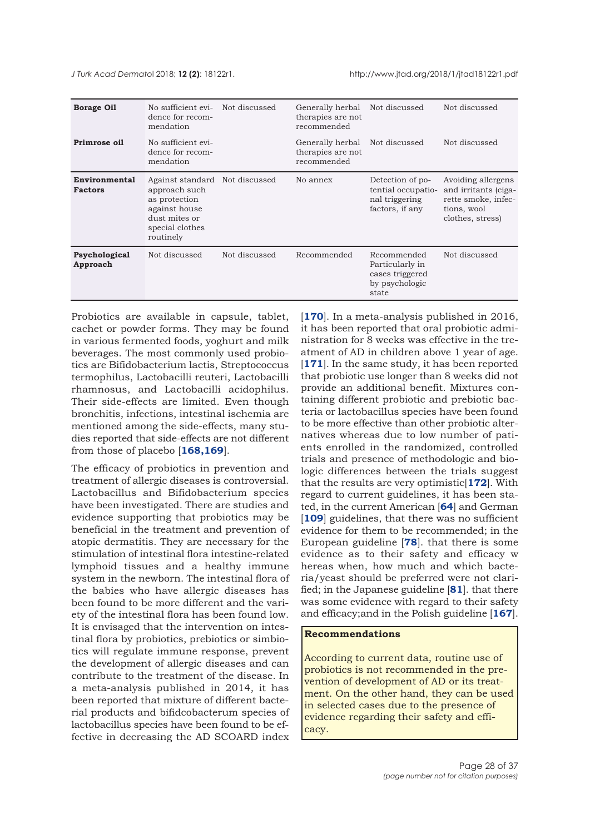| <b>Borage Oil</b>               | No sufficient evi-<br>dence for recom-<br>mendation                                                                                | Not discussed | Generally herbal<br>therapies are not<br>recommended | Not discussed                                                                | Not discussed                                                                                        |
|---------------------------------|------------------------------------------------------------------------------------------------------------------------------------|---------------|------------------------------------------------------|------------------------------------------------------------------------------|------------------------------------------------------------------------------------------------------|
| Primrose oil                    | No sufficient evi-<br>dence for recom-<br>mendation                                                                                |               | Generally herbal<br>therapies are not<br>recommended | Not discussed                                                                | Not discussed                                                                                        |
| Environmental<br><b>Factors</b> | Against standard Not discussed<br>approach such<br>as protection<br>against house<br>dust mites or<br>special clothes<br>routinely |               | No annex                                             | Detection of po-<br>tential occupatio-<br>nal triggering<br>factors, if any  | Avoiding allergens<br>and irritants (ciga-<br>rette smoke, infec-<br>tions, wool<br>clothes, stress) |
| Psychological<br>Approach       | Not discussed                                                                                                                      | Not discussed | Recommended                                          | Recommended<br>Particularly in<br>cases triggered<br>by psychologic<br>state | Not discussed                                                                                        |

Probiotics are available in capsule, tablet, cachet or powder forms. They may be found in various fermented foods, yoghurt and milk beverages. The most commonly used probiotics are Bifidobacterium lactis, Streptococcus termophilus, Lactobacilli reuteri, Lactobacilli rhamnosus, and Lactobacilli acidophilus. Their side-effects are limited. Even though bronchitis, infections, intestinal ischemia are mentioned among the side-effects, many studies reported that side-effects are not different from those of placebo [**[168,169](#page-35-0)**].

The efficacy of probiotics in prevention and treatment of allergic diseases is controversial. Lactobacillus and Bifidobacterium species have been investigated. There are studies and evidence supporting that probiotics may be beneficial in the treatment and prevention of atopic dermatitis. They are necessary for the stimulation of intestinal flora intestine-related lymphoid tissues and a healthy immune system in the newborn. The intestinal flora of the babies who have allergic diseases has been found to be more different and the variety of the intestinal flora has been found low. It is envisaged that the intervention on intestinal flora by probiotics, prebiotics or simbiotics will regulate immune response, prevent the development of allergic diseases and can contribute to the treatment of the disease. In a meta-analysis published in 2014, it has been reported that mixture of different bacterial products and bifidcobacterum species of lactobacillus species have been found to be effective in decreasing the AD SCOARD index

[**[170](#page-35-0)**]. In a meta-analysis published in 2016, it has been reported that oral probiotic administration for 8 weeks was effective in the treatment of AD in children above 1 year of age. [[171](#page-35-0)]. In the same study, it has been reported that probiotic use longer than 8 weeks did not provide an additional benefit. Mixtures containing different probiotic and prebiotic bacteria or lactobacillus species have been found to be more effective than other probiotic alternatives whereas due to low number of patients enrolled in the randomized, controlled trials and presence of methodologic and biologic differences between the trials suggest that the results are very optimistic[**[172](#page-35-0)**]. With regard to current guidelines, it has been stated, in the current American [**[64](#page-32-0)**] and German [**[109](#page-33-0)**] guidelines, that there was no sufficient evidence for them to be recommended; in the European guideline [**[78](#page-32-0)**]. that there is some evidence as to their safety and efficacy w hereas when, how much and which bacteria/yeast should be preferred were not clarified; in the Japanese guideline [**[81](#page-32-0)**]. that there was some evidence with regard to their safety and efficacy;and in the Polish guideline [**[167](#page-35-0)**].

## **Recommendations**

According to current data, routine use of probiotics is not recommended in the prevention of development of AD or its treatment. On the other hand, they can be used in selected cases due to the presence of evidence regarding their safety and efficacy.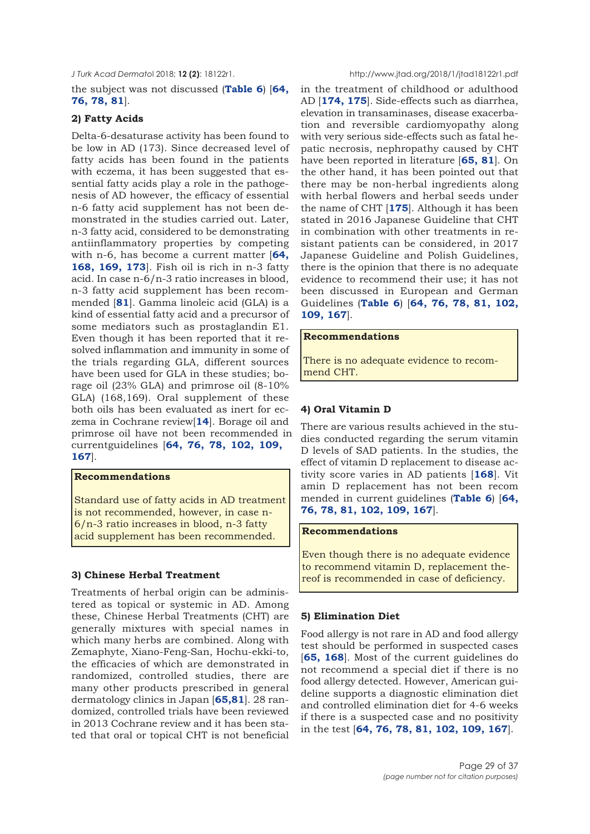the subject was not discussed (**[Table 6](#page-26-0)**) [**[64](#page-31-0), [76](#page-32-0), [78](#page-32-0), [81](#page-32-0)**].

## **2) Fatty Acids**

Delta-6-desaturase activity has been found to be low in AD (173). Since decreased level of fatty acids has been found in the patients with eczema, it has been suggested that essential fatty acids play a role in the pathogenesis of AD however, the efficacy of essential n-6 fatty acid supplement has not been demonstrated in the studies carried out. Later, n-3 fatty acid, considered to be demonstrating antiinflammatory properties by competing with n-6, has become a current matter [**[64](#page-31-0), [168, 169,](#page-35-0) [173](#page-35-0)**]. Fish oil is rich in n-3 fatty acid. In case n-6/n-3 ratio increases in blood, n-3 fatty acid supplement has been recommended [**[81](#page-32-0)**]. Gamma linoleic acid (GLA) is a kind of essential fatty acid and a precursor of some mediators such as prostaglandin E1. Even though it has been reported that it resolved inflammation and immunity in some of the trials regarding GLA, different sources have been used for GLA in these studies; borage oil (23% GLA) and primrose oil (8-10% GLA) (168,169). Oral supplement of these both oils has been evaluated as inert for eczema in Cochrane review[**[14](#page-30-0)**]. Borage oil and primrose oil have not been recommended in currentguidelines [**[64,](#page-32-0) [76,](#page-32-0) [78](#page-32-0), [102](#page-33-0), [109](#page-33-0), [167](#page-35-0)**].

## **Recommendations**

Standard use of fatty acids in AD treatment is not recommended, however, in case n-6/n-3 ratio increases in blood, n-3 fatty acid supplement has been recommended.

## **3) Chinese Herbal Treatment**

Treatments of herbal origin can be administered as topical or systemic in AD. Among these, Chinese Herbal Treatments (CHT) are generally mixtures with special names in which many herbs are combined. Along with Zemaphyte, Xiano-Feng-San, Hochu-ekki-to, the efficacies of which are demonstrated in randomized, controlled studies, there are many other products prescribed in general dermatology clinics in Japan [**[65](#page-31-0),[81](#page-32-0)**]. 28 randomized, controlled trials have been reviewed in 2013 Cochrane review and it has been stated that oral or topical CHT is not beneficial

in the treatment of childhood or adulthood AD [**[174,](#page-35-0) [175](#page-35-0)**]. Side-effects such as diarrhea, elevation in transaminases, disease exacerbation and reversible cardiomyopathy along with very serious side-effects such as fatal hepatic necrosis, nephropathy caused by CHT have been reported in literature [**[65,](#page-31-0) [81](#page-32-0)**]. On the other hand, it has been pointed out that there may be non-herbal ingredients along with herbal flowers and herbal seeds under the name of CHT [**[175](#page-35-0)**]. Although it has been stated in 2016 Japanese Guideline that CHT in combination with other treatments in resistant patients can be considered, in 2017 Japanese Guideline and Polish Guidelines, there is the opinion that there is no adequate evidence to recommend their use; it has not been discussed in European and German Guidelines (**[Table 6](#page-26-0)**) [**[64,](#page-31-0) [76](#page-32-0), [78](#page-32-0), [81,](#page-32-0) [102,](#page-33-0) [109](#page-33-0), [167](#page-35-0)**].

#### **Recommendations**

There is no adequate evidence to recommend CHT.

## **4) Oral Vitamin D**

There are various results achieved in the studies conducted regarding the serum vitamin D levels of SAD patients. In the studies, the effect of vitamin D replacement to disease activity score varies in AD patients [**[168](#page-35-0)**]. Vit amin D replacement has not been recom mended in current guidelines (**[Table 6](#page-26-0)**) [**[64,](#page-31-0) [76,](#page-32-0) [78, 81,](#page-32-0) [102, 109](#page-33-0), [167](#page-35-0)**].

#### **Recommendations**

Even though there is no adequate evidence to recommend vitamin D, replacement thereof is recommended in case of deficiency.

## **5) Elimination Diet**

Food allergy is not rare in AD and food allergy test should be performed in suspected cases [**[65,](#page-31-0) [168](#page-35-0)**]. Most of the current guidelines do not recommend a special diet if there is no food allergy detected. However, American guideline supports a diagnostic elimination diet and controlled elimination diet for 4-6 weeks if there is a suspected case and no positivity in the test [**[64,](#page-31-0) [76, 78, 81,](#page-32-0) [102](#page-33-0), [109,](#page-33-0) [167](#page-35-0)**].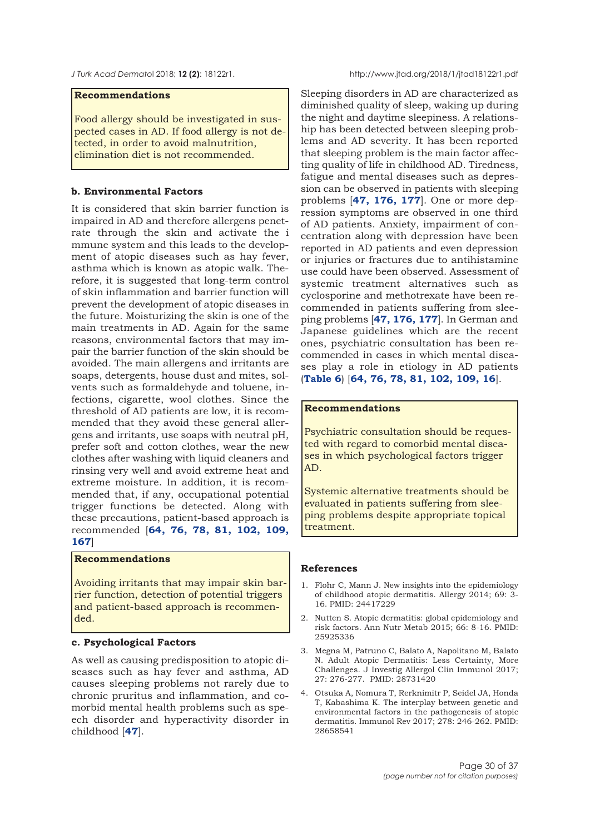<span id="page-29-0"></span>

#### **Recommendations**

Food allergy should be investigated in suspected cases in AD. If food allergy is not detected, in order to avoid malnutrition, elimination diet is not recommended.

#### **b. Environmental Factors**

It is considered that skin barrier function is impaired in AD and therefore allergens penetrate through the skin and activate the i mmune system and this leads to the development of atopic diseases such as hay fever, asthma which is known as atopic walk. Therefore, it is suggested that long-term control of skin inflammation and barrier function will prevent the development of atopic diseases in the future. Moisturizing the skin is one of the main treatments in AD. Again for the same reasons, environmental factors that may impair the barrier function of the skin should be avoided. The main allergens and irritants are soaps, detergents, house dust and mites, solvents such as formaldehyde and toluene, infections, cigarette, wool clothes. Since the threshold of AD patients are low, it is recommended that they avoid these general allergens and irritants, use soaps with neutral pH, prefer soft and cotton clothes, wear the new clothes after washing with liquid cleaners and rinsing very well and avoid extreme heat and extreme moisture. In addition, it is recommended that, if any, occupational potential trigger functions be detected. Along with these precautions, patient-based approach is recommended [**[64](#page-31-0), [76,](#page-32-0) [78,](#page-32-0) [81](#page-32-0), [102](#page-33-0), [109](#page-33-0), [167](#page-35-0)**]

## **Recommendations**

Avoiding irritants that may impair skin barrier function, detection of potential triggers and patient-based approach is recommended.

#### **c. Psychological Factors**

As well as causing predisposition to atopic diseases such as hay fever and asthma, AD causes sleeping problems not rarely due to chronic pruritus and inflammation, and comorbid mental health problems such as speech disorder and hyperactivity disorder in childhood [**[47](#page-31-0)**].

Sleeping disorders in AD are characterized as diminished quality of sleep, waking up during the night and daytime sleepiness. A relationship has been detected between sleeping problems and AD severity. It has been reported that sleeping problem is the main factor affecting quality of life in childhood AD. Tiredness, fatigue and mental diseases such as depression can be observed in patients with sleeping problems [**[47](#page-31-0), [176](#page-35-0), [177](#page-35-0)**]. One or more depression symptoms are observed in one third of AD patients. Anxiety, impairment of concentration along with depression have been reported in AD patients and even depression or injuries or fractures due to antihistamine use could have been observed. Assessment of systemic treatment alternatives such as cyclosporine and methotrexate have been recommended in patients suffering from sleeping problems [**[47](#page-31-0), [176](#page-35-0), [177](#page-35-0)**]. In German and Japanese guidelines which are the recent ones, psychiatric consultation has been recommended in cases in which mental diseases play a role in etiology in AD patients (**[Table 6](#page-26-0)**) [**[64](#page-31-0), [76,](#page-32-0) [78](#page-32-0), [81](#page-31-0), [102, 109](#page-33-0), [16](#page-30-0)**].

#### **Recommendations**

Psychiatric consultation should be requested with regard to comorbid mental diseases in which psychological factors trigger AD.

Systemic alternative treatments should be evaluated in patients suffering from sleeping problems despite appropriate topical treatment.

#### **References**

- 1. Flohr C, Mann J. New insights into the epidemiology of childhood atopic dermatitis. Allergy 2014; 69: 3- 16. PMID: 24417229
- 2. Nutten S. Atopic dermatitis: global epidemiology and risk factors. Ann Nutr Metab 2015; 66: 8-16. PMID: 25925336
- 3. Megna M, Patruno C, Balato A, Napolitano M, Balato N. Adult Atopic Dermatitis: Less Certainty, More Challenges. J Investig Allergol Clin Immunol 2017; 27: 276-277. PMID: 28731420
- 4. Otsuka A, Nomura T, Rerknimitr P, Seidel JA, Honda T, Kabashima K. The interplay between genetic and environmental factors in the pathogenesis of atopic dermatitis. Immunol Rev 2017; 278: 246-262. PMID: 28658541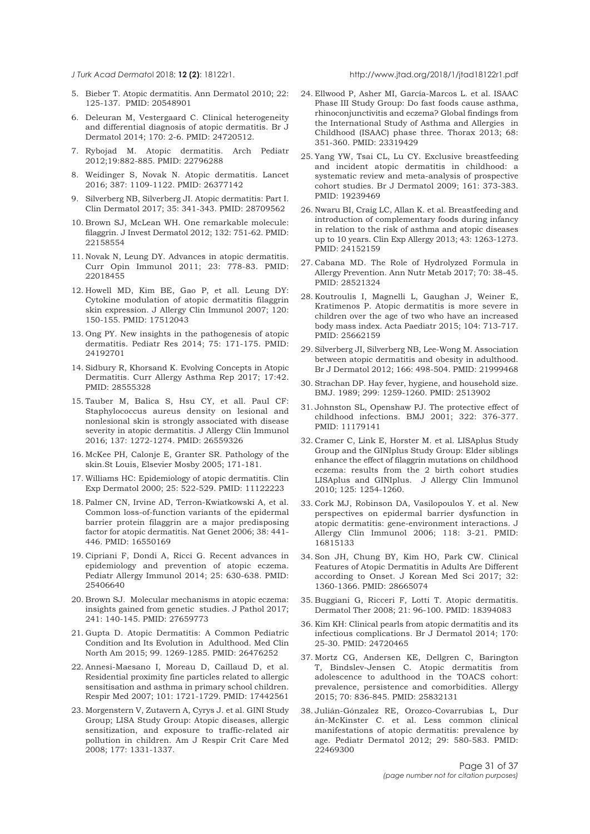<span id="page-30-0"></span>

- 5. Bieber T. Atopic dermatitis. Ann Dermatol 2010; 22: 125-137. PMID: 20548901
- 6. Deleuran M, Vestergaard C. Clinical heterogeneity and differential diagnosis of atopic dermatitis. Br J Dermatol 2014; 170: 2-6. PMID: 24720512.
- 7. Rybojad M. Atopic dermatitis. Arch Pediatr 2012;19:882-885. PMID: 22796288
- 8. Weidinger S, Novak N. Atopic dermatitis. Lancet 2016; 387: 1109-1122. PMID: 26377142
- 9. Silverberg NB, Silverberg JI. Atopic dermatitis: Part I. Clin Dermatol 2017; 35: 341-343. PMID: 28709562
- 10. Brown SJ, McLean WH. One remarkable molecule: filaggrin. J Invest Dermatol 2012; 132: 751-62. PMID: 22158554
- 11. Novak N, Leung DY. Advances in atopic dermatitis. Curr Opin Immunol 2011; 23: 778-83. PMID: 22018455
- 12. Howell MD, Kim BE, Gao P, et all. Leung DY: Cytokine modulation of atopic dermatitis filaggrin skin expression. J Allergy Clin Immunol 2007; 120: 150-155. PMID: 17512043
- 13. Ong PY. New insights in the pathogenesis of atopic dermatitis. Pediatr Res 2014; 75: 171-175. PMID: 24192701
- 14. Sidbury R, Khorsand K. Evolving Concepts in Atopic Dermatitis. Curr Allergy Asthma Rep 2017; 17:42. PMID: 28555328
- 15. Tauber M, Balica S, Hsu CY, et all. Paul CF: Staphylococcus aureus density on lesional and nonlesional skin is strongly associated with disease severity in atopic dermatitis. J Allergy Clin Immunol 2016; 137: 1272-1274. PMID: 26559326
- 16. McKee PH, Calonje E, Granter SR. Pathology of the skin.St Louis, Elsevier Mosby 2005; 171-181.
- 17. Williams HC: Epidemiology of atopic dermatitis. Clin Exp Dermatol 2000; 25: 522-529. PMID: 11122223
- 18. Palmer CN, Irvine AD, Terron-Kwiatkowski A, et al. Common loss-of-function variants of the epidermal barrier protein filaggrin are a major predisposing factor for atopic dermatitis. Nat Genet 2006; 38: 441- 446. PMID: 16550169
- 19. Cipriani F, Dondi A, Ricci G. Recent advances in epidemiology and prevention of atopic eczema. Pediatr Allergy Immunol 2014; 25: 630-638. PMID: 25406640
- 20. Brown SJ. Molecular mechanisms in atopic eczema: insights gained from genetic studies. J Pathol 2017; 241: 140-145. PMID: 27659773
- 21. Gupta D. Atopic Dermatitis: A Common Pediatric Condition and Its Evolution in Adulthood. Med Clin North Am 2015; 99. 1269-1285. PMID: 26476252
- 22. Annesi-Maesano I, Moreau D, Caillaud D, et al. Residential proximity fine particles related to allergic sensitisation and asthma in primary school children. Respir Med 2007; 101: 1721-1729. PMID: 17442561
- 23. Morgenstern V, Zutavern A, Cyrys J. et al. GINI Study Group; LISA Study Group: Atopic diseases, allergic sensitization, and exposure to traffic-related air pollution in children. Am J Respir Crit Care Med 2008; 177: 1331-1337.
- 24. Ellwood P, Asher MI, García-Marcos L. et al. ISAAC Phase III Study Group: Do fast foods cause asthma, rhinoconjunctivitis and eczema? Global findings from the International Study of Asthma and Allergies in Childhood (ISAAC) phase three. Thorax 2013; 68: 351-360. PMID: 23319429
- 25. Yang YW, Tsai CL, Lu CY. Exclusive breastfeeding and incident atopic dermatitis in childhood: a systematic review and meta-analysis of prospective cohort studies. Br J Dermatol 2009; 161: 373-383. PMID: 19239469
- 26. Nwaru BI, Craig LC, Allan K. et al. Breastfeeding and introduction of complementary foods during infancy in relation to the risk of asthma and atopic diseases up to 10 years. Clin Exp Allergy 2013; 43: 1263-1273. PMID: 24152159
- 27. Cabana MD. The Role of Hydrolyzed Formula in Allergy Prevention. Ann Nutr Metab 2017; 70: 38-45. PMID: 28521324
- 28. Koutroulis I, Magnelli L, Gaughan J, Weiner E, Kratimenos P. Atopic dermatitis is more severe in children over the age of two who have an increased body mass index. Acta Paediatr 2015; 104: 713-717. PMID: 25662159
- 29. Silverberg JI, Silverberg NB, Lee-Wong M. Association between atopic dermatitis and obesity in adulthood. Br J Dermatol 2012; 166: 498-504. PMID: 21999468
- 30. Strachan DP. Hay fever, hygiene, and household size. BMJ. 1989; 299: 1259-1260. PMID: 2513902
- 31. Johnston SL, Openshaw PJ. The protective effect of childhood infections. BMJ 2001; 322: 376-377. PMID: 11179141
- 32. Cramer C, Link E, Horster M. et al. LISAplus Study Group and the GINIplus Study Group: Elder siblings enhance the effect of filaggrin mutations on childhood eczema: results from the 2 birth cohort studies LISAplus and GINIplus. J Allergy Clin Immunol 2010; 125: 1254-1260.
- 33. Cork MJ, Robinson DA, Vasilopoulos Y. et al. New perspectives on epidermal barrier dysfunction in atopic dermatitis: gene-environment interactions. J Allergy Clin Immunol 2006; 118: 3-21. PMID: 16815133
- 34. Son JH, Chung BY, Kim HO, Park CW. Clinical Features of Atopic Dermatitis in Adults Are Different according to Onset. J Korean Med Sci 2017; 32: 1360-1366. PMID: 28665074
- 35. Buggiani G, Ricceri F, Lotti T. Atopic dermatitis. Dermatol Ther 2008; 21: 96-100. PMID: 18394083
- 36. Kim KH: Clinical pearls from atopic dermatitis and its infectious complications. Br J Dermatol 2014; 170: 25-30. PMID: 24720465
- 37. Mortz CG, Andersen KE, Dellgren C, Barington T, Bindslev-Jensen C. Atopic dermatitis from adolescence to adulthood in the TOACS cohort: prevalence, persistence and comorbidities. Allergy 2015; 70: 836-845. PMID: 25832131
- 38. Julián-Gónzalez RE, Orozco-Covarrubias L, Dur án-McKinster C. et al. Less common clinical manifestations of atopic dermatitis: prevalence by age. Pediatr Dermatol 2012; 29: 580-583. PMID: 22469300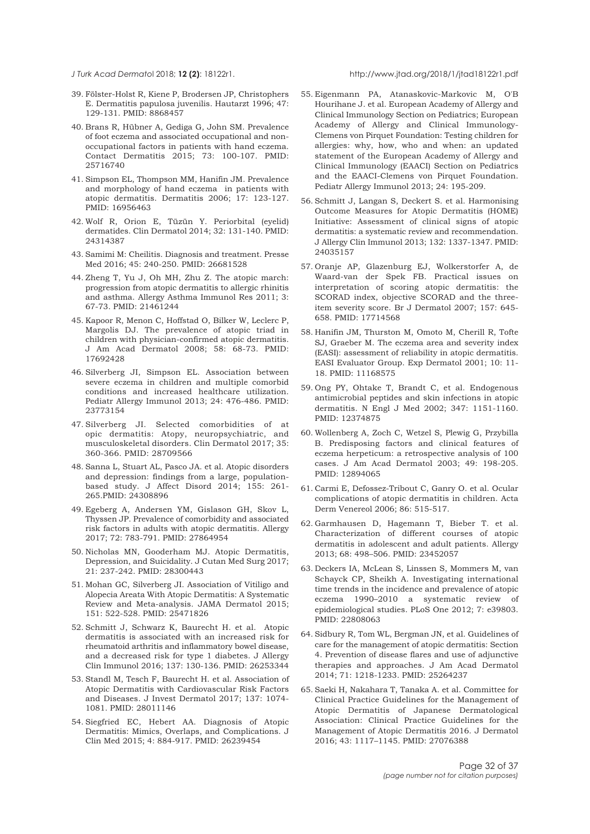<span id="page-31-0"></span>

- 39. Fölster-Holst R, Kiene P, Brodersen JP, Christophers E. Dermatitis papulosa juvenilis. Hautarzt 1996; 47: 129-131. PMID: 8868457
- 40. Brans R, Hübner A, Gediga G, John SM. Prevalence of foot eczema and associated occupational and nonoccupational factors in patients with hand eczema. Contact Dermatitis 2015; 73: 100-107. PMID: 25716740
- 41. Simpson EL, Thompson MM, Hanifin JM. Prevalence and morphology of hand eczema in patients with atopic dermatitis. Dermatitis 2006; 17: 123-127. PMID: 16956463
- 42. Wolf R, Orion E, Tüzün Y. Periorbital (eyelid) dermatides. Clin Dermatol 2014; 32: 131-140. PMID: 24314387
- 43. Samimi M: Cheilitis. Diagnosis and treatment. Presse Med 2016; 45: 240-250. PMID: 26681528
- 44. Zheng T, Yu J, Oh MH, Zhu Z. The atopic march: progression from atopic dermatitis to allergic rhinitis and asthma. Allergy Asthma Immunol Res 2011; 3: 67-73. PMID: 21461244
- 45. Kapoor R, Menon C, Hoffstad O, Bilker W, Leclerc P, Margolis DJ. The prevalence of atopic triad in children with physician-confirmed atopic dermatitis. J Am Acad Dermatol 2008; 58: 68-73. PMID: 17692428
- 46. Silverberg JI, Simpson EL. Association between severe eczema in children and multiple comorbid conditions and increased healthcare utilization. Pediatr Allergy Immunol 2013; 24: 476-486. PMID: 23773154
- 47. Silverberg JI. Selected comorbidities of at opic dermatitis: Atopy, neuropsychiatric, and musculoskeletal disorders. Clin Dermatol 2017; 35: 360-366. PMID: 28709566
- 48. Sanna L, Stuart AL, Pasco JA. et al. Atopic disorders and depression: findings from a large, populationbased study. J Affect Disord 2014; 155: 261- 265.PMID: 24308896
- 49. Egeberg A, Andersen YM, Gislason GH, Skov L, Thyssen JP. Prevalence of comorbidity and associated risk factors in adults with atopic dermatitis. Allergy 2017; 72: 783-791. PMID: 27864954
- 50. Nicholas MN, Gooderham MJ. Atopic Dermatitis, Depression, and Suicidality. J Cutan Med Surg 2017; 21: 237-242. PMID: 28300443
- 51. Mohan GC, Silverberg JI. Association of Vitiligo and Alopecia Areata With Atopic Dermatitis: A Systematic Review and Meta-analysis. JAMA Dermatol 2015; 151: 522-528. PMID: 25471826
- 52. Schmitt J, Schwarz K, Baurecht H. et al. Atopic dermatitis is associated with an increased risk for rheumatoid arthritis and inflammatory bowel disease, and a decreased risk for type 1 diabetes. J Allergy Clin Immunol 2016; 137: 130-136. PMID: 26253344
- 53. Standl M, Tesch F, Baurecht H. et al. Association of Atopic Dermatitis with Cardiovascular Risk Factors and Diseases. J Invest Dermatol 2017; 137: 1074- 1081. PMID: 28011146
- 54. Siegfried EC, Hebert AA. Diagnosis of Atopic Dermatitis: Mimics, Overlaps, and Complications. J Clin Med 2015; 4: 884-917. PMID: 26239454
- 55. Eigenmann PA, Atanaskovic-Markovic M, O'B Hourihane J. et al. European Academy of Allergy and Clinical Immunology Section on Pediatrics; European Academy of Allergy and Clinical Immunology-Clemens von Pirquet Foundation: Testing children for allergies: why, how, who and when: an updated statement of the European Academy of Allergy and Clinical Immunology (EAACI) Section on Pediatrics and the EAACI-Clemens von Pirquet Foundation. Pediatr Allergy Immunol 2013; 24: 195-209.
- 56. Schmitt J, Langan S, Deckert S. et al. Harmonising Outcome Measures for Atopic Dermatitis (HOME) Initiative: Assessment of clinical signs of atopic dermatitis: a systematic review and recommendation. J Allergy Clin Immunol 2013; 132: 1337-1347. PMID: 24035157
- 57. Oranje AP, Glazenburg EJ, Wolkerstorfer A, de Waard-van der Spek FB. Practical issues on interpretation of scoring atopic dermatitis: the SCORAD index, objective SCORAD and the threeitem severity score. Br J Dermatol 2007; 157: 645- 658. PMID: 17714568
- 58. Hanifin JM, Thurston M, Omoto M, Cherill R, Tofte SJ, Graeber M. The eczema area and severity index (EASI): assessment of reliability in atopic dermatitis. EASI Evaluator Group. Exp Dermatol 2001; 10: 11- 18. PMID: 11168575
- 59. Ong PY, Ohtake T, Brandt C, et al. Endogenous antimicrobial peptides and skin infections in atopic dermatitis. N Engl J Med 2002; 347: 1151-1160. PMID: 12374875
- 60. Wollenberg A, Zoch C, Wetzel S, Plewig G, Przybilla B. Predisposing factors and clinical features of eczema herpeticum: a retrospective analysis of 100 cases. J Am Acad Dermatol 2003; 49: 198-205. PMID: 12894065
- 61. Carmi E, Defossez-Tribout C, Ganry O. et al. Ocular complications of atopic dermatitis in children. Acta Derm Venereol 2006; 86: 515-517.
- 62. Garmhausen D, Hagemann T, Bieber T. et al. Characterization of different courses of atopic dermatitis in adolescent and adult patients. Allergy 2013; 68: 498–506. PMID: 23452057
- 63. Deckers IA, McLean S, Linssen S, Mommers M, van Schayck CP, Sheikh A. Investigating international time trends in the incidence and prevalence of atopic eczema 1990–2010 a systematic review of epidemiological studies. PLoS One 2012; 7: e39803. PMID: 22808063
- 64. Sidbury R, Tom WL, Bergman JN, et al. Guidelines of care for the management of atopic dermatitis: Section 4. Prevention of disease flares and use of adjunctive therapies and approaches. J Am Acad Dermatol 2014; 71: 1218-1233. PMID: 25264237
- 65. Saeki H, Nakahara T, Tanaka A. et al. Committee for Clinical Practice Guidelines for the Management of Atopic Dermatitis of Japanese Dermatological Association: Clinical Practice Guidelines for the Management of Atopic Dermatitis 2016. J Dermatol 2016; 43: 1117–1145. PMID: 27076388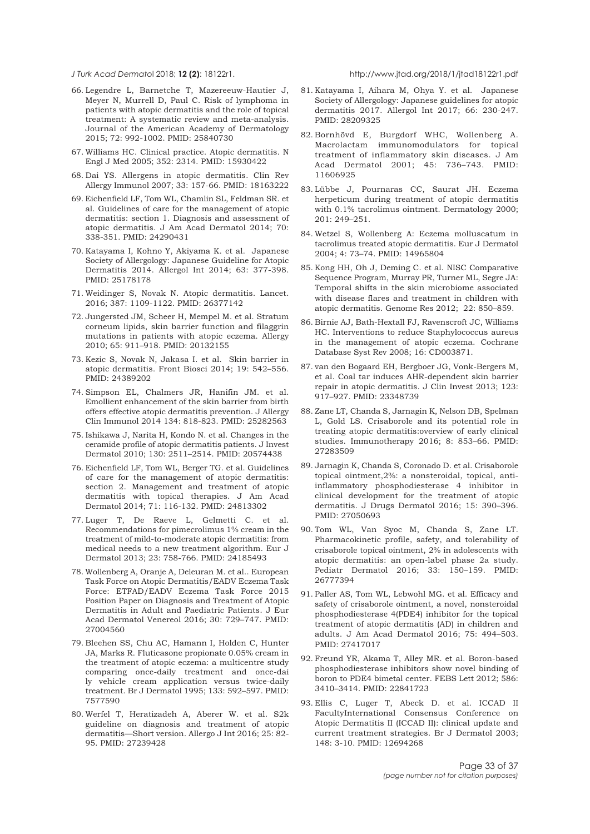<span id="page-32-0"></span>

- 66. Legendre L, Barnetche T, Mazereeuw-Hautier J, Meyer N, Murrell D, Paul C. Risk of lymphoma in patients with atopic dermatitis and the role of topical treatment: A systematic review and meta-analysis. Journal of the American Academy of Dermatology 2015; 72: 992-1002. PMID: 25840730
- 67. Williams HC. Clinical practice. Atopic dermatitis. N Engl J Med 2005; 352: 2314. PMID: 15930422
- 68. Dai YS. Allergens in atopic dermatitis. Clin Rev Allergy Immunol 2007; 33: 157-66. PMID: 18163222
- 69. Eichenfield LF, Tom WL, Chamlin SL, Feldman SR. et al. Guidelines of care for the management of atopic dermatitis: section 1. Diagnosis and assessment of atopic dermatitis. J Am Acad Dermatol 2014; 70: 338-351. PMID: 24290431
- 70. Katayama I, Kohno Y, Akiyama K. et al. Japanese Society of Allergology: Japanese Guideline for Atopic Dermatitis 2014. Allergol Int 2014; 63: 377-398. PMID: 25178178
- 71. Weidinger S, Novak N. Atopic dermatitis. Lancet. 2016; 387: 1109-1122. PMID: 26377142
- 72. Jungersted JM, Scheer H, Mempel M. et al. Stratum corneum lipids, skin barrier function and filaggrin mutations in patients with atopic eczema. Allergy 2010; 65: 911–918. PMID: 20132155
- 73. Kezic S, Novak N, Jakasa I. et al. Skin barrier in atopic dermatitis. Front Biosci 2014; 19: 542–556. PMID: 24389202
- 74. Simpson EL, Chalmers JR, Hanifin JM. et al. Emollient enhancement of the skin barrier from birth offers effective atopic dermatitis prevention. J Allergy Clin Immunol 2014 134: 818-823. PMID: 25282563
- 75. Ishikawa J, Narita H, Kondo N. et al. Changes in the ceramide profile of atopic dermatitis patients. J Invest Dermatol 2010; 130: 2511–2514. PMID: 20574438
- 76. Eichenfield LF, Tom WL, Berger TG. et al. Guidelines of care for the management of atopic dermatitis: section 2. Management and treatment of atopic dermatitis with topical therapies. J Am Acad Dermatol 2014; 71: 116-132. PMID: 24813302
- 77. Luger T, De Raeve L, Gelmetti C. et al. Recommendations for pimecrolimus 1% cream in the treatment of mild-to-moderate atopic dermatitis: from medical needs to a new treatment algorithm. Eur J Dermatol 2013; 23: 758-766. PMID: 24185493
- 78. Wollenberg A, Oranje A, Deleuran M. et al.. European Task Force on Atopic Dermatitis/EADV Eczema Task Force: ETFAD/EADV Eczema Task Force 2015 Position Paper on Diagnosis and Treatment of Atopic Dermatitis in Adult and Paediatric Patients. J Eur Acad Dermatol Venereol 2016; 30: 729–747. PMID: 27004560
- 79. Bleehen SS, Chu AC, Hamann I, Holden C, Hunter JA, Marks R. Fluticasone propionate 0.05% cream in the treatment of atopic eczema: a multicentre study comparing once-daily treatment and once-dai ly vehicle cream application versus twice-daily treatment. Br J Dermatol 1995; 133: 592–597. PMID: 7577590
- 80. Werfel T, Heratizadeh A, Aberer W. et al. S2k guideline on diagnosis and treatment of atopic dermatitis—Short version. Allergo J Int 2016; 25: 82- 95. PMID: 27239428
- 81. Katayama I, Aihara M, Ohya Y. et al. Japanese Society of Allergology: Japanese guidelines for atopic dermatitis 2017. Allergol Int 2017; 66: 230-247. PMID: 28209325
- 82. Bornhövd E, Burgdorf WHC, Wollenberg A. Macrolactam immunomodulators for topical treatment of inflammatory skin diseases. J Am Acad Dermatol 2001; 45: 736–743. PMID: 11606925
- 83. Lübbe J, Pournaras CC, Saurat JH. Eczema herpeticum during treatment of atopic dermatitis with 0.1% tacrolimus ointment. Dermatology 2000; 201: 249–251.
- 84. Wetzel S, Wollenberg A: Eczema molluscatum in tacrolimus treated atopic dermatitis. Eur J Dermatol 2004; 4: 73–74. PMID: 14965804
- 85. Kong HH, Oh J, Deming C. et al. NISC Comparative Sequence Program, Murray PR, Turner ML, Segre JA: Temporal shifts in the skin microbiome associated with disease flares and treatment in children with atopic dermatitis. Genome Res 2012; 22: 850–859.
- 86. Birnie AJ, Bath-Hextall FJ, Ravenscroft JC, Williams HC. Interventions to reduce Staphylococcus aureus in the management of atopic eczema. Cochrane Database Syst Rev 2008; 16: CD003871.
- 87. van den Bogaard EH, Bergboer JG, Vonk-Bergers M, et al. Coal tar induces AHR-dependent skin barrier repair in atopic dermatitis. J Clin Invest 2013; 123: 917–927. PMID: 23348739
- 88. Zane LT, Chanda S, Jarnagin K, Nelson DB, Spelman L, Gold LS. Crisaborole and its potential role in treating atopic dermatitis:overview of early clinical studies. Immunotherapy 2016; 8: 853–66. PMID: 27283509
- 89. Jarnagin K, Chanda S, Coronado D. et al. Crisaborole topical ointment,2%: a nonsteroidal, topical, antiinflammatory phosphodiesterase 4 inhibitor in clinical development for the treatment of atopic dermatitis. J Drugs Dermatol 2016; 15: 390–396. PMID: 27050693
- 90. Tom WL, Van Syoc M, Chanda S, Zane LT. Pharmacokinetic profile, safety, and tolerability of crisaborole topical ointment, 2% in adolescents with atopic dermatitis: an open-label phase 2a study. Pediatr Dermatol 2016; 33: 150–159. PMID: 26777394
- 91. Paller AS, Tom WL, Lebwohl MG. et al. Efficacy and safety of crisaborole ointment, a novel, nonsteroidal phosphodiesterase 4(PDE4) inhibitor for the topical treatment of atopic dermatitis (AD) in children and adults. J Am Acad Dermatol 2016; 75: 494–503. PMID: 27417017
- 92. Freund YR, Akama T, Alley MR. et al. Boron-based phosphodiesterase inhibitors show novel binding of boron to PDE4 bimetal center. FEBS Lett 2012; 586: 3410–3414. PMID: 22841723
- 93. Ellis C, Luger T, Abeck D. et al. ICCAD II FacultyInternational Consensus Conference on Atopic Dermatitis II (ICCAD II): clinical update and current treatment strategies. Br J Dermatol 2003; 148: 3-10. PMID: 12694268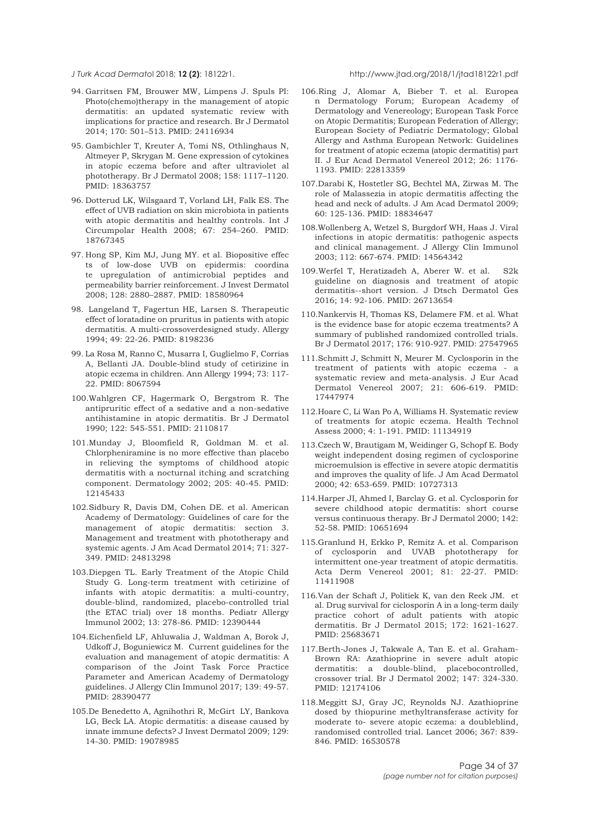<span id="page-33-0"></span>

- 94. Garritsen FM, Brouwer MW, Limpens J. Spuls PI: Photo(chemo)therapy in the management of atopic dermatitis: an updated systematic review with implications for practice and research. Br J Dermatol 2014; 170: 501–513. PMID: 24116934
- 95. Gambichler T, Kreuter A, Tomi NS, Othlinghaus N, Altmeyer P, Skrygan M. Gene expression of cytokines in atopic eczema before and after ultraviolet al phototherapy. Br J Dermatol 2008; 158: 1117–1120. PMID: 18363757
- 96. Dotterud LK, Wilsgaard T, Vorland LH, Falk ES. The effect of UVB radiation on skin microbiota in patients with atopic dermatitis and healthy controls. Int J Circumpolar Health 2008; 67: 254–260. PMID: 18767345
- 97. Hong SP, Kim MJ, Jung MY. et al. Biopositive effec ts of low-dose UVB on epidermis: coordina te upregulation of antimicrobial peptides and permeability barrier reinforcement. J Invest Dermatol 2008; 128: 2880–2887. PMID: 18580964
- 98. Langeland T, Fagertun HE, Larsen S. Therapeutic effect of loratadine on pruritus in patients with atopic dermatitis. A multi-crossoverdesigned study. Allergy 1994; 49: 22-26. PMID: 8198236
- 99. La Rosa M, Ranno C, Musarra I, Guglielmo F, Corrias A, Bellanti JA. Double-blind study of cetirizine in atopic eczema in children. Ann Allergy 1994; 73: 117- 22. PMID: 8067594
- 100.Wahlgren CF, Hagermark O, Bergstrom R. The antipruritic effect of a sedative and a non-sedative antihistamine in atopic dermatitis. Br J Dermatol 1990; 122: 545-551. PMID: 2110817
- 101.Munday J, Bloomfield R, Goldman M. et al. Chlorpheniramine is no more effective than placebo in relieving the symptoms of childhood atopic dermatitis with a nocturnal itching and scratching component. Dermatology 2002; 205: 40-45. PMID: 12145433
- 102.Sidbury R, Davis DM, Cohen DE. et al. American Academy of Dermatology: Guidelines of care for the management of atopic dermatitis: section 3. Management and treatment with phototherapy and systemic agents. J Am Acad Dermatol 2014; 71: 327- 349. PMID: 24813298
- 103.Diepgen TL. Early Treatment of the Atopic Child Study G. Long-term treatment with cetirizine of infants with atopic dermatitis: a multi-country, double-blind, randomized, placebo-controlled trial (the ETAC trial) over 18 months. Pediatr Allergy Immunol 2002; 13: 278-86. PMID: 12390444
- 104.Eichenfield LF, Ahluwalia J, Waldman A, Borok J, Udkoff J, Boguniewicz M. Current guidelines for the evaluation and management of atopic dermatitis: A comparison of the Joint Task Force Practice Parameter and American Academy of Dermatology guidelines. J Allergy Clin Immunol 2017; 139: 49-57. PMID: 28390477
- 105.De Benedetto A, Agnihothri R, McGirt LY, Bankova LG, Beck LA. Atopic dermatitis: a disease caused by innate immune defects? J Invest Dermatol 2009; 129: 14-30. PMID: 19078985
- 106.Ring J, Alomar A, Bieber T. et al. Europea n Dermatology Forum; European Academy of Dermatology and Venereology; European Task Force on Atopic Dermatitis; European Federation of Allergy; European Society of Pediatric Dermatology; Global Allergy and Asthma European Network: Guidelines for treatment of atopic eczema (atopic dermatitis) part II. J Eur Acad Dermatol Venereol 2012; 26: 1176- 1193. PMID: 22813359
- 107.Darabi K, Hostetler SG, Bechtel MA, Zirwas M. The role of Malassezia in atopic dermatitis affecting the head and neck of adults. J Am Acad Dermatol 2009; 60: 125-136. PMID: 18834647
- 108.Wollenberg A, Wetzel S, Burgdorf WH, Haas J. Viral infections in atopic dermatitis: pathogenic aspects and clinical management. J Allergy Clin Immunol 2003; 112: 667-674. PMID: 14564342
- 109.Werfel T, Heratizadeh A, Aberer W. et al. S2k guideline on diagnosis and treatment of atopic dermatitis--short version. J Dtsch Dermatol Ges 2016; 14: 92-106. PMID: 26713654
- 110.Nankervis H, Thomas KS, Delamere FM. et al. What is the evidence base for atopic eczema treatments? A summary of published randomized controlled trials. Br J Dermatol 2017; 176: 910-927. PMID: 27547965
- 111.Schmitt J, Schmitt N, Meurer M. Cyclosporin in the treatment of patients with atopic eczema - a systematic review and meta-analysis. J Eur Acad Dermatol Venereol 2007; 21: 606-619. PMID: 17447974
- 112.Hoare C, Li Wan Po A, Williams H. Systematic review of treatments for atopic eczema. Health Technol Assess 2000; 4: 1-191. PMID: 11134919
- 113.Czech W, Brautigam M, Weidinger G, Schopf E. Body weight independent dosing regimen of cyclosporine microemulsion is effective in severe atopic dermatitis and improves the quality of life. J Am Acad Dermatol 2000; 42: 653-659. PMID: 10727313
- 114.Harper JI, Ahmed I, Barclay G. et al. Cyclosporin for severe childhood atopic dermatitis: short course versus continuous therapy. Br J Dermatol 2000; 142: 52-58. PMID: 10651694
- 115.Granlund H, Erkko P, Remitz A. et al. Comparison of cyclosporin and UVAB phototherapy for intermittent one-year treatment of atopic dermatitis. Acta Derm Venereol 2001; 81: 22-27. PMID: 11411908
- 116.Van der Schaft J, Politiek K, van den Reek JM. et al. Drug survival for ciclosporin A in a long-term daily practice cohort of adult patients with atopic dermatitis. Br J Dermatol 2015; 172: 1621-1627. PMID: 25683671
- 117.Berth-Jones J, Takwale A, Tan E. et al. Graham-Brown RA: Azathioprine in severe adult atopic dermatitis: a double-blind, placebocontrolled, crossover trial. Br J Dermatol 2002; 147: 324-330. PMID: 12174106
- 118.Meggitt SJ, Gray JC, Reynolds NJ. Azathioprine dosed by thiopurine methyltransferase activity for moderate to- severe atopic eczema: a doubleblind, randomised controlled trial. Lancet 2006; 367: 839- 846. PMID: 16530578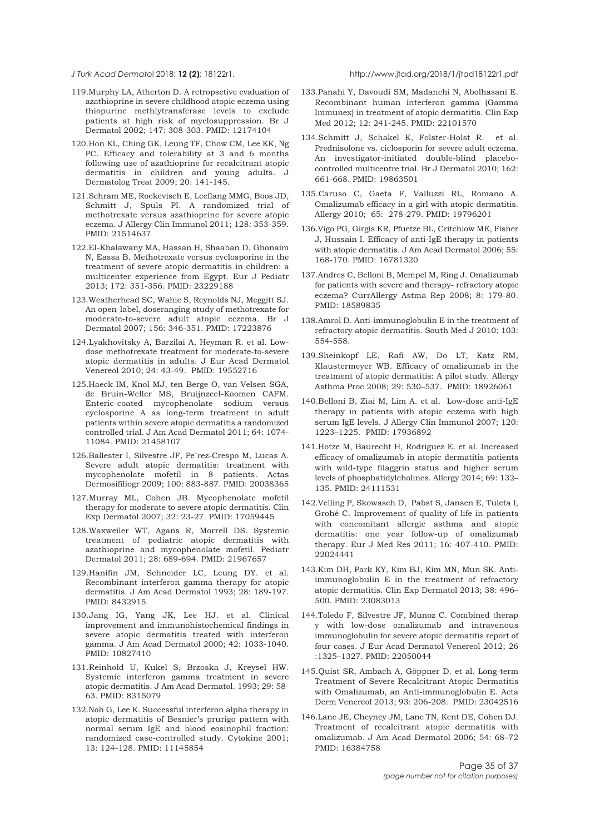<span id="page-34-0"></span>

- 119.Murphy LA, Atherton D. A retropsetive evaluation of azathioprine in severe childhood atopic eczema using thiopurine methlytransferase levels to exclude patients at high risk of myelosuppression. Br J Dermatol 2002; 147: 308-303. PMID: 12174104
- 120.Hon KL, Ching GK, Leung TF, Chow CM, Lee KK, Ng PC. Efficacy and tolerability at 3 and 6 months following use of azathioprine for recalcitrant atopic dermatitis in children and young adults. J Dermatolog Treat 2009; 20: 141-145.
- 121.Schram ME, Roekevisch E, Leeflang MMG, Boos JD, Schmitt J, Spuls PI. A randomized trial of methotrexate versus azathioprine for severe atopic eczema. J Allergy Clin Immunol 2011; 128: 353-359. PMID: 21514637
- 122.El-Khalawany MA, Hassan H, Shaaban D, Ghonaim N, Eassa B. Methotrexate versus cyclosporine in the treatment of severe atopic dermatitis in children: a multicenter experience from Egypt. Eur J Pediatr 2013; 172: 351-356. PMID: 23229188
- 123.Weatherhead SC, Wahie S, Reynolds NJ, Meggitt SJ. An open-label, doseranging study of methotrexate for moderate-to-severe adult atopic eczema. Br J Dermatol 2007; 156: 346-351. PMID: 17223876
- 124.Lyakhovitsky A, Barzilai A, Heyman R. et al. Lowdose methotrexate treatment for moderate-to-severe atopic dermatitis in adults. J Eur Acad Dermatol Venereol 2010; 24: 43-49. PMID: 19552716
- 125.Haeck IM, Knol MJ, ten Berge O, van Velsen SGA, de Bruin-Weller MS, Bruijnzeel-Koomen CAFM. Enteric-coated mycophenolate sodium versus cyclosporine A as long-term treatment in adult patients within severe atopic dermatitis a randomized controlled trial. J Am Acad Dermatol 2011; 64: 1074- 11084. PMID: 21458107
- 126.Ballester I, Silvestre JF, Pe´rez-Crespo M, Lucas A. Severe adult atopic dermatitis: treatment with mycophenolate mofetil in 8 patients. Actas Dermosifiliogr 2009; 100: 883-887. PMID: 20038365
- 127.Murray ML, Cohen JB. Mycophenolate mofetil therapy for moderate to severe atopic dermatitis. Clin Exp Dermatol 2007; 32: 23-27. PMID: 17059445
- 128.Waxweiler WT, Agans R, Morrell DS. Systemic treatment of pediatric atopic dermatitis with azathioprine and mycophenolate mofetil. Pediatr Dermatol 2011; 28: 689-694. PMID: 21967657
- 129.Hanifin JM, Schneider LC, Leung DY. et al. Recombinant interferon gamma therapy for atopic dermatitis. J Am Acad Dermatol 1993; 28: 189-197. PMID: 8432915
- 130.Jang IG, Yang JK, Lee HJ. et al. Clinical improvement and immunohistochemical findings in severe atopic dermatitis treated with interferon gamma. J Am Acad Dermatol 2000; 42: 1033-1040. PMID: 10827410
- 131.Reinhold U, Kukel S, Brzoska J, Kreysel HW. Systemic interferon gamma treatment in severe atopic dermatitis. J Am Acad Dermatol. 1993; 29: 58- 63. PMID: 8315079
- 132.Noh G, Lee K. Successful interferon alpha therapy in atopic dermatitis of Besnier's prurigo pattern with normal serum IgE and blood eosinophil fraction: randomized case-controlled study. Cytokine 2001; 13: 124-128. PMID: 11145854
- 133.Panahi Y, Davoudi SM, Madanchi N, Abolhasani E. Recombinant human interferon gamma (Gamma Immunex) in treatment of atopic dermatitis. Clin Exp Med 2012; 12: 241-245. PMID: 22101570
- 134.Schmitt J, Schakel K, Folster-Holst R. et al. Prednisolone vs. ciclosporin for severe adult eczema. An investigator-initiated double-blind placebocontrolled multicentre trial. Br J Dermatol 2010; 162: 661-668. PMID: 19863501
- 135.Caruso C, Gaeta F, Valluzzi RL, Romano A. Omalizumab efficacy in a girl with atopic dermatitis. Allergy 2010; 65: 278-279. PMID: 19796201
- 136.Vigo PG, Girgis KR, Pfuetze BL, Critchlow ME, Fisher J, Hussain I. Efficacy of anti-IgE therapy in patients with atopic dermatitis. J Am Acad Dermatol 2006; 55: 168-170. PMID: 16781320
- 137.Andres C, Belloni B, Mempel M, Ring J. Omalizumab for patients with severe and therapy- refractory atopic eczema? CurrAllergy Astma Rep 2008; 8: 179-80. PMID: 18589835
- 138.Amrol D. Anti-immunoglobulin E in the treatment of refractory atopic dermatitis. South Med J 2010; 103: 554-558.
- 139.Sheinkopf LE, Rafi AW, Do LT, Katz RM, Klaustermeyer WB. Efficacy of omalizumab in the treatment of atopic dermatitis: A pilot study. Allergy Asthma Proc 2008; 29: 530–537. PMID: 18926061
- 140.Belloni B, Ziai M, Lim A. et al. Low-dose anti-IgE therapy in patients with atopic eczema with high serum IgE levels. J Allergy Clin Immunol 2007; 120: 1223–1225. PMID: 17936892
- 141.Hotze M, Baurecht H, Rodriguez E. et al. Increased efficacy of omalizumab in atopic dermatitis patients with wild-type filaggrin status and higher serum levels of phosphatidylcholines. Allergy 2014; 69: 132– 135. PMID: 24111531
- 142.Velling P, Skowasch D, Pabst S, Jansen E, Tuleta I, Grohé C. Improvement of quality of life in patients with concomitant allergic asthma and atopic dermatitis: one year follow-up of omalizumab therapy. Eur J Med Res 2011; 16: 407-410. PMID: 22024441
- 143.Kim DH, Park KY, Kim BJ, Kim MN, Mun SK. Antiimmunoglobulin E in the treatment of refractory atopic dermatitis. Clin Exp Dermatol 2013; 38: 496– 500. PMID: 23083013
- 144.Toledo F, Silvestre JF, Munoz C. Combined therap y with low-dose omalizumab and intravenous immunoglobulin for severe atopic dermatitis report of four cases. J Eur Acad Dermatol Venereol 2012; 26 :1325–1327. PMID: 22050044
- 145.Quist SR, Ambach A, Göppner D. et al. Long-term Treatment of Severe Recalcitrant Atopic Dermatitis with Omalizumab, an Anti-immunoglobulin E. Acta Derm Venereol 2013; 93: 206-208. PMID: 23042516
- 146.Lane JE, Cheyney JM, Lane TN, Kent DE, Cohen DJ. Treatment of recalcitrant atopic dermatitis with omalizumab. J Am Acad Dermatol 2006; 54: 68–72 PMID: 16384758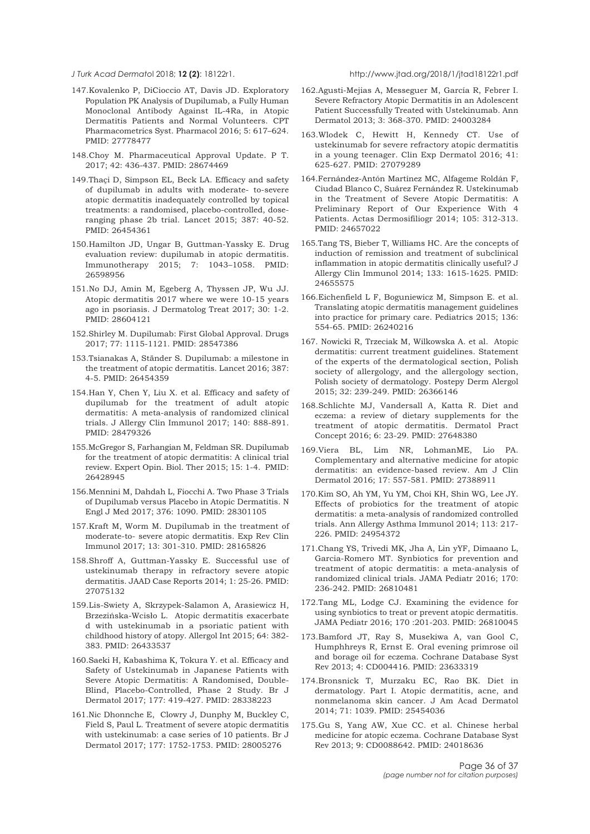<span id="page-35-0"></span>

- 147.Kovalenko P, DiCioccio AT, Davis JD. Exploratory Population PK Analysis of Dupilumab, a Fully Human Monoclonal Antibody Against IL-4Ra, in Atopic Dermatitis Patients and Normal Volunteers. CPT Pharmacometrics Syst. Pharmacol 2016; 5: 617–624. PMID: 27778477
- 148.Choy M. Pharmaceutical Approval Update. P T. 2017; 42: 436-437. PMID: 28674469
- 149.Thaçi D, Simpson EL, Beck LA. Efficacy and safety of dupilumab in adults with moderate- to-severe atopic dermatitis inadequately controlled by topical treatments: a randomised, placebo-controlled, doseranging phase 2b trial. Lancet 2015; 387: 40-52. PMID: 26454361
- 150.Hamilton JD, Ungar B, Guttman-Yassky E. Drug evaluation review: dupilumab in atopic dermatitis. Immunotherapy 2015; 7: 1043–1058. PMID: 26598956
- 151.No DJ, Amin M, Egeberg A, Thyssen JP, Wu JJ. Atopic dermatitis 2017 where we were 10-15 years ago in psoriasis. J Dermatolog Treat 2017; 30: 1-2. PMID: 28604121
- 152.Shirley M. Dupilumab: First Global Approval. Drugs 2017; 77: 1115-1121. PMID: 28547386
- 153.Tsianakas A, Ständer S. Dupilumab: a milestone in the treatment of atopic dermatitis. Lancet 2016; 387: 4-5. PMID: 26454359
- 154.Han Y, Chen Y, Liu X. et al. Efficacy and safety of dupilumab for the treatment of adult atopic dermatitis: A meta-analysis of randomized clinical trials. J Allergy Clin Immunol 2017; 140: 888-891. PMID: 28479326
- 155.McGregor S, Farhangian M, Feldman SR. Dupilumab for the treatment of atopic dermatitis: A clinical trial review. Expert Opin. Biol. Ther 2015; 15: 1-4. PMID: 26428945
- 156.Mennini M, Dahdah L, Fiocchi A. Two Phase 3 Trials of Dupilumab versus Placebo in Atopic Dermatitis. N Engl J Med 2017; 376: 1090. PMID: 28301105
- 157.Kraft M, Worm M. Dupilumab in the treatment of moderate-to- severe atopic dermatitis. Exp Rev Clin Immunol 2017; 13: 301-310. PMID: 28165826
- 158.Shroff A, Guttman-Yassky E. Successful use of ustekinumab therapy in refractory severe atopic dermatitis. JAAD Case Reports 2014; 1: 25-26. PMID: 27075132
- 159.Lis-Swiety A, Skrzypek-Salamon A, Arasiewicz H, Brzezińska-Wcisło L. Atopic dermatitis exacerbate d with ustekinumab in a psoriatic patient with childhood history of atopy. Allergol Int 2015; 64: 382- 383. PMID: 26433537
- 160.Saeki H, Kabashima K, Tokura Y. et al. Efficacy and Safety of Ustekinumab in Japanese Patients with Severe Atopic Dermatitis: A Randomised, Double-Blind, Placebo-Controlled, Phase 2 Study. Br J Dermatol 2017; 177: 419-427. PMID: 28338223
- 161.Nic Dhonnche E, Clowry J, Dunphy M, Buckley C, Field S, Paul L. Treatment of severe atopic dermatitis with ustekinumab: a case series of 10 patients. Br J Dermatol 2017; 177: 1752-1753. PMID: 28005276

- 162.Agusti-Mejias A, Messeguer M, García R, Febrer I. Severe Refractory Atopic Dermatitis in an Adolescent Patient Successfully Treated with Ustekinumab. Ann Dermatol 2013; 3: 368-370. PMID: 24003284
- 163.Wlodek C, Hewitt H, Kennedy CT. Use of ustekinumab for severe refractory atopic dermatitis in a young teenager. Clin Exp Dermatol 2016; 41: 625-627. PMID: 27079289
- 164.Fernández-Antón Martínez MC, Alfageme Roldán F, Ciudad Blanco C, Suárez Fernández R. Ustekinumab in the Treatment of Severe Atopic Dermatitis: A Preliminary Report of Our Experience With 4 Patients. Actas Dermosifiliogr 2014; 105: 312-313. PMID: 24657022
- 165.Tang TS, Bieber T, Williams HC. Are the concepts of induction of remission and treatment of subclinical inflammation in atopic dermatitis clinically useful? J Allergy Clin Immunol 2014; 133: 1615-1625. PMID: 24655575
- 166.Eichenfield L F, Boguniewicz M, Simpson E. et al. Translating atopic dermatitis management guidelines into practice for primary care. Pediatrics 2015; 136: 554-65. PMID: 26240216
- 167. Nowicki R, Trzeciak M, Wilkowska A. et al. Atopic dermatitis: current treatment guidelines. Statement of the experts of the dermatological section, Polish society of allergology, and the allergology section, Polish society of dermatology. Postepy Derm Alergol 2015; 32: 239-249. PMID: 26366146
- 168.Schlichte MJ, Vandersall A, Katta R. Diet and eczema: a review of dietary supplements for the treatment of atopic dermatitis. Dermatol Pract Concept 2016; 6: 23-29. PMID: 27648380
- 169.Viera BL, Lim NR, LohmanME, Lio PA. Complementary and alternative medicine for atopic dermatitis: an evidence-based review. Am J Clin Dermatol 2016; 17: 557-581. PMID: 27388911
- 170.Kim SO, Ah YM, Yu YM, Choi KH, Shin WG, Lee JY. Effects of probiotics for the treatment of atopic dermatitis: a meta-analysis of randomized controlled trials. Ann Allergy Asthma Immunol 2014; 113: 217- 226. PMID: 24954372
- 171.Chang YS, Trivedi MK, Jha A, Lin yYF, Dimaano L, Garcia-Romero MT. Synbiotics for prevention and treatment of atopic dermatitis: a meta-analysis of randomized clinical trials. JAMA Pediatr 2016; 170: 236-242. PMID: 26810481
- 172.Tang ML, Lodge CJ. Examining the evidence for using synbiotics to treat or prevent atopic dermatitis. JAMA Pediatr 2016; 170 :201-203. PMID: 26810045
- 173.Bamford JT, Ray S, Musekiwa A, van Gool C, Humphhreys R, Ernst E. Oral evening primrose oil and borage oil for eczema. Cochrane Database Syst Rev 2013; 4: CD004416. PMID: 23633319
- 174.Bronsnick T, Murzaku EC, Rao BK. Diet in dermatology. Part I. Atopic dermatitis, acne, and nonmelanoma skin cancer. J Am Acad Dermatol 2014; 71: 1039. PMID: 25454036
- 175.Gu S, Yang AW, Xue CC. et al. Chinese herbal medicine for atopic eczema. Cochrane Database Syst Rev 2013; 9: CD0088642. PMID: 24018636